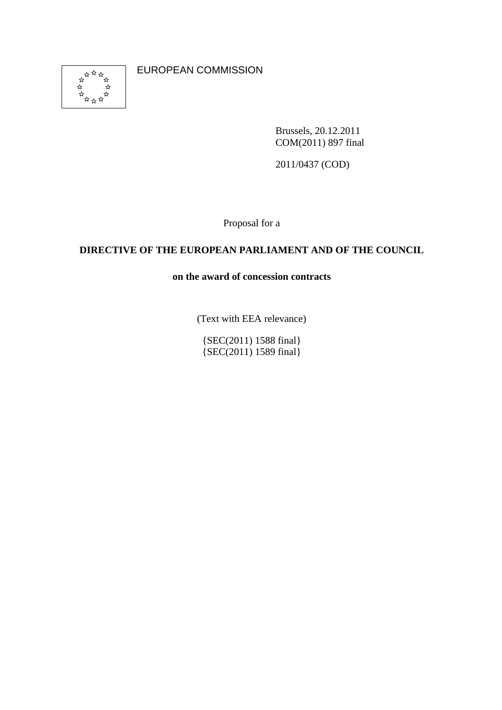

EUROPEAN COMMISSION

Brussels, 20.12.2011 COM(2011) 897 final

2011/0437 (COD)

Proposal for a

# **DIRECTIVE OF THE EUROPEAN PARLIAMENT AND OF THE COUNCIL**

**on the award of concession contracts** 

(Text with EEA relevance)

{SEC(2011) 1588 final} {SEC(2011) 1589 final}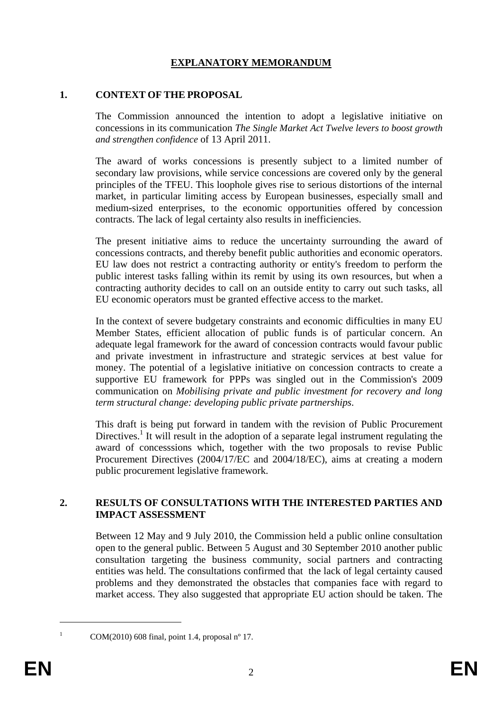# **EXPLANATORY MEMORANDUM**

#### **1. CONTEXT OF THE PROPOSAL**

The Commission announced the intention to adopt a legislative initiative on concessions in its communication *The Single Market Act Twelve levers to boost growth and strengthen confidence* of 13 April 2011.

The award of works concessions is presently subject to a limited number of secondary law provisions, while service concessions are covered only by the general principles of the TFEU. This loophole gives rise to serious distortions of the internal market, in particular limiting access by European businesses, especially small and medium-sized enterprises, to the economic opportunities offered by concession contracts. The lack of legal certainty also results in inefficiencies.

The present initiative aims to reduce the uncertainty surrounding the award of concessions contracts, and thereby benefit public authorities and economic operators. EU law does not restrict a contracting authority or entity's freedom to perform the public interest tasks falling within its remit by using its own resources, but when a contracting authority decides to call on an outside entity to carry out such tasks, all EU economic operators must be granted effective access to the market.

In the context of severe budgetary constraints and economic difficulties in many EU Member States, efficient allocation of public funds is of particular concern. An adequate legal framework for the award of concession contracts would favour public and private investment in infrastructure and strategic services at best value for money. The potential of a legislative initiative on concession contracts to create a supportive EU framework for PPPs was singled out in the Commission's 2009 communication on *Mobilising private and public investment for recovery and long term structural change: developing public private partnerships*.

This draft is being put forward in tandem with the revision of Public Procurement Directives.<sup>1</sup> It will result in the adoption of a separate legal instrument regulating the award of concesssions which, together with the two proposals to revise Public Procurement Directives (2004/17/EC and 2004/18/EC), aims at creating a modern public procurement legislative framework.

#### **2. RESULTS OF CONSULTATIONS WITH THE INTERESTED PARTIES AND IMPACT ASSESSMENT**

Between 12 May and 9 July 2010, the Commission held a public online consultation open to the general public. Between 5 August and 30 September 2010 another public consultation targeting the business community, social partners and contracting entities was held. The consultations confirmed that the lack of legal certainty caused problems and they demonstrated the obstacles that companies face with regard to market access. They also suggested that appropriate EU action should be taken. The

COM(2010) 608 final, point 1.4, proposal nº 17.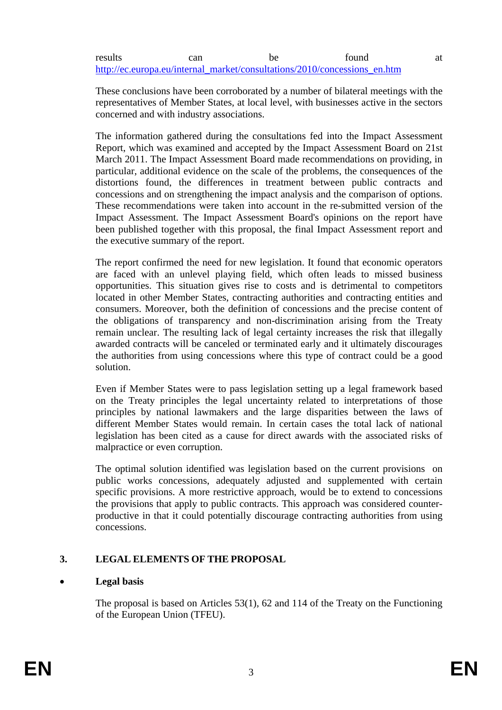#### results can be found at [http://ec.europa.eu/internal\\_market/consultations/2010/concessions\\_en.htm](http://ec.europa.eu/internal_market/consultations/2010/concessions_en.htm)

These conclusions have been corroborated by a number of bilateral meetings with the representatives of Member States, at local level, with businesses active in the sectors concerned and with industry associations.

The information gathered during the consultations fed into the Impact Assessment Report, which was examined and accepted by the Impact Assessment Board on 21st March 2011. The Impact Assessment Board made recommendations on providing, in particular, additional evidence on the scale of the problems, the consequences of the distortions found, the differences in treatment between public contracts and concessions and on strengthening the impact analysis and the comparison of options. These recommendations were taken into account in the re-submitted version of the Impact Assessment. The Impact Assessment Board's opinions on the report have been published together with this proposal, the final Impact Assessment report and the executive summary of the report.

The report confirmed the need for new legislation. It found that economic operators are faced with an unlevel playing field, which often leads to missed business opportunities. This situation gives rise to costs and is detrimental to competitors located in other Member States, contracting authorities and contracting entities and consumers. Moreover, both the definition of concessions and the precise content of the obligations of transparency and non-discrimination arising from the Treaty remain unclear. The resulting lack of legal certainty increases the risk that illegally awarded contracts will be canceled or terminated early and it ultimately discourages the authorities from using concessions where this type of contract could be a good solution.

Even if Member States were to pass legislation setting up a legal framework based on the Treaty principles the legal uncertainty related to interpretations of those principles by national lawmakers and the large disparities between the laws of different Member States would remain. In certain cases the total lack of national legislation has been cited as a cause for direct awards with the associated risks of malpractice or even corruption.

The optimal solution identified was legislation based on the current provisions on public works concessions, adequately adjusted and supplemented with certain specific provisions. A more restrictive approach, would be to extend to concessions the provisions that apply to public contracts. This approach was considered counterproductive in that it could potentially discourage contracting authorities from using concessions.

# **3. LEGAL ELEMENTS OF THE PROPOSAL**

# • **Legal basis**

The proposal is based on Articles 53(1), 62 and 114 of the Treaty on the Functioning of the European Union (TFEU).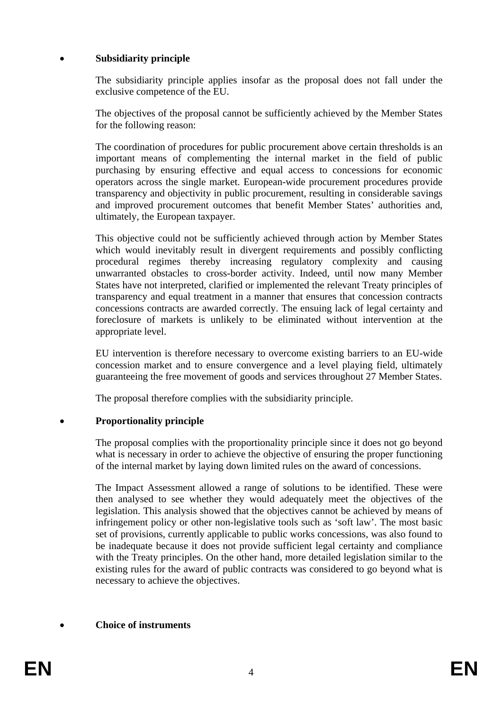## • **Subsidiarity principle**

The subsidiarity principle applies insofar as the proposal does not fall under the exclusive competence of the EU.

The objectives of the proposal cannot be sufficiently achieved by the Member States for the following reason:

The coordination of procedures for public procurement above certain thresholds is an important means of complementing the internal market in the field of public purchasing by ensuring effective and equal access to concessions for economic operators across the single market. European-wide procurement procedures provide transparency and objectivity in public procurement, resulting in considerable savings and improved procurement outcomes that benefit Member States' authorities and, ultimately, the European taxpayer.

This objective could not be sufficiently achieved through action by Member States which would inevitably result in divergent requirements and possibly conflicting procedural regimes thereby increasing regulatory complexity and causing unwarranted obstacles to cross-border activity. Indeed, until now many Member States have not interpreted, clarified or implemented the relevant Treaty principles of transparency and equal treatment in a manner that ensures that concession contracts concessions contracts are awarded correctly. The ensuing lack of legal certainty and foreclosure of markets is unlikely to be eliminated without intervention at the appropriate level.

EU intervention is therefore necessary to overcome existing barriers to an EU-wide concession market and to ensure convergence and a level playing field, ultimately guaranteeing the free movement of goods and services throughout 27 Member States.

The proposal therefore complies with the subsidiarity principle.

# • **Proportionality principle**

The proposal complies with the proportionality principle since it does not go beyond what is necessary in order to achieve the objective of ensuring the proper functioning of the internal market by laying down limited rules on the award of concessions.

The Impact Assessment allowed a range of solutions to be identified. These were then analysed to see whether they would adequately meet the objectives of the legislation. This analysis showed that the objectives cannot be achieved by means of infringement policy or other non-legislative tools such as 'soft law'. The most basic set of provisions, currently applicable to public works concessions, was also found to be inadequate because it does not provide sufficient legal certainty and compliance with the Treaty principles. On the other hand, more detailed legislation similar to the existing rules for the award of public contracts was considered to go beyond what is necessary to achieve the objectives.

# • **Choice of instruments**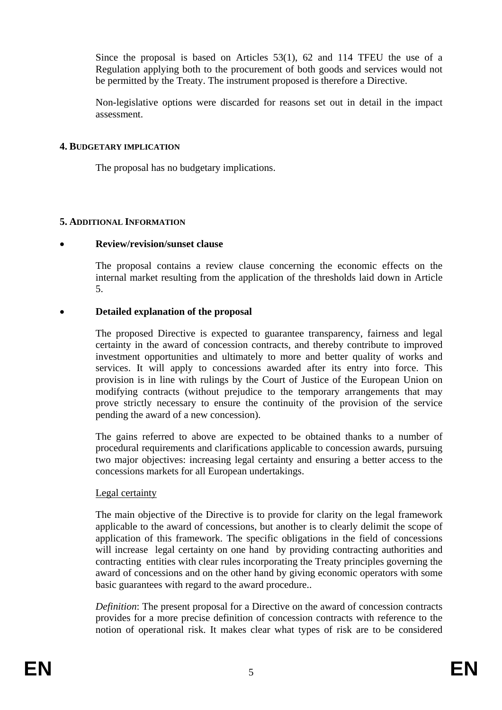Since the proposal is based on Articles 53(1), 62 and 114 TFEU the use of a Regulation applying both to the procurement of both goods and services would not be permitted by the Treaty. The instrument proposed is therefore a Directive.

Non-legislative options were discarded for reasons set out in detail in the impact assessment.

#### **4. BUDGETARY IMPLICATION**

The proposal has no budgetary implications.

#### **5. ADDITIONAL INFORMATION**

#### • **Review/revision/sunset clause**

The proposal contains a review clause concerning the economic effects on the internal market resulting from the application of the thresholds laid down in Article 5.

#### • **Detailed explanation of the proposal**

The proposed Directive is expected to guarantee transparency, fairness and legal certainty in the award of concession contracts, and thereby contribute to improved investment opportunities and ultimately to more and better quality of works and services. It will apply to concessions awarded after its entry into force. This provision is in line with rulings by the Court of Justice of the European Union on modifying contracts (without prejudice to the temporary arrangements that may prove strictly necessary to ensure the continuity of the provision of the service pending the award of a new concession).

The gains referred to above are expected to be obtained thanks to a number of procedural requirements and clarifications applicable to concession awards, pursuing two major objectives: increasing legal certainty and ensuring a better access to the concessions markets for all European undertakings.

#### Legal certainty

The main objective of the Directive is to provide for clarity on the legal framework applicable to the award of concessions, but another is to clearly delimit the scope of application of this framework. The specific obligations in the field of concessions will increase legal certainty on one hand by providing contracting authorities and contracting entities with clear rules incorporating the Treaty principles governing the award of concessions and on the other hand by giving economic operators with some basic guarantees with regard to the award procedure..

*Definition*: The present proposal for a Directive on the award of concession contracts provides for a more precise definition of concession contracts with reference to the notion of operational risk. It makes clear what types of risk are to be considered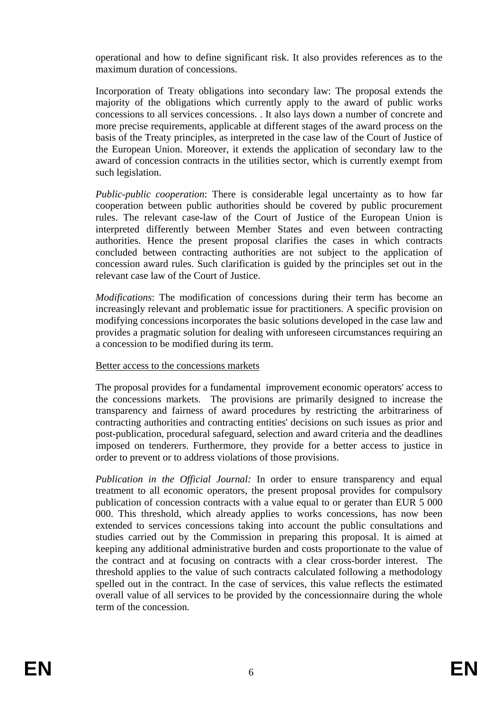operational and how to define significant risk. It also provides references as to the maximum duration of concessions.

Incorporation of Treaty obligations into secondary law: The proposal extends the majority of the obligations which currently apply to the award of public works concessions to all services concessions. . It also lays down a number of concrete and more precise requirements, applicable at different stages of the award process on the basis of the Treaty principles, as interpreted in the case law of the Court of Justice of the European Union. Moreover, it extends the application of secondary law to the award of concession contracts in the utilities sector, which is currently exempt from such legislation.

*Public-public cooperation*: There is considerable legal uncertainty as to how far cooperation between public authorities should be covered by public procurement rules. The relevant case-law of the Court of Justice of the European Union is interpreted differently between Member States and even between contracting authorities. Hence the present proposal clarifies the cases in which contracts concluded between contracting authorities are not subject to the application of concession award rules. Such clarification is guided by the principles set out in the relevant case law of the Court of Justice.

*Modifications*: The modification of concessions during their term has become an increasingly relevant and problematic issue for practitioners. A specific provision on modifying concessions incorporates the basic solutions developed in the case law and provides a pragmatic solution for dealing with unforeseen circumstances requiring an a concession to be modified during its term.

# Better access to the concessions markets

The proposal provides for a fundamental improvement economic operators' access to the concessions markets. The provisions are primarily designed to increase the transparency and fairness of award procedures by restricting the arbitrariness of contracting authorities and contracting entities' decisions on such issues as prior and post-publication, procedural safeguard, selection and award criteria and the deadlines imposed on tenderers. Furthermore, they provide for a better access to justice in order to prevent or to address violations of those provisions.

*Publication in the Official Journal:* In order to ensure transparency and equal treatment to all economic operators, the present proposal provides for compulsory publication of concession contracts with a value equal to or gerater than EUR 5 000 000. This threshold, which already applies to works concessions, has now been extended to services concessions taking into account the public consultations and studies carried out by the Commission in preparing this proposal. It is aimed at keeping any additional administrative burden and costs proportionate to the value of the contract and at focusing on contracts with a clear cross-border interest. The threshold applies to the value of such contracts calculated following a methodology spelled out in the contract. In the case of services, this value reflects the estimated overall value of all services to be provided by the concessionnaire during the whole term of the concession.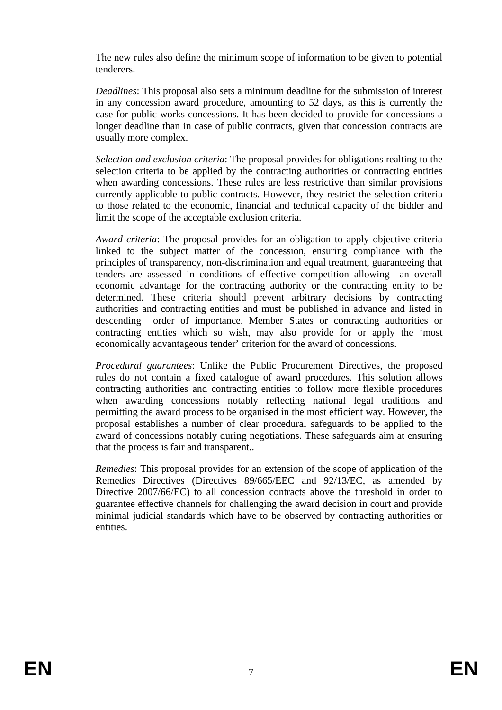The new rules also define the minimum scope of information to be given to potential tenderers.

*Deadlines*: This proposal also sets a minimum deadline for the submission of interest in any concession award procedure, amounting to 52 days, as this is currently the case for public works concessions. It has been decided to provide for concessions a longer deadline than in case of public contracts, given that concession contracts are usually more complex.

*Selection and exclusion criteria*: The proposal provides for obligations realting to the selection criteria to be applied by the contracting authorities or contracting entities when awarding concessions. These rules are less restrictive than similar provisions currently applicable to public contracts. However, they restrict the selection criteria to those related to the economic, financial and technical capacity of the bidder and limit the scope of the acceptable exclusion criteria.

*Award criteria*: The proposal provides for an obligation to apply objective criteria linked to the subject matter of the concession, ensuring compliance with the principles of transparency, non-discrimination and equal treatment, guaranteeing that tenders are assessed in conditions of effective competition allowing an overall economic advantage for the contracting authority or the contracting entity to be determined. These criteria should prevent arbitrary decisions by contracting authorities and contracting entities and must be published in advance and listed in descending order of importance. Member States or contracting authorities or contracting entities which so wish, may also provide for or apply the 'most economically advantageous tender' criterion for the award of concessions.

*Procedural guarantees*: Unlike the Public Procurement Directives, the proposed rules do not contain a fixed catalogue of award procedures. This solution allows contracting authorities and contracting entities to follow more flexible procedures when awarding concessions notably reflecting national legal traditions and permitting the award process to be organised in the most efficient way. However, the proposal establishes a number of clear procedural safeguards to be applied to the award of concessions notably during negotiations. These safeguards aim at ensuring that the process is fair and transparent..

*Remedies*: This proposal provides for an extension of the scope of application of the Remedies Directives (Directives 89/665/EEC and 92/13/EC, as amended by Directive 2007/66/EC) to all concession contracts above the threshold in order to guarantee effective channels for challenging the award decision in court and provide minimal judicial standards which have to be observed by contracting authorities or entities.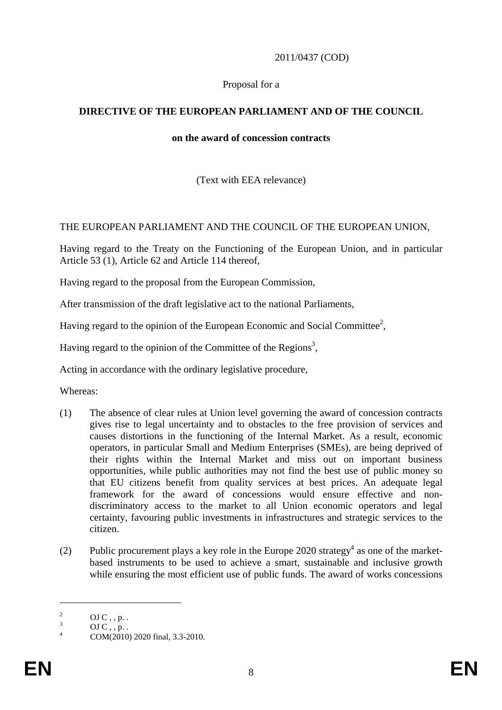## 2011/0437 (COD)

## Proposal for a

# **DIRECTIVE OF THE EUROPEAN PARLIAMENT AND OF THE COUNCIL**

#### **on the award of concession contracts**

(Text with EEA relevance)

## THE EUROPEAN PARLIAMENT AND THE COUNCIL OF THE EUROPEAN UNION,

Having regard to the Treaty on the Functioning of the European Union, and in particular Article 53 (1), Article 62 and Article 114 thereof,

Having regard to the proposal from the European Commission,

After transmission of the draft legislative act to the national Parliaments,

Having regard to the opinion of the European Economic and Social Committee<sup>2</sup>,

Having regard to the opinion of the Committee of the Regions<sup>3</sup>,

Acting in accordance with the ordinary legislative procedure,

Whereas:

- (1) The absence of clear rules at Union level governing the award of concession contracts gives rise to legal uncertainty and to obstacles to the free provision of services and causes distortions in the functioning of the Internal Market. As a result, economic operators, in particular Small and Medium Enterprises (SMEs), are being deprived of their rights within the Internal Market and miss out on important business opportunities, while public authorities may not find the best use of public money so that EU citizens benefit from quality services at best prices. An adequate legal framework for the award of concessions would ensure effective and nondiscriminatory access to the market to all Union economic operators and legal certainty, favouring public investments in infrastructures and strategic services to the citizen.
- (2) Public procurement plays a key role in the Europe 2020 strategy<sup>4</sup> as one of the marketbased instruments to be used to achieve a smart, sustainable and inclusive growth while ensuring the most efficient use of public funds. The award of works concessions

<sup>2</sup> OJ  $C$ , ,  $p$ .

<sup>3</sup> OJ  $C_$ ., p. .

<sup>4</sup> COM(2010) 2020 final, 3.3-2010.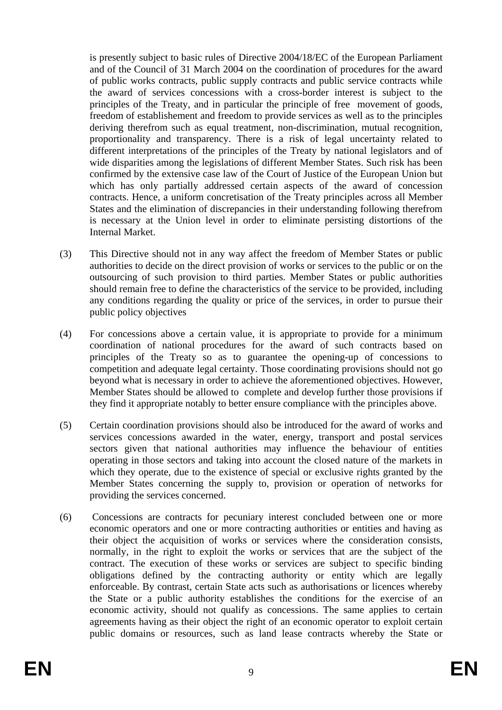is presently subject to basic rules of Directive 2004/18/EC of the European Parliament and of the Council of 31 March 2004 on the coordination of procedures for the award of public works contracts, public supply contracts and public service contracts while the award of services concessions with a cross-border interest is subject to the principles of the Treaty, and in particular the principle of free movement of goods, freedom of establishement and freedom to provide services as well as to the principles deriving therefrom such as equal treatment, non-discrimination, mutual recognition, proportionality and transparency. There is a risk of legal uncertainty related to different interpretations of the principles of the Treaty by national legislators and of wide disparities among the legislations of different Member States. Such risk has been confirmed by the extensive case law of the Court of Justice of the European Union but which has only partially addressed certain aspects of the award of concession contracts. Hence, a uniform concretisation of the Treaty principles across all Member States and the elimination of discrepancies in their understanding following therefrom is necessary at the Union level in order to eliminate persisting distortions of the Internal Market.

- (3) This Directive should not in any way affect the freedom of Member States or public authorities to decide on the direct provision of works or services to the public or on the outsourcing of such provision to third parties. Member States or public authorities should remain free to define the characteristics of the service to be provided, including any conditions regarding the quality or price of the services, in order to pursue their public policy objectives
- (4) For concessions above a certain value, it is appropriate to provide for a minimum coordination of national procedures for the award of such contracts based on principles of the Treaty so as to guarantee the opening-up of concessions to competition and adequate legal certainty. Those coordinating provisions should not go beyond what is necessary in order to achieve the aforementioned objectives. However, Member States should be allowed to complete and develop further those provisions if they find it appropriate notably to better ensure compliance with the principles above.
- (5) Certain coordination provisions should also be introduced for the award of works and services concessions awarded in the water, energy, transport and postal services sectors given that national authorities may influence the behaviour of entities operating in those sectors and taking into account the closed nature of the markets in which they operate, due to the existence of special or exclusive rights granted by the Member States concerning the supply to, provision or operation of networks for providing the services concerned.
- (6) Concessions are contracts for pecuniary interest concluded between one or more economic operators and one or more contracting authorities or entities and having as their object the acquisition of works or services where the consideration consists, normally, in the right to exploit the works or services that are the subject of the contract. The execution of these works or services are subject to specific binding obligations defined by the contracting authority or entity which are legally enforceable. By contrast, certain State acts such as authorisations or licences whereby the State or a public authority establishes the conditions for the exercise of an economic activity, should not qualify as concessions. The same applies to certain agreements having as their object the right of an economic operator to exploit certain public domains or resources, such as land lease contracts whereby the State or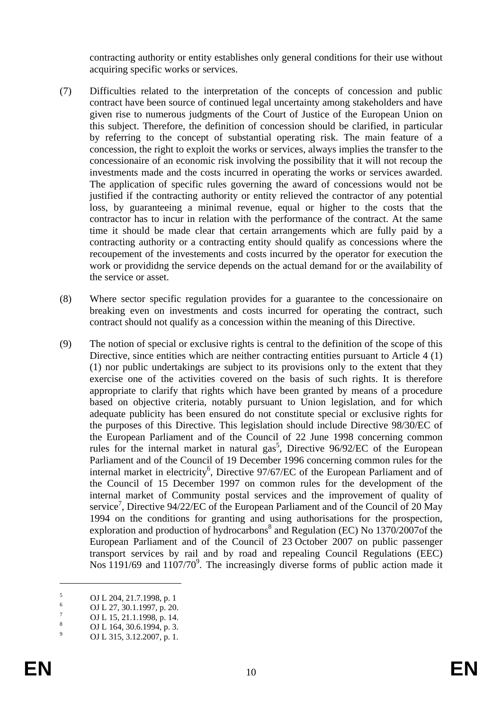contracting authority or entity establishes only general conditions for their use without acquiring specific works or services.

- (7) Difficulties related to the interpretation of the concepts of concession and public contract have been source of continued legal uncertainty among stakeholders and have given rise to numerous judgments of the Court of Justice of the European Union on this subject. Therefore, the definition of concession should be clarified, in particular by referring to the concept of substantial operating risk. The main feature of a concession, the right to exploit the works or services, always implies the transfer to the concessionaire of an economic risk involving the possibility that it will not recoup the investments made and the costs incurred in operating the works or services awarded. The application of specific rules governing the award of concessions would not be justified if the contracting authority or entity relieved the contractor of any potential loss, by guaranteeing a minimal revenue, equal or higher to the costs that the contractor has to incur in relation with the performance of the contract. At the same time it should be made clear that certain arrangements which are fully paid by a contracting authority or a contracting entity should qualify as concessions where the recoupement of the investements and costs incurred by the operator for execution the work or provididng the service depends on the actual demand for or the availability of the service or asset.
- (8) Where sector specific regulation provides for a guarantee to the concessionaire on breaking even on investments and costs incurred for operating the contract, such contract should not qualify as a concession within the meaning of this Directive.
- (9) The notion of special or exclusive rights is central to the definition of the scope of this Directive, since entities which are neither contracting entities pursuant to Article 4 (1) (1) nor public undertakings are subject to its provisions only to the extent that they exercise one of the activities covered on the basis of such rights. It is therefore appropriate to clarify that rights which have been granted by means of a procedure based on objective criteria, notably pursuant to Union legislation, and for which adequate publicity has been ensured do not constitute special or exclusive rights for the purposes of this Directive. This legislation should include Directive 98/30/EC of the European Parliament and of the Council of 22 June 1998 concerning common rules for the internal market in natural  $gas<sup>5</sup>$ , Directive 96/92/EC of the European Parliament and of the Council of 19 December 1996 concerning common rules for the internal market in electricity<sup>6</sup>, Directive 97/67/EC of the European Parliament and of the Council of 15 December 1997 on common rules for the development of the internal market of Community postal services and the improvement of quality of service<sup>7</sup>, Directive 94/22/EC of the European Parliament and of the Council of 20 May 1994 on the conditions for granting and using authorisations for the prospection, exploration and production of hydrocarbons<sup>8</sup> and Regulation (EC) No 1370/2007of the European Parliament and of the Council of 23 October 2007 on public passenger transport services by rail and by road and repealing Council Regulations (EEC) Nos  $1191/69$  and  $1107/70<sup>9</sup>$ . The increasingly diverse forms of public action made it

<u>.</u>

<sup>5</sup> OJ L 204, 21.7.1998, p. 1

<sup>6</sup> OJ L 27, 30.1.1997, p. 20.

<sup>7</sup> OJ L 15, 21.1.1998, p. 14.

<sup>8</sup> OJ L 164, 30.6.1994, p. 3.

<sup>9</sup> OJ L 315, 3.12.2007, p. 1.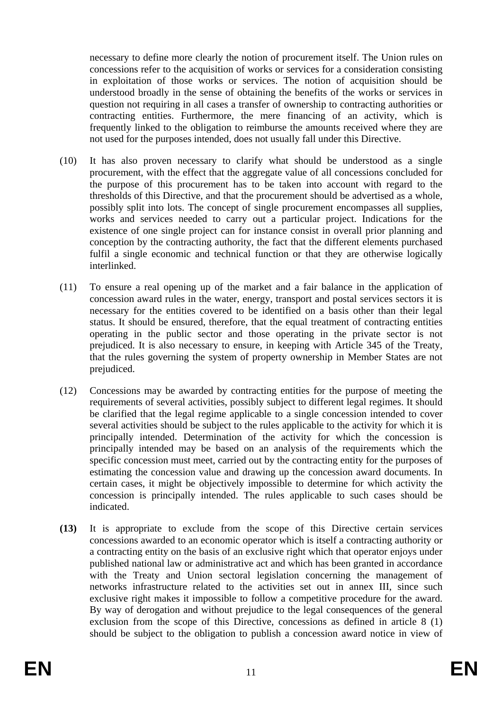necessary to define more clearly the notion of procurement itself. The Union rules on concessions refer to the acquisition of works or services for a consideration consisting in exploitation of those works or services. The notion of acquisition should be understood broadly in the sense of obtaining the benefits of the works or services in question not requiring in all cases a transfer of ownership to contracting authorities or contracting entities. Furthermore, the mere financing of an activity, which is frequently linked to the obligation to reimburse the amounts received where they are not used for the purposes intended, does not usually fall under this Directive.

- (10) It has also proven necessary to clarify what should be understood as a single procurement, with the effect that the aggregate value of all concessions concluded for the purpose of this procurement has to be taken into account with regard to the thresholds of this Directive, and that the procurement should be advertised as a whole, possibly split into lots. The concept of single procurement encompasses all supplies, works and services needed to carry out a particular project. Indications for the existence of one single project can for instance consist in overall prior planning and conception by the contracting authority, the fact that the different elements purchased fulfil a single economic and technical function or that they are otherwise logically interlinked.
- (11) To ensure a real opening up of the market and a fair balance in the application of concession award rules in the water, energy, transport and postal services sectors it is necessary for the entities covered to be identified on a basis other than their legal status. It should be ensured, therefore, that the equal treatment of contracting entities operating in the public sector and those operating in the private sector is not prejudiced. It is also necessary to ensure, in keeping with Article 345 of the Treaty, that the rules governing the system of property ownership in Member States are not prejudiced.
- (12) Concessions may be awarded by contracting entities for the purpose of meeting the requirements of several activities, possibly subject to different legal regimes. It should be clarified that the legal regime applicable to a single concession intended to cover several activities should be subject to the rules applicable to the activity for which it is principally intended. Determination of the activity for which the concession is principally intended may be based on an analysis of the requirements which the specific concession must meet, carried out by the contracting entity for the purposes of estimating the concession value and drawing up the concession award documents. In certain cases, it might be objectively impossible to determine for which activity the concession is principally intended. The rules applicable to such cases should be indicated.
- **(13)** It is appropriate to exclude from the scope of this Directive certain services concessions awarded to an economic operator which is itself a contracting authority or a contracting entity on the basis of an exclusive right which that operator enjoys under published national law or administrative act and which has been granted in accordance with the Treaty and Union sectoral legislation concerning the management of networks infrastructure related to the activities set out in annex III, since such exclusive right makes it impossible to follow a competitive procedure for the award. By way of derogation and without prejudice to the legal consequences of the general exclusion from the scope of this Directive, concessions as defined in article 8 (1) should be subject to the obligation to publish a concession award notice in view of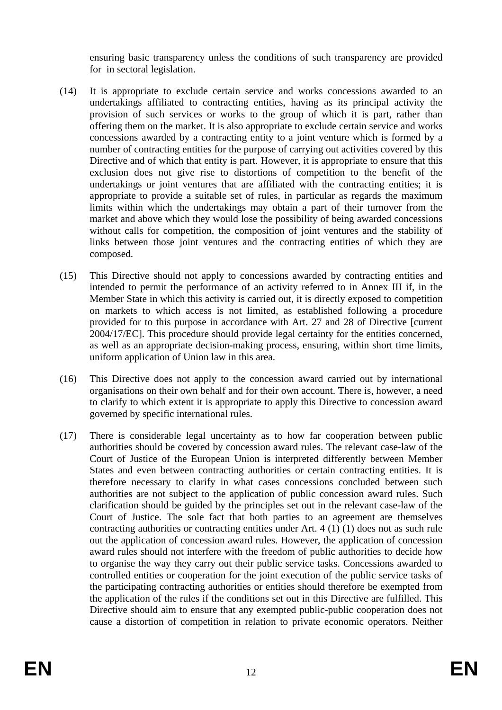ensuring basic transparency unless the conditions of such transparency are provided for in sectoral legislation.

- (14) It is appropriate to exclude certain service and works concessions awarded to an undertakings affiliated to contracting entities, having as its principal activity the provision of such services or works to the group of which it is part, rather than offering them on the market. It is also appropriate to exclude certain service and works concessions awarded by a contracting entity to a joint venture which is formed by a number of contracting entities for the purpose of carrying out activities covered by this Directive and of which that entity is part. However, it is appropriate to ensure that this exclusion does not give rise to distortions of competition to the benefit of the undertakings or joint ventures that are affiliated with the contracting entities; it is appropriate to provide a suitable set of rules, in particular as regards the maximum limits within which the undertakings may obtain a part of their turnover from the market and above which they would lose the possibility of being awarded concessions without calls for competition, the composition of joint ventures and the stability of links between those joint ventures and the contracting entities of which they are composed.
- (15) This Directive should not apply to concessions awarded by contracting entities and intended to permit the performance of an activity referred to in Annex III if, in the Member State in which this activity is carried out, it is directly exposed to competition on markets to which access is not limited, as established following a procedure provided for to this purpose in accordance with Art. 27 and 28 of Directive [current 2004/17/EC]. This procedure should provide legal certainty for the entities concerned, as well as an appropriate decision-making process, ensuring, within short time limits, uniform application of Union law in this area.
- (16) This Directive does not apply to the concession award carried out by international organisations on their own behalf and for their own account. There is, however, a need to clarify to which extent it is appropriate to apply this Directive to concession award governed by specific international rules.
- (17) There is considerable legal uncertainty as to how far cooperation between public authorities should be covered by concession award rules. The relevant case-law of the Court of Justice of the European Union is interpreted differently between Member States and even between contracting authorities or certain contracting entities. It is therefore necessary to clarify in what cases concessions concluded between such authorities are not subject to the application of public concession award rules. Such clarification should be guided by the principles set out in the relevant case-law of the Court of Justice. The sole fact that both parties to an agreement are themselves contracting authorities or contracting entities under Art. 4 (1) (1) does not as such rule out the application of concession award rules. However, the application of concession award rules should not interfere with the freedom of public authorities to decide how to organise the way they carry out their public service tasks. Concessions awarded to controlled entities or cooperation for the joint execution of the public service tasks of the participating contracting authorities or entities should therefore be exempted from the application of the rules if the conditions set out in this Directive are fulfilled. This Directive should aim to ensure that any exempted public-public cooperation does not cause a distortion of competition in relation to private economic operators. Neither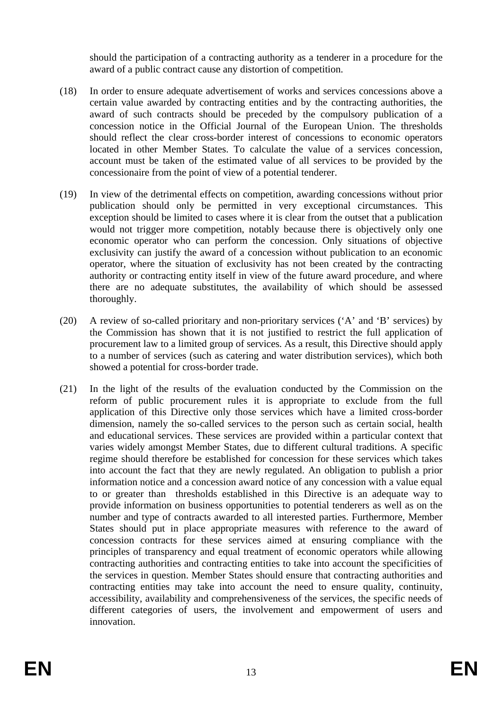should the participation of a contracting authority as a tenderer in a procedure for the award of a public contract cause any distortion of competition.

- (18) In order to ensure adequate advertisement of works and services concessions above a certain value awarded by contracting entities and by the contracting authorities, the award of such contracts should be preceded by the compulsory publication of a concession notice in the Official Journal of the European Union. The thresholds should reflect the clear cross-border interest of concessions to economic operators located in other Member States. To calculate the value of a services concession, account must be taken of the estimated value of all services to be provided by the concessionaire from the point of view of a potential tenderer.
- (19) In view of the detrimental effects on competition, awarding concessions without prior publication should only be permitted in very exceptional circumstances. This exception should be limited to cases where it is clear from the outset that a publication would not trigger more competition, notably because there is objectively only one economic operator who can perform the concession. Only situations of objective exclusivity can justify the award of a concession without publication to an economic operator, where the situation of exclusivity has not been created by the contracting authority or contracting entity itself in view of the future award procedure, and where there are no adequate substitutes, the availability of which should be assessed thoroughly.
- (20) A review of so-called prioritary and non-prioritary services ('A' and 'B' services) by the Commission has shown that it is not justified to restrict the full application of procurement law to a limited group of services. As a result, this Directive should apply to a number of services (such as catering and water distribution services), which both showed a potential for cross-border trade.
- (21) In the light of the results of the evaluation conducted by the Commission on the reform of public procurement rules it is appropriate to exclude from the full application of this Directive only those services which have a limited cross-border dimension, namely the so-called services to the person such as certain social, health and educational services. These services are provided within a particular context that varies widely amongst Member States, due to different cultural traditions. A specific regime should therefore be established for concession for these services which takes into account the fact that they are newly regulated. An obligation to publish a prior information notice and a concession award notice of any concession with a value equal to or greater than thresholds established in this Directive is an adequate way to provide information on business opportunities to potential tenderers as well as on the number and type of contracts awarded to all interested parties. Furthermore, Member States should put in place appropriate measures with reference to the award of concession contracts for these services aimed at ensuring compliance with the principles of transparency and equal treatment of economic operators while allowing contracting authorities and contracting entities to take into account the specificities of the services in question. Member States should ensure that contracting authorities and contracting entities may take into account the need to ensure quality, continuity, accessibility, availability and comprehensiveness of the services, the specific needs of different categories of users, the involvement and empowerment of users and innovation.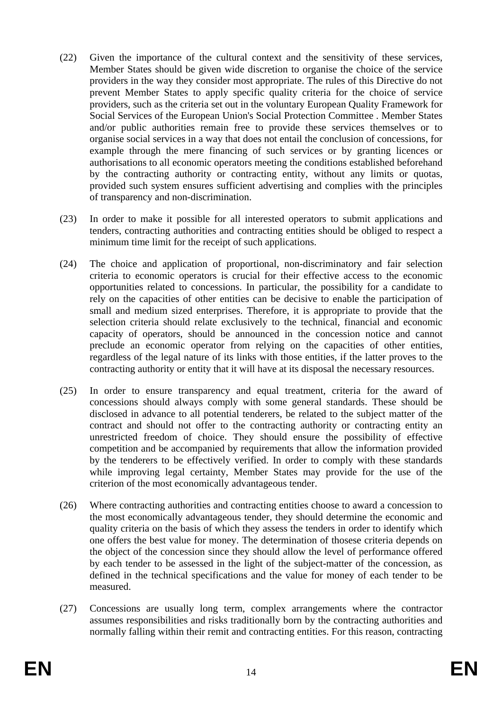- (22) Given the importance of the cultural context and the sensitivity of these services, Member States should be given wide discretion to organise the choice of the service providers in the way they consider most appropriate. The rules of this Directive do not prevent Member States to apply specific quality criteria for the choice of service providers, such as the criteria set out in the voluntary European Quality Framework for Social Services of the European Union's Social Protection Committee . Member States and/or public authorities remain free to provide these services themselves or to organise social services in a way that does not entail the conclusion of concessions, for example through the mere financing of such services or by granting licences or authorisations to all economic operators meeting the conditions established beforehand by the contracting authority or contracting entity, without any limits or quotas, provided such system ensures sufficient advertising and complies with the principles of transparency and non-discrimination.
- (23) In order to make it possible for all interested operators to submit applications and tenders, contracting authorities and contracting entities should be obliged to respect a minimum time limit for the receipt of such applications.
- (24) The choice and application of proportional, non-discriminatory and fair selection criteria to economic operators is crucial for their effective access to the economic opportunities related to concessions. In particular, the possibility for a candidate to rely on the capacities of other entities can be decisive to enable the participation of small and medium sized enterprises. Therefore, it is appropriate to provide that the selection criteria should relate exclusively to the technical, financial and economic capacity of operators, should be announced in the concession notice and cannot preclude an economic operator from relying on the capacities of other entities, regardless of the legal nature of its links with those entities, if the latter proves to the contracting authority or entity that it will have at its disposal the necessary resources.
- (25) In order to ensure transparency and equal treatment, criteria for the award of concessions should always comply with some general standards. These should be disclosed in advance to all potential tenderers, be related to the subject matter of the contract and should not offer to the contracting authority or contracting entity an unrestricted freedom of choice. They should ensure the possibility of effective competition and be accompanied by requirements that allow the information provided by the tenderers to be effectively verified. In order to comply with these standards while improving legal certainty, Member States may provide for the use of the criterion of the most economically advantageous tender.
- (26) Where contracting authorities and contracting entities choose to award a concession to the most economically advantageous tender, they should determine the economic and quality criteria on the basis of which they assess the tenders in order to identify which one offers the best value for money. The determination of thosese criteria depends on the object of the concession since they should allow the level of performance offered by each tender to be assessed in the light of the subject-matter of the concession, as defined in the technical specifications and the value for money of each tender to be measured.
- (27) Concessions are usually long term, complex arrangements where the contractor assumes responsibilities and risks traditionally born by the contracting authorities and normally falling within their remit and contracting entities. For this reason, contracting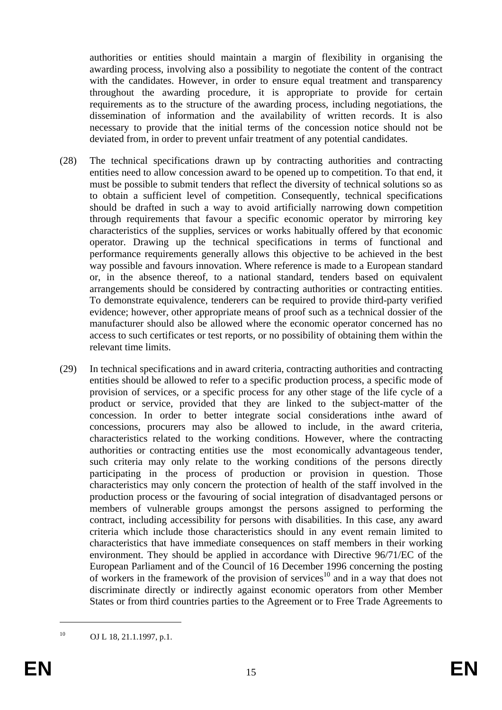authorities or entities should maintain a margin of flexibility in organising the awarding process, involving also a possibility to negotiate the content of the contract with the candidates. However, in order to ensure equal treatment and transparency throughout the awarding procedure, it is appropriate to provide for certain requirements as to the structure of the awarding process, including negotiations, the dissemination of information and the availability of written records. It is also necessary to provide that the initial terms of the concession notice should not be deviated from, in order to prevent unfair treatment of any potential candidates.

- (28) The technical specifications drawn up by contracting authorities and contracting entities need to allow concession award to be opened up to competition. To that end, it must be possible to submit tenders that reflect the diversity of technical solutions so as to obtain a sufficient level of competition. Consequently, technical specifications should be drafted in such a way to avoid artificially narrowing down competition through requirements that favour a specific economic operator by mirroring key characteristics of the supplies, services or works habitually offered by that economic operator. Drawing up the technical specifications in terms of functional and performance requirements generally allows this objective to be achieved in the best way possible and favours innovation. Where reference is made to a European standard or, in the absence thereof, to a national standard, tenders based on equivalent arrangements should be considered by contracting authorities or contracting entities. To demonstrate equivalence, tenderers can be required to provide third-party verified evidence; however, other appropriate means of proof such as a technical dossier of the manufacturer should also be allowed where the economic operator concerned has no access to such certificates or test reports, or no possibility of obtaining them within the relevant time limits.
- (29) In technical specifications and in award criteria, contracting authorities and contracting entities should be allowed to refer to a specific production process, a specific mode of provision of services, or a specific process for any other stage of the life cycle of a product or service, provided that they are linked to the subject-matter of the concession. In order to better integrate social considerations inthe award of concessions, procurers may also be allowed to include, in the award criteria, characteristics related to the working conditions. However, where the contracting authorities or contracting entities use the most economically advantageous tender, such criteria may only relate to the working conditions of the persons directly participating in the process of production or provision in question. Those characteristics may only concern the protection of health of the staff involved in the production process or the favouring of social integration of disadvantaged persons or members of vulnerable groups amongst the persons assigned to performing the contract, including accessibility for persons with disabilities. In this case, any award criteria which include those characteristics should in any event remain limited to characteristics that have immediate consequences on staff members in their working environment. They should be applied in accordance with Directive 96/71/EC of the European Parliament and of the Council of 16 December 1996 concerning the posting of workers in the framework of the provision of services<sup>10</sup> and in a way that does not discriminate directly or indirectly against economic operators from other Member States or from third countries parties to the Agreement or to Free Trade Agreements to

 $10$  OJ L 18, 21.1.1997, p.1.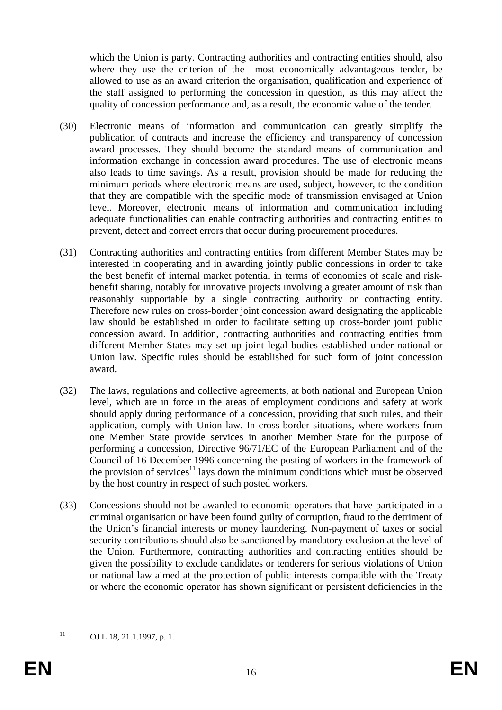which the Union is party. Contracting authorities and contracting entities should, also where they use the criterion of the most economically advantageous tender, be allowed to use as an award criterion the organisation, qualification and experience of the staff assigned to performing the concession in question, as this may affect the quality of concession performance and, as a result, the economic value of the tender.

- (30) Electronic means of information and communication can greatly simplify the publication of contracts and increase the efficiency and transparency of concession award processes. They should become the standard means of communication and information exchange in concession award procedures. The use of electronic means also leads to time savings. As a result, provision should be made for reducing the minimum periods where electronic means are used, subject, however, to the condition that they are compatible with the specific mode of transmission envisaged at Union level. Moreover, electronic means of information and communication including adequate functionalities can enable contracting authorities and contracting entities to prevent, detect and correct errors that occur during procurement procedures.
- (31) Contracting authorities and contracting entities from different Member States may be interested in cooperating and in awarding jointly public concessions in order to take the best benefit of internal market potential in terms of economies of scale and riskbenefit sharing, notably for innovative projects involving a greater amount of risk than reasonably supportable by a single contracting authority or contracting entity. Therefore new rules on cross-border joint concession award designating the applicable law should be established in order to facilitate setting up cross-border joint public concession award. In addition, contracting authorities and contracting entities from different Member States may set up joint legal bodies established under national or Union law. Specific rules should be established for such form of joint concession award.
- (32) The laws, regulations and collective agreements, at both national and European Union level, which are in force in the areas of employment conditions and safety at work should apply during performance of a concession, providing that such rules, and their application, comply with Union law. In cross-border situations, where workers from one Member State provide services in another Member State for the purpose of performing a concession, Directive 96/71/EC of the European Parliament and of the Council of 16 December 1996 concerning the posting of workers in the framework of the provision of services $11$  lays down the minimum conditions which must be observed by the host country in respect of such posted workers.
- (33) Concessions should not be awarded to economic operators that have participated in a criminal organisation or have been found guilty of corruption, fraud to the detriment of the Union's financial interests or money laundering. Non-payment of taxes or social security contributions should also be sanctioned by mandatory exclusion at the level of the Union. Furthermore, contracting authorities and contracting entities should be given the possibility to exclude candidates or tenderers for serious violations of Union or national law aimed at the protection of public interests compatible with the Treaty or where the economic operator has shown significant or persistent deficiencies in the

 $11$  OJ L 18, 21.1.1997, p. 1.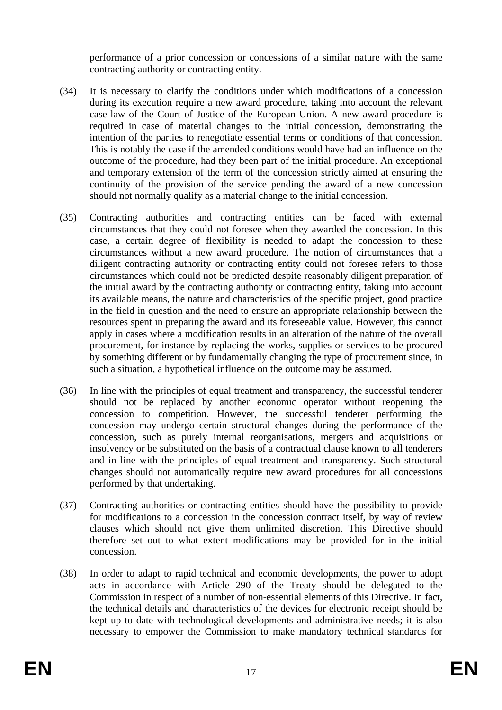performance of a prior concession or concessions of a similar nature with the same contracting authority or contracting entity.

- (34) It is necessary to clarify the conditions under which modifications of a concession during its execution require a new award procedure, taking into account the relevant case-law of the Court of Justice of the European Union. A new award procedure is required in case of material changes to the initial concession, demonstrating the intention of the parties to renegotiate essential terms or conditions of that concession. This is notably the case if the amended conditions would have had an influence on the outcome of the procedure, had they been part of the initial procedure. An exceptional and temporary extension of the term of the concession strictly aimed at ensuring the continuity of the provision of the service pending the award of a new concession should not normally qualify as a material change to the initial concession.
- (35) Contracting authorities and contracting entities can be faced with external circumstances that they could not foresee when they awarded the concession. In this case, a certain degree of flexibility is needed to adapt the concession to these circumstances without a new award procedure. The notion of circumstances that a diligent contracting authority or contracting entity could not foresee refers to those circumstances which could not be predicted despite reasonably diligent preparation of the initial award by the contracting authority or contracting entity, taking into account its available means, the nature and characteristics of the specific project, good practice in the field in question and the need to ensure an appropriate relationship between the resources spent in preparing the award and its foreseeable value. However, this cannot apply in cases where a modification results in an alteration of the nature of the overall procurement, for instance by replacing the works, supplies or services to be procured by something different or by fundamentally changing the type of procurement since, in such a situation, a hypothetical influence on the outcome may be assumed.
- (36) In line with the principles of equal treatment and transparency, the successful tenderer should not be replaced by another economic operator without reopening the concession to competition. However, the successful tenderer performing the concession may undergo certain structural changes during the performance of the concession, such as purely internal reorganisations, mergers and acquisitions or insolvency or be substituted on the basis of a contractual clause known to all tenderers and in line with the principles of equal treatment and transparency. Such structural changes should not automatically require new award procedures for all concessions performed by that undertaking.
- (37) Contracting authorities or contracting entities should have the possibility to provide for modifications to a concession in the concession contract itself, by way of review clauses which should not give them unlimited discretion. This Directive should therefore set out to what extent modifications may be provided for in the initial concession.
- (38) In order to adapt to rapid technical and economic developments, the power to adopt acts in accordance with Article 290 of the Treaty should be delegated to the Commission in respect of a number of non-essential elements of this Directive. In fact, the technical details and characteristics of the devices for electronic receipt should be kept up to date with technological developments and administrative needs; it is also necessary to empower the Commission to make mandatory technical standards for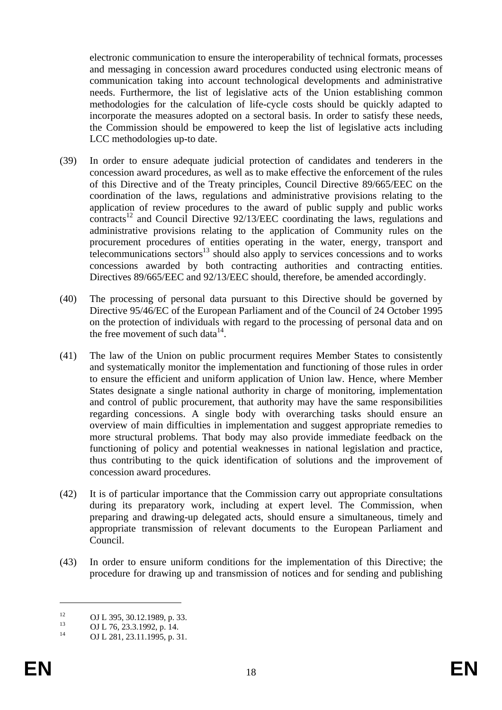electronic communication to ensure the interoperability of technical formats, processes and messaging in concession award procedures conducted using electronic means of communication taking into account technological developments and administrative needs. Furthermore, the list of legislative acts of the Union establishing common methodologies for the calculation of life-cycle costs should be quickly adapted to incorporate the measures adopted on a sectoral basis. In order to satisfy these needs, the Commission should be empowered to keep the list of legislative acts including LCC methodologies up-to date.

- (39) In order to ensure adequate judicial protection of candidates and tenderers in the concession award procedures, as well as to make effective the enforcement of the rules of this Directive and of the Treaty principles, Council Directive 89/665/EEC on the coordination of the laws, regulations and administrative provisions relating to the application of review procedures to the award of public supply and public works  $contracts<sup>12</sup>$  and Council Directive 92/13/EEC coordinating the laws, regulations and administrative provisions relating to the application of Community rules on the procurement procedures of entities operating in the water, energy, transport and telecommunications sectors<sup>13</sup> should also apply to services concessions and to works concessions awarded by both contracting authorities and contracting entities. Directives 89/665/EEC and 92/13/EEC should, therefore, be amended accordingly.
- (40) The processing of personal data pursuant to this Directive should be governed by Directive 95/46/EC of the European Parliament and of the Council of 24 October 1995 on the protection of individuals with regard to the processing of personal data and on the free movement of such data $^{14}$ .
- (41) The law of the Union on public procurment requires Member States to consistently and systematically monitor the implementation and functioning of those rules in order to ensure the efficient and uniform application of Union law. Hence, where Member States designate a single national authority in charge of monitoring, implementation and control of public procurement, that authority may have the same responsibilities regarding concessions. A single body with overarching tasks should ensure an overview of main difficulties in implementation and suggest appropriate remedies to more structural problems. That body may also provide immediate feedback on the functioning of policy and potential weaknesses in national legislation and practice, thus contributing to the quick identification of solutions and the improvement of concession award procedures.
- (42) It is of particular importance that the Commission carry out appropriate consultations during its preparatory work, including at expert level. The Commission, when preparing and drawing-up delegated acts, should ensure a simultaneous, timely and appropriate transmission of relevant documents to the European Parliament and Council.
- (43) In order to ensure uniform conditions for the implementation of this Directive; the procedure for drawing up and transmission of notices and for sending and publishing

<sup>&</sup>lt;sup>12</sup> OJ L 395, 30.12.1989, p. 33.

 $13$  OJ L 76, 23.3.1992, p. 14.

OJ L 281, 23.11.1995, p. 31.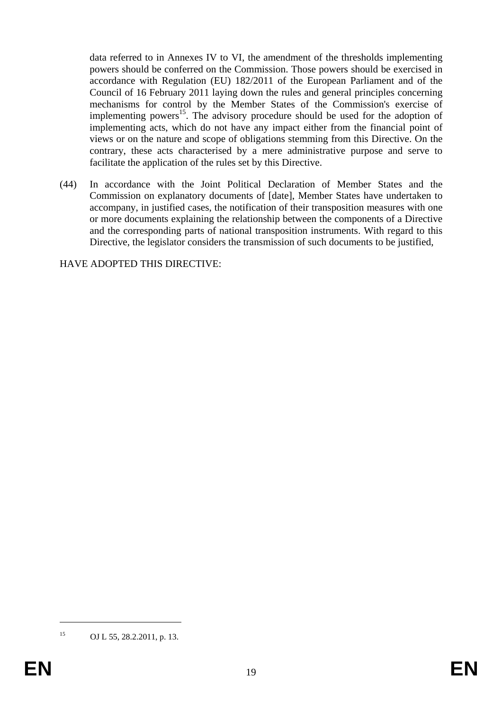data referred to in Annexes IV to VI, the amendment of the thresholds implementing powers should be conferred on the Commission. Those powers should be exercised in accordance with Regulation (EU) 182/2011 of the European Parliament and of the Council of 16 February 2011 laying down the rules and general principles concerning mechanisms for control by the Member States of the Commission's exercise of implementing powers<sup>15</sup>. The advisory procedure should be used for the adoption of implementing acts, which do not have any impact either from the financial point of views or on the nature and scope of obligations stemming from this Directive. On the contrary, these acts characterised by a mere administrative purpose and serve to facilitate the application of the rules set by this Directive.

(44) In accordance with the Joint Political Declaration of Member States and the Commission on explanatory documents of [date], Member States have undertaken to accompany, in justified cases, the notification of their transposition measures with one or more documents explaining the relationship between the components of a Directive and the corresponding parts of national transposition instruments. With regard to this Directive, the legislator considers the transmission of such documents to be justified,

HAVE ADOPTED THIS DIRECTIVE:

<sup>15</sup> OJ L 55, 28.2.2011, p. 13.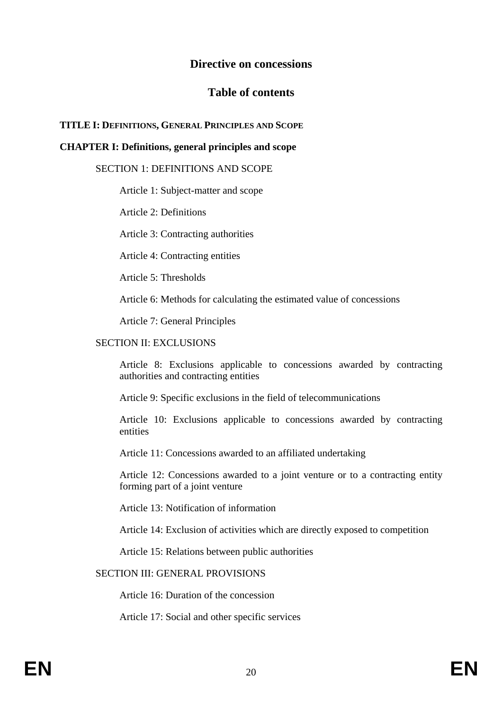# **Directive on concessions**

# **Table of contents**

## **TITLE I: DEFINITIONS, GENERAL PRINCIPLES AND SCOPE**

## **CHAPTER I: Definitions, general principles and scope**

#### SECTION 1: DEFINITIONS AND SCOPE

Article 1: Subject-matter and scope

Article 2: Definitions

Article 3: Contracting authorities

Article 4: Contracting entities

Article 5: Thresholds

Article 6: Methods for calculating the estimated value of concessions

Article 7: General Principles

#### SECTION II: EXCLUSIONS

Article 8: Exclusions applicable to concessions awarded by contracting authorities and contracting entities

Article 9: Specific exclusions in the field of telecommunications

Article 10: Exclusions applicable to concessions awarded by contracting entities

Article 11: Concessions awarded to an affiliated undertaking

Article 12: Concessions awarded to a joint venture or to a contracting entity forming part of a joint venture

Article 13: Notification of information

Article 14: Exclusion of activities which are directly exposed to competition

Article 15: Relations between public authorities

#### SECTION III: GENERAL PROVISIONS

Article 16: Duration of the concession

Article 17: Social and other specific services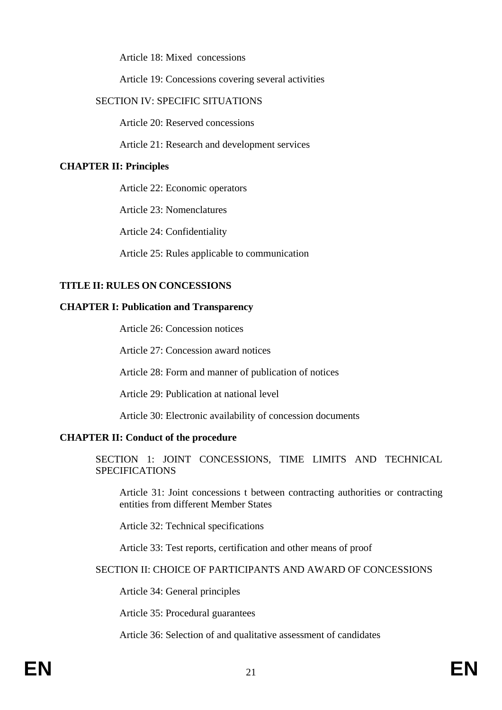Article 18: Mixed concessions

Article 19: Concessions covering several activities

#### SECTION IV: SPECIFIC SITUATIONS

Article 20: Reserved concessions

Article 21: Research and development services

#### **CHAPTER II: Principles**

Article 22: Economic operators

Article 23: Nomenclatures

Article 24: Confidentiality

Article 25: Rules applicable to communication

## **TITLE II: RULES ON CONCESSIONS**

#### **CHAPTER I: Publication and Transparency**

Article 26: Concession notices

Article 27: Concession award notices

Article 28: Form and manner of publication of notices

Article 29: Publication at national level

Article 30: Electronic availability of concession documents

#### **CHAPTER II: Conduct of the procedure**

SECTION 1: JOINT CONCESSIONS, TIME LIMITS AND TECHNICAL **SPECIFICATIONS** 

Article 31: Joint concessions t between contracting authorities or contracting entities from different Member States

Article 32: Technical specifications

Article 33: Test reports, certification and other means of proof

## SECTION II: CHOICE OF PARTICIPANTS AND AWARD OF CONCESSIONS

Article 34: General principles

Article 35: Procedural guarantees

Article 36: Selection of and qualitative assessment of candidates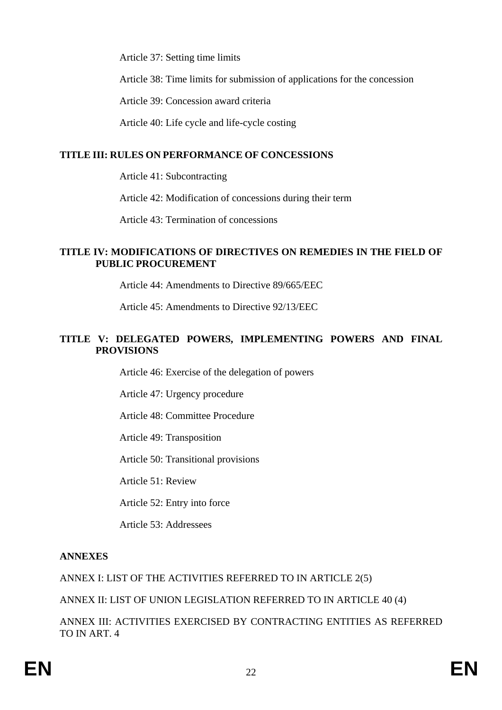Article 37: Setting time limits

Article 38: Time limits for submission of applications for the concession

Article 39: Concession award criteria

Article 40: Life cycle and life-cycle costing

## **TITLE III: RULES ON PERFORMANCE OF CONCESSIONS**

Article 41: Subcontracting

Article 42: Modification of concessions during their term

Article 43: Termination of concessions

## **TITLE IV: MODIFICATIONS OF DIRECTIVES ON REMEDIES IN THE FIELD OF PUBLIC PROCUREMENT**

Article 44: Amendments to Directive 89/665/EEC

Article 45: Amendments to Directive 92/13/EEC

## **TITLE V: DELEGATED POWERS, IMPLEMENTING POWERS AND FINAL PROVISIONS**

Article 46: Exercise of the delegation of powers

Article 47: Urgency procedure

Article 48: Committee Procedure

Article 49: Transposition

Article 50: Transitional provisions

Article 51: Review

Article 52: Entry into force

Article 53: Addressees

# **ANNEXES**

ANNEX I: LIST OF THE ACTIVITIES REFERRED TO IN ARTICLE 2(5)

ANNEX II: LIST OF UNION LEGISLATION REFERRED TO IN ARTICLE 40 (4)

ANNEX III: ACTIVITIES EXERCISED BY CONTRACTING ENTITIES AS REFERRED TO IN ART. 4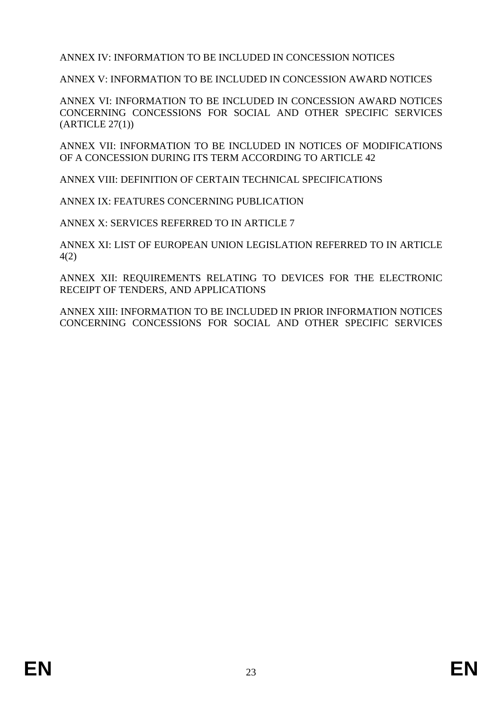ANNEX IV: INFORMATION TO BE INCLUDED IN CONCESSION NOTICES

ANNEX V: INFORMATION TO BE INCLUDED IN CONCESSION AWARD NOTICES

ANNEX VI: INFORMATION TO BE INCLUDED IN CONCESSION AWARD NOTICES CONCERNING CONCESSIONS FOR SOCIAL AND OTHER SPECIFIC SERVICES  $(ARTICLE 27(1))$ 

ANNEX VII: INFORMATION TO BE INCLUDED IN NOTICES OF MODIFICATIONS OF A CONCESSION DURING ITS TERM ACCORDING TO ARTICLE 42

ANNEX VIII: DEFINITION OF CERTAIN TECHNICAL SPECIFICATIONS

ANNEX IX: FEATURES CONCERNING PUBLICATION

ANNEX X: SERVICES REFERRED TO IN ARTICLE 7

ANNEX XI: LIST OF EUROPEAN UNION LEGISLATION REFERRED TO IN ARTICLE 4(2)

ANNEX XII: REQUIREMENTS RELATING TO DEVICES FOR THE ELECTRONIC RECEIPT OF TENDERS, AND APPLICATIONS

ANNEX XIII: INFORMATION TO BE INCLUDED IN PRIOR INFORMATION NOTICES CONCERNING CONCESSIONS FOR SOCIAL AND OTHER SPECIFIC SERVICES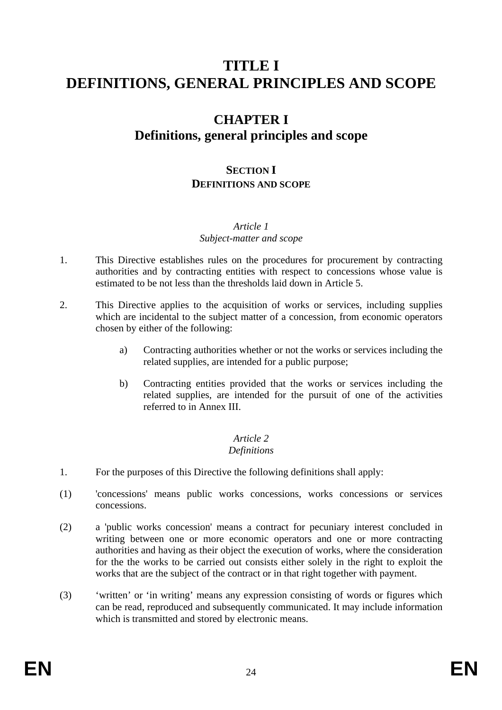# **TITLE I DEFINITIONS, GENERAL PRINCIPLES AND SCOPE**

# **CHAPTER I Definitions, general principles and scope**

# **SECTION I DEFINITIONS AND SCOPE**

# *Article 1*

# *Subject-matter and scope*

- 1. This Directive establishes rules on the procedures for procurement by contracting authorities and by contracting entities with respect to concessions whose value is estimated to be not less than the thresholds laid down in Article 5.
- 2. This Directive applies to the acquisition of works or services, including supplies which are incidental to the subject matter of a concession, from economic operators chosen by either of the following:
	- a) Contracting authorities whether or not the works or services including the related supplies, are intended for a public purpose;
	- b) Contracting entities provided that the works or services including the related supplies, are intended for the pursuit of one of the activities referred to in Annex III.

#### *Article 2 Definitions*

- 1. For the purposes of this Directive the following definitions shall apply:
- (1) 'concessions' means public works concessions, works concessions or services concessions.
- (2) a 'public works concession' means a contract for pecuniary interest concluded in writing between one or more economic operators and one or more contracting authorities and having as their object the execution of works, where the consideration for the the works to be carried out consists either solely in the right to exploit the works that are the subject of the contract or in that right together with payment.
- (3) 'written' or 'in writing' means any expression consisting of words or figures which can be read, reproduced and subsequently communicated. It may include information which is transmitted and stored by electronic means.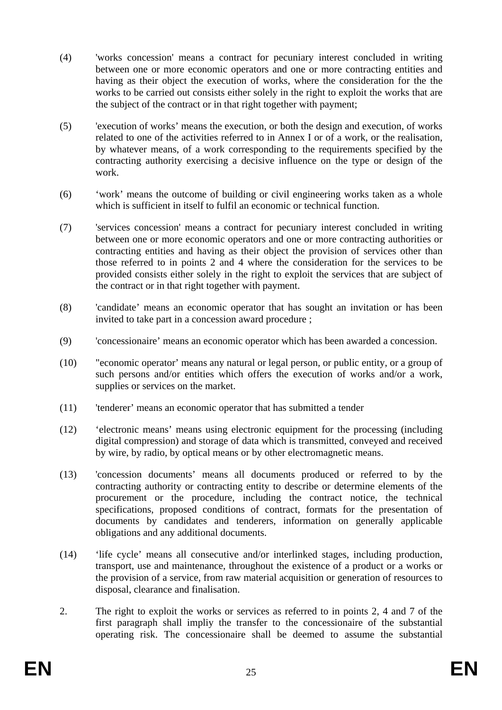- (4) 'works concession' means a contract for pecuniary interest concluded in writing between one or more economic operators and one or more contracting entities and having as their object the execution of works, where the consideration for the the works to be carried out consists either solely in the right to exploit the works that are the subject of the contract or in that right together with payment;
- (5) 'execution of works' means the execution, or both the design and execution, of works related to one of the activities referred to in Annex I or of a work, or the realisation, by whatever means, of a work corresponding to the requirements specified by the contracting authority exercising a decisive influence on the type or design of the work.
- (6) 'work' means the outcome of building or civil engineering works taken as a whole which is sufficient in itself to fulfil an economic or technical function.
- (7) 'services concession' means a contract for pecuniary interest concluded in writing between one or more economic operators and one or more contracting authorities or contracting entities and having as their object the provision of services other than those referred to in points 2 and 4 where the consideration for the services to be provided consists either solely in the right to exploit the services that are subject of the contract or in that right together with payment.
- (8) 'candidate' means an economic operator that has sought an invitation or has been invited to take part in a concession award procedure ;
- (9) 'concessionaire' means an economic operator which has been awarded a concession.
- (10) "economic operator' means any natural or legal person, or public entity, or a group of such persons and/or entities which offers the execution of works and/or a work, supplies or services on the market.
- (11) 'tenderer' means an economic operator that has submitted a tender
- (12) 'electronic means' means using electronic equipment for the processing (including digital compression) and storage of data which is transmitted, conveyed and received by wire, by radio, by optical means or by other electromagnetic means.
- (13) 'concession documents' means all documents produced or referred to by the contracting authority or contracting entity to describe or determine elements of the procurement or the procedure, including the contract notice, the technical specifications, proposed conditions of contract, formats for the presentation of documents by candidates and tenderers, information on generally applicable obligations and any additional documents.
- (14) 'life cycle' means all consecutive and/or interlinked stages, including production, transport, use and maintenance, throughout the existence of a product or a works or the provision of a service, from raw material acquisition or generation of resources to disposal, clearance and finalisation.
- 2. The right to exploit the works or services as referred to in points 2, 4 and 7 of the first paragraph shall impliy the transfer to the concessionaire of the substantial operating risk. The concessionaire shall be deemed to assume the substantial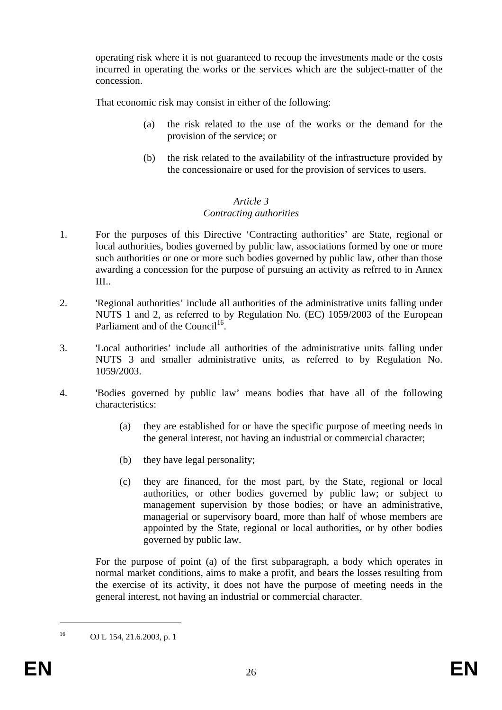operating risk where it is not guaranteed to recoup the investments made or the costs incurred in operating the works or the services which are the subject-matter of the concession.

That economic risk may consist in either of the following:

- (a) the risk related to the use of the works or the demand for the provision of the service; or
- (b) the risk related to the availability of the infrastructure provided by the concessionaire or used for the provision of services to users.

# *Article 3*

# *Contracting authorities*

- 1. For the purposes of this Directive 'Contracting authorities' are State, regional or local authorities, bodies governed by public law, associations formed by one or more such authorities or one or more such bodies governed by public law, other than those awarding a concession for the purpose of pursuing an activity as refrred to in Annex III..
- 2. 'Regional authorities' include all authorities of the administrative units falling under NUTS 1 and 2, as referred to by Regulation No. (EC) 1059/2003 of the European Parliament and of the Council<sup>16</sup>.
- 3. 'Local authorities' include all authorities of the administrative units falling under NUTS 3 and smaller administrative units, as referred to by Regulation No. 1059/2003.
- 4. 'Bodies governed by public law' means bodies that have all of the following characteristics:
	- (a) they are established for or have the specific purpose of meeting needs in the general interest, not having an industrial or commercial character;
	- (b) they have legal personality;
	- (c) they are financed, for the most part, by the State, regional or local authorities, or other bodies governed by public law; or subject to management supervision by those bodies; or have an administrative, managerial or supervisory board, more than half of whose members are appointed by the State, regional or local authorities, or by other bodies governed by public law.

For the purpose of point (a) of the first subparagraph, a body which operates in normal market conditions, aims to make a profit, and bears the losses resulting from the exercise of its activity, it does not have the purpose of meeting needs in the general interest, not having an industrial or commercial character.

<sup>16</sup> OJ L 154, 21.6.2003, p. 1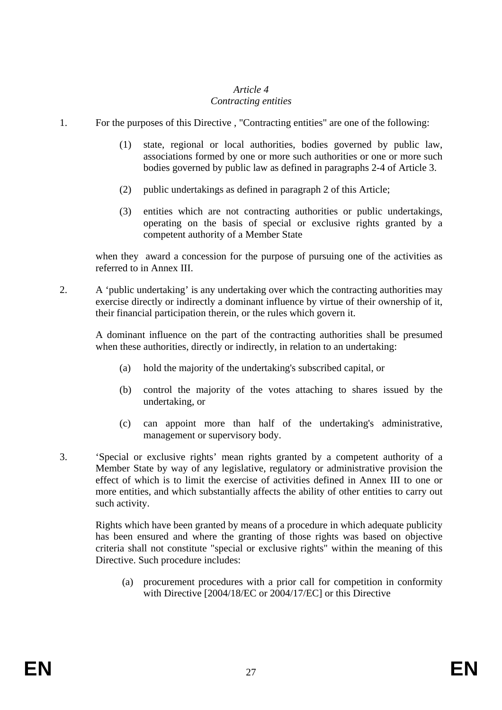## *Article 4 Contracting entities*

- 1. For the purposes of this Directive , "Contracting entities" are one of the following:
	- (1) state, regional or local authorities, bodies governed by public law, associations formed by one or more such authorities or one or more such bodies governed by public law as defined in paragraphs 2-4 of Article 3.
	- (2) public undertakings as defined in paragraph 2 of this Article;
	- (3) entities which are not contracting authorities or public undertakings, operating on the basis of special or exclusive rights granted by a competent authority of a Member State

when they award a concession for the purpose of pursuing one of the activities as referred to in Annex III.

2. A 'public undertaking' is any undertaking over which the contracting authorities may exercise directly or indirectly a dominant influence by virtue of their ownership of it, their financial participation therein, or the rules which govern it.

A dominant influence on the part of the contracting authorities shall be presumed when these authorities, directly or indirectly, in relation to an undertaking:

- (a) hold the majority of the undertaking's subscribed capital, or
- (b) control the majority of the votes attaching to shares issued by the undertaking, or
- (c) can appoint more than half of the undertaking's administrative, management or supervisory body.
- 3. 'Special or exclusive rights' mean rights granted by a competent authority of a Member State by way of any legislative, regulatory or administrative provision the effect of which is to limit the exercise of activities defined in Annex III to one or more entities, and which substantially affects the ability of other entities to carry out such activity.

Rights which have been granted by means of a procedure in which adequate publicity has been ensured and where the granting of those rights was based on objective criteria shall not constitute "special or exclusive rights" within the meaning of this Directive. Such procedure includes:

 (a) procurement procedures with a prior call for competition in conformity with Directive [2004/18/EC or 2004/17/EC] or this Directive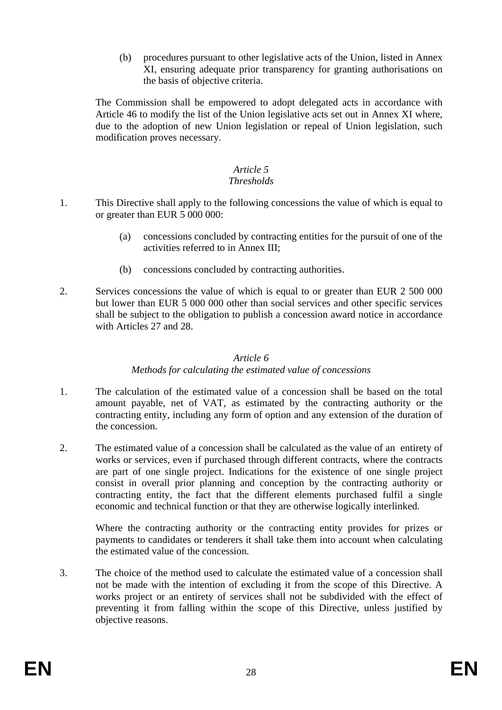(b) procedures pursuant to other legislative acts of the Union, listed in Annex XI, ensuring adequate prior transparency for granting authorisations on the basis of objective criteria.

The Commission shall be empowered to adopt delegated acts in accordance with Article 46 to modify the list of the Union legislative acts set out in Annex XI where, due to the adoption of new Union legislation or repeal of Union legislation, such modification proves necessary.

## *Article 5*

# *Thresholds*

- 1. This Directive shall apply to the following concessions the value of which is equal to or greater than EUR 5 000 000:
	- (a) concessions concluded by contracting entities for the pursuit of one of the activities referred to in Annex III;
	- (b) concessions concluded by contracting authorities.
- 2. Services concessions the value of which is equal to or greater than EUR 2 500 000 but lower than EUR 5 000 000 other than social services and other specific services shall be subject to the obligation to publish a concession award notice in accordance with Articles 27 and 28.

#### *Article 6*

# *Methods for calculating the estimated value of concessions*

- 1. The calculation of the estimated value of a concession shall be based on the total amount payable, net of VAT, as estimated by the contracting authority or the contracting entity, including any form of option and any extension of the duration of the concession.
- 2. The estimated value of a concession shall be calculated as the value of an entirety of works or services, even if purchased through different contracts, where the contracts are part of one single project. Indications for the existence of one single project consist in overall prior planning and conception by the contracting authority or contracting entity, the fact that the different elements purchased fulfil a single economic and technical function or that they are otherwise logically interlinked.

Where the contracting authority or the contracting entity provides for prizes or payments to candidates or tenderers it shall take them into account when calculating the estimated value of the concession.

3. The choice of the method used to calculate the estimated value of a concession shall not be made with the intention of excluding it from the scope of this Directive. A works project or an entirety of services shall not be subdivided with the effect of preventing it from falling within the scope of this Directive, unless justified by objective reasons.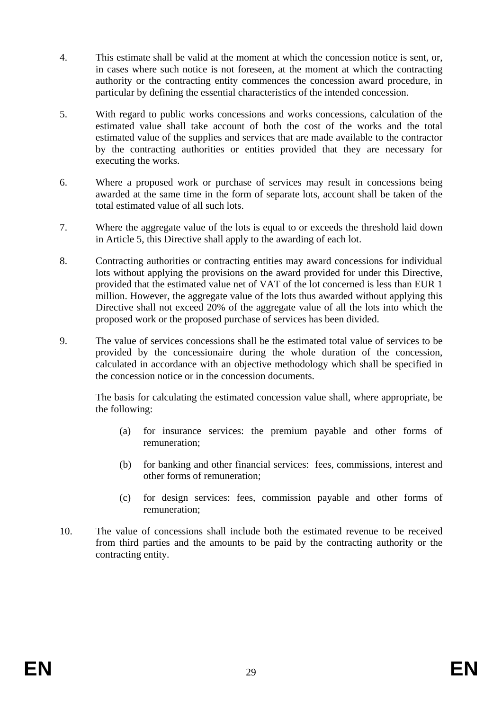- 4. This estimate shall be valid at the moment at which the concession notice is sent, or, in cases where such notice is not foreseen, at the moment at which the contracting authority or the contracting entity commences the concession award procedure, in particular by defining the essential characteristics of the intended concession.
- 5. With regard to public works concessions and works concessions, calculation of the estimated value shall take account of both the cost of the works and the total estimated value of the supplies and services that are made available to the contractor by the contracting authorities or entities provided that they are necessary for executing the works.
- 6. Where a proposed work or purchase of services may result in concessions being awarded at the same time in the form of separate lots, account shall be taken of the total estimated value of all such lots.
- 7. Where the aggregate value of the lots is equal to or exceeds the threshold laid down in Article 5, this Directive shall apply to the awarding of each lot.
- 8. Contracting authorities or contracting entities may award concessions for individual lots without applying the provisions on the award provided for under this Directive, provided that the estimated value net of VAT of the lot concerned is less than EUR 1 million. However, the aggregate value of the lots thus awarded without applying this Directive shall not exceed 20% of the aggregate value of all the lots into which the proposed work or the proposed purchase of services has been divided.
- 9. The value of services concessions shall be the estimated total value of services to be provided by the concessionaire during the whole duration of the concession, calculated in accordance with an objective methodology which shall be specified in the concession notice or in the concession documents.

The basis for calculating the estimated concession value shall, where appropriate, be the following:

- (a) for insurance services: the premium payable and other forms of remuneration;
- (b) for banking and other financial services: fees, commissions, interest and other forms of remuneration;
- (c) for design services: fees, commission payable and other forms of remuneration;
- 10. The value of concessions shall include both the estimated revenue to be received from third parties and the amounts to be paid by the contracting authority or the contracting entity.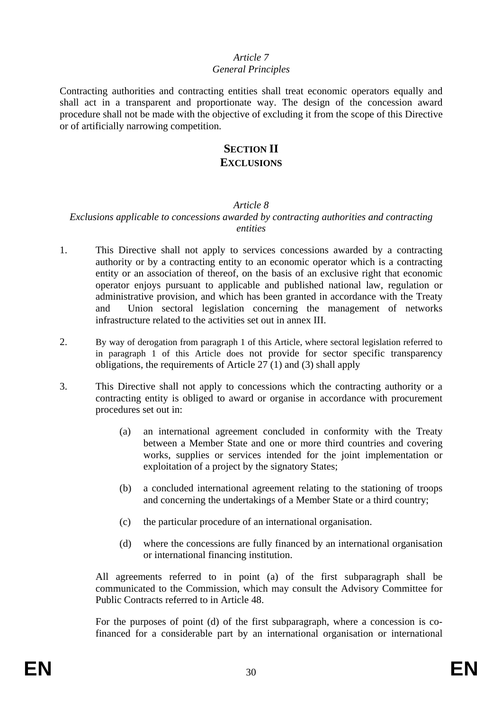#### *Article 7 General Principles*

Contracting authorities and contracting entities shall treat economic operators equally and shall act in a transparent and proportionate way. The design of the concession award procedure shall not be made with the objective of excluding it from the scope of this Directive or of artificially narrowing competition.

# **SECTION II EXCLUSIONS**

## *Article 8*

## *Exclusions applicable to concessions awarded by contracting authorities and contracting entities*

- 1. This Directive shall not apply to services concessions awarded by a contracting authority or by a contracting entity to an economic operator which is a contracting entity or an association of thereof, on the basis of an exclusive right that economic operator enjoys pursuant to applicable and published national law, regulation or administrative provision, and which has been granted in accordance with the Treaty and Union sectoral legislation concerning the management of networks infrastructure related to the activities set out in annex III.
- 2. By way of derogation from paragraph 1 of this Article, where sectoral legislation referred to in paragraph 1 of this Article does not provide for sector specific transparency obligations, the requirements of Article 27 (1) and (3) shall apply
- 3. This Directive shall not apply to concessions which the contracting authority or a contracting entity is obliged to award or organise in accordance with procurement procedures set out in:
	- (a) an international agreement concluded in conformity with the Treaty between a Member State and one or more third countries and covering works, supplies or services intended for the joint implementation or exploitation of a project by the signatory States;
	- (b) a concluded international agreement relating to the stationing of troops and concerning the undertakings of a Member State or a third country;
	- (c) the particular procedure of an international organisation.
	- (d) where the concessions are fully financed by an international organisation or international financing institution.

All agreements referred to in point (a) of the first subparagraph shall be communicated to the Commission, which may consult the Advisory Committee for Public Contracts referred to in Article 48.

For the purposes of point (d) of the first subparagraph, where a concession is cofinanced for a considerable part by an international organisation or international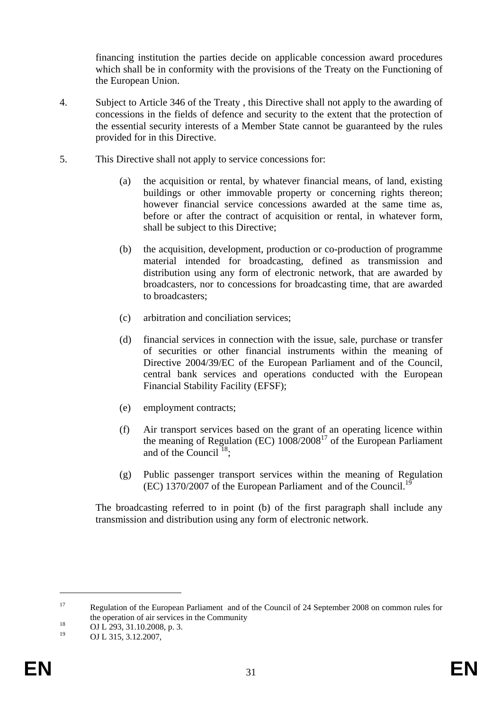financing institution the parties decide on applicable concession award procedures which shall be in conformity with the provisions of the Treaty on the Functioning of the European Union.

- 4. Subject to Article 346 of the Treaty , this Directive shall not apply to the awarding of concessions in the fields of defence and security to the extent that the protection of the essential security interests of a Member State cannot be guaranteed by the rules provided for in this Directive.
- 5. This Directive shall not apply to service concessions for:
	- (a) the acquisition or rental, by whatever financial means, of land, existing buildings or other immovable property or concerning rights thereon; however financial service concessions awarded at the same time as, before or after the contract of acquisition or rental, in whatever form, shall be subject to this Directive;
	- (b) the acquisition, development, production or co-production of programme material intended for broadcasting, defined as transmission and distribution using any form of electronic network, that are awarded by broadcasters, nor to concessions for broadcasting time, that are awarded to broadcasters;
	- (c) arbitration and conciliation services;
	- (d) financial services in connection with the issue, sale, purchase or transfer of securities or other financial instruments within the meaning of Directive 2004/39/EC of the European Parliament and of the Council, central bank services and operations conducted with the European Financial Stability Facility (EFSF);
	- (e) employment contracts;
	- (f) Air transport services based on the grant of an operating licence within the meaning of Regulation (EC)  $1008/2008^{17}$  of the European Parliament and of the Council  $^{18}$ .
	- (g) Public passenger transport services within the meaning of Regulation (EC) 1370/2007 of the European Parliament and of the Council.<sup>19</sup>

The broadcasting referred to in point (b) of the first paragraph shall include any transmission and distribution using any form of electronic network.

<sup>&</sup>lt;sup>17</sup> Regulation of the European Parliament and of the Council of 24 September 2008 on common rules for the operation of air services in the Community<br>  $0J L 293, 31.10.2008, p. 3.$ <br>  $19 \tO L 315, 313.2007$ 

OJ L 315, 3.12.2007,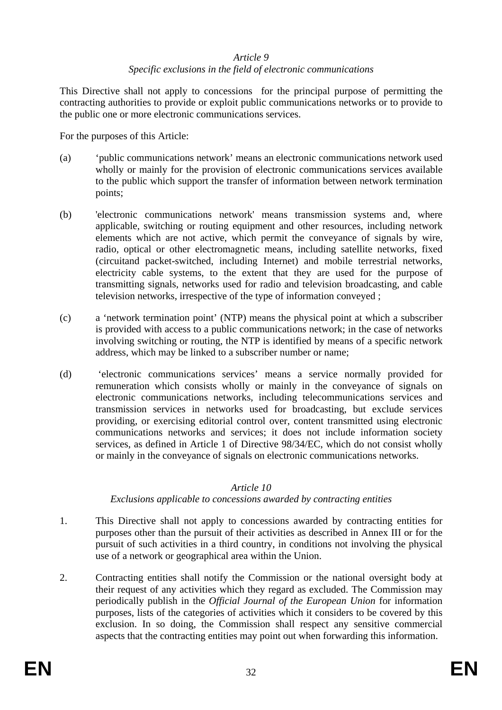#### *Article 9 Specific exclusions in the field of electronic communications*

This Directive shall not apply to concessions for the principal purpose of permitting the contracting authorities to provide or exploit public communications networks or to provide to the public one or more electronic communications services.

For the purposes of this Article:

- (a) 'public communications network' means an electronic communications network used wholly or mainly for the provision of electronic communications services available to the public which support the transfer of information between network termination points;
- (b) 'electronic communications network' means transmission systems and, where applicable, switching or routing equipment and other resources, including network elements which are not active, which permit the conveyance of signals by wire, radio, optical or other electromagnetic means, including satellite networks, fixed (circuitand packet-switched, including Internet) and mobile terrestrial networks, electricity cable systems, to the extent that they are used for the purpose of transmitting signals, networks used for radio and television broadcasting, and cable television networks, irrespective of the type of information conveyed ;
- (c) a 'network termination point' (NTP) means the physical point at which a subscriber is provided with access to a public communications network; in the case of networks involving switching or routing, the NTP is identified by means of a specific network address, which may be linked to a subscriber number or name;
- (d) 'electronic communications services' means a service normally provided for remuneration which consists wholly or mainly in the conveyance of signals on electronic communications networks, including telecommunications services and transmission services in networks used for broadcasting, but exclude services providing, or exercising editorial control over, content transmitted using electronic communications networks and services; it does not include information society services, as defined in Article 1 of Directive 98/34/EC, which do not consist wholly or mainly in the conveyance of signals on electronic communications networks.

# *Article 10*

*Exclusions applicable to concessions awarded by contracting entities* 

- 1. This Directive shall not apply to concessions awarded by contracting entities for purposes other than the pursuit of their activities as described in Annex III or for the pursuit of such activities in a third country, in conditions not involving the physical use of a network or geographical area within the Union.
- 2. Contracting entities shall notify the Commission or the national oversight body at their request of any activities which they regard as excluded. The Commission may periodically publish in the *Official Journal of the European Union* for information purposes, lists of the categories of activities which it considers to be covered by this exclusion. In so doing, the Commission shall respect any sensitive commercial aspects that the contracting entities may point out when forwarding this information.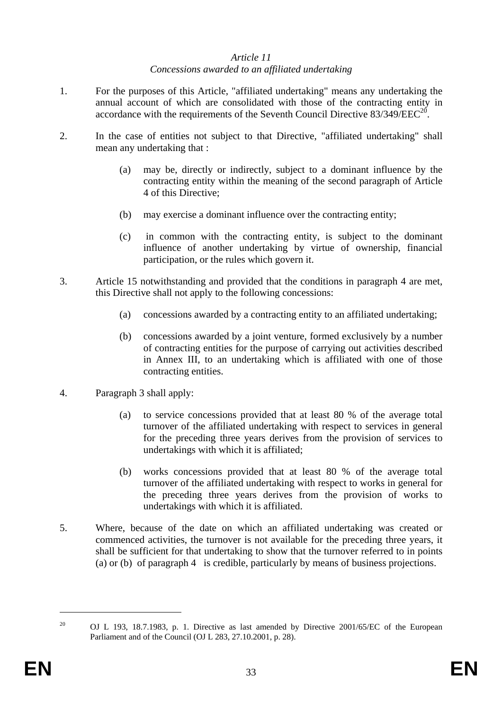## *Article 11 Concessions awarded to an affiliated undertaking*

- 1. For the purposes of this Article, "affiliated undertaking" means any undertaking the annual account of which are consolidated with those of the contracting entity in accordance with the requirements of the Seventh Council Directive  $83/349/EEC^{20}$ .
- 2. In the case of entities not subject to that Directive, "affiliated undertaking" shall mean any undertaking that :
	- (a) may be, directly or indirectly, subject to a dominant influence by the contracting entity within the meaning of the second paragraph of Article 4 of this Directive;
	- (b) may exercise a dominant influence over the contracting entity;
	- (c) in common with the contracting entity, is subject to the dominant influence of another undertaking by virtue of ownership, financial participation, or the rules which govern it.
- 3. Article 15 notwithstanding and provided that the conditions in paragraph 4 are met, this Directive shall not apply to the following concessions:
	- (a) concessions awarded by a contracting entity to an affiliated undertaking;
	- (b) concessions awarded by a joint venture, formed exclusively by a number of contracting entities for the purpose of carrying out activities described in Annex III, to an undertaking which is affiliated with one of those contracting entities.
- 4. Paragraph 3 shall apply:
	- (a) to service concessions provided that at least 80 % of the average total turnover of the affiliated undertaking with respect to services in general for the preceding three years derives from the provision of services to undertakings with which it is affiliated;
	- (b) works concessions provided that at least 80 % of the average total turnover of the affiliated undertaking with respect to works in general for the preceding three years derives from the provision of works to undertakings with which it is affiliated.
- 5. Where, because of the date on which an affiliated undertaking was created or commenced activities, the turnover is not available for the preceding three years, it shall be sufficient for that undertaking to show that the turnover referred to in points (a) or (b) of paragraph 4 is credible, particularly by means of business projections.

<u>.</u>

<sup>&</sup>lt;sup>20</sup> OJ L 193, 18.7.1983, p. 1. Directive as last amended by Directive 2001/65/EC of the European Parliament and of the Council (OJ L 283, 27.10.2001, p. 28).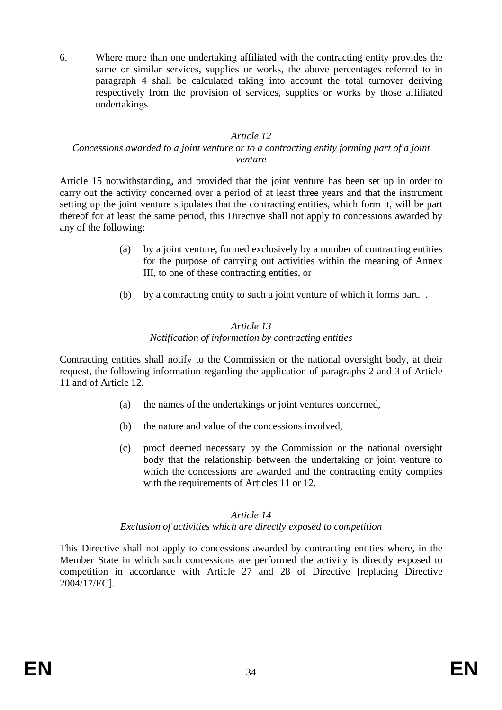6. Where more than one undertaking affiliated with the contracting entity provides the same or similar services, supplies or works, the above percentages referred to in paragraph 4 shall be calculated taking into account the total turnover deriving respectively from the provision of services, supplies or works by those affiliated undertakings.

#### *Article 12*

#### *Concessions awarded to a joint venture or to a contracting entity forming part of a joint venture*

Article 15 notwithstanding, and provided that the joint venture has been set up in order to carry out the activity concerned over a period of at least three years and that the instrument setting up the joint venture stipulates that the contracting entities, which form it, will be part thereof for at least the same period, this Directive shall not apply to concessions awarded by any of the following:

- (a) by a joint venture, formed exclusively by a number of contracting entities for the purpose of carrying out activities within the meaning of Annex III, to one of these contracting entities, or
- (b) by a contracting entity to such a joint venture of which it forms part. .

## *Article 13 Notification of information by contracting entities*

Contracting entities shall notify to the Commission or the national oversight body, at their request, the following information regarding the application of paragraphs 2 and 3 of Article 11 and of Article 12.

- (a) the names of the undertakings or joint ventures concerned,
- (b) the nature and value of the concessions involved,
- (c) proof deemed necessary by the Commission or the national oversight body that the relationship between the undertaking or joint venture to which the concessions are awarded and the contracting entity complies with the requirements of Articles 11 or 12.

# *Article 14*

# *Exclusion of activities which are directly exposed to competition*

This Directive shall not apply to concessions awarded by contracting entities where, in the Member State in which such concessions are performed the activity is directly exposed to competition in accordance with Article 27 and 28 of Directive [replacing Directive 2004/17/EC].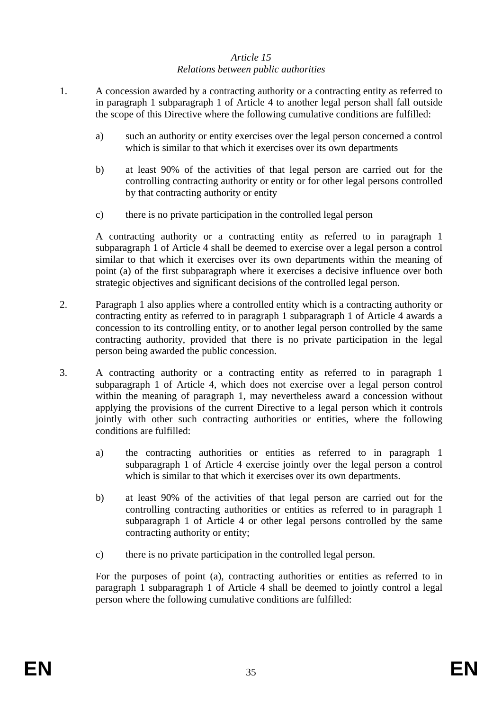# *Article 15 Relations between public authorities*

- 1. A concession awarded by a contracting authority or a contracting entity as referred to in paragraph 1 subparagraph 1 of Article 4 to another legal person shall fall outside the scope of this Directive where the following cumulative conditions are fulfilled:
	- a) such an authority or entity exercises over the legal person concerned a control which is similar to that which it exercises over its own departments
	- b) at least 90% of the activities of that legal person are carried out for the controlling contracting authority or entity or for other legal persons controlled by that contracting authority or entity
	- c) there is no private participation in the controlled legal person

A contracting authority or a contracting entity as referred to in paragraph 1 subparagraph 1 of Article 4 shall be deemed to exercise over a legal person a control similar to that which it exercises over its own departments within the meaning of point (a) of the first subparagraph where it exercises a decisive influence over both strategic objectives and significant decisions of the controlled legal person.

- 2. Paragraph 1 also applies where a controlled entity which is a contracting authority or contracting entity as referred to in paragraph 1 subparagraph 1 of Article 4 awards a concession to its controlling entity, or to another legal person controlled by the same contracting authority, provided that there is no private participation in the legal person being awarded the public concession.
- 3. A contracting authority or a contracting entity as referred to in paragraph 1 subparagraph 1 of Article 4, which does not exercise over a legal person control within the meaning of paragraph 1, may nevertheless award a concession without applying the provisions of the current Directive to a legal person which it controls jointly with other such contracting authorities or entities, where the following conditions are fulfilled:
	- a) the contracting authorities or entities as referred to in paragraph 1 subparagraph 1 of Article 4 exercise jointly over the legal person a control which is similar to that which it exercises over its own departments.
	- b) at least 90% of the activities of that legal person are carried out for the controlling contracting authorities or entities as referred to in paragraph 1 subparagraph 1 of Article 4 or other legal persons controlled by the same contracting authority or entity;
	- c) there is no private participation in the controlled legal person.

For the purposes of point (a), contracting authorities or entities as referred to in paragraph 1 subparagraph 1 of Article 4 shall be deemed to jointly control a legal person where the following cumulative conditions are fulfilled: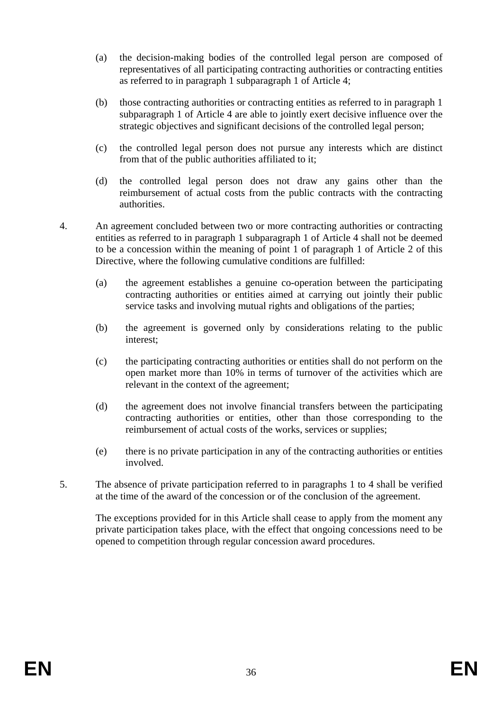- (a) the decision-making bodies of the controlled legal person are composed of representatives of all participating contracting authorities or contracting entities as referred to in paragraph 1 subparagraph 1 of Article 4;
- (b) those contracting authorities or contracting entities as referred to in paragraph 1 subparagraph 1 of Article 4 are able to jointly exert decisive influence over the strategic objectives and significant decisions of the controlled legal person;
- (c) the controlled legal person does not pursue any interests which are distinct from that of the public authorities affiliated to it;
- (d) the controlled legal person does not draw any gains other than the reimbursement of actual costs from the public contracts with the contracting authorities.
- 4. An agreement concluded between two or more contracting authorities or contracting entities as referred to in paragraph 1 subparagraph 1 of Article 4 shall not be deemed to be a concession within the meaning of point 1 of paragraph 1 of Article 2 of this Directive, where the following cumulative conditions are fulfilled:
	- (a) the agreement establishes a genuine co-operation between the participating contracting authorities or entities aimed at carrying out jointly their public service tasks and involving mutual rights and obligations of the parties;
	- (b) the agreement is governed only by considerations relating to the public interest;
	- (c) the participating contracting authorities or entities shall do not perform on the open market more than 10% in terms of turnover of the activities which are relevant in the context of the agreement;
	- (d) the agreement does not involve financial transfers between the participating contracting authorities or entities, other than those corresponding to the reimbursement of actual costs of the works, services or supplies;
	- (e) there is no private participation in any of the contracting authorities or entities involved.
- 5. The absence of private participation referred to in paragraphs 1 to 4 shall be verified at the time of the award of the concession or of the conclusion of the agreement.

The exceptions provided for in this Article shall cease to apply from the moment any private participation takes place, with the effect that ongoing concessions need to be opened to competition through regular concession award procedures.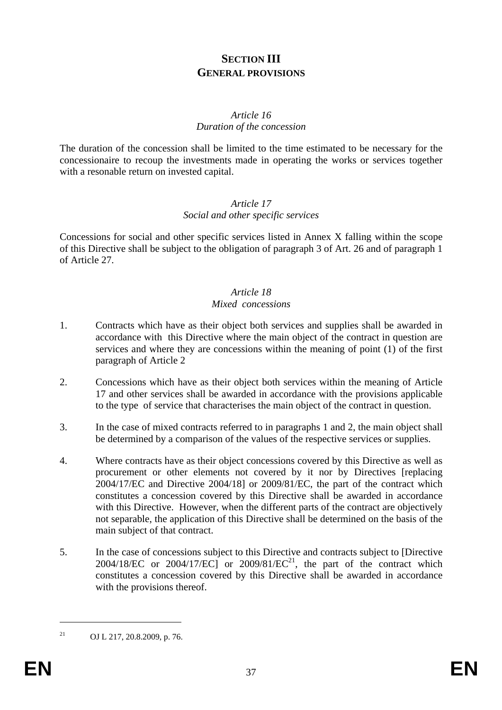# **SECTION III GENERAL PROVISIONS**

#### *Article 16 Duration of the concession*

The duration of the concession shall be limited to the time estimated to be necessary for the concessionaire to recoup the investments made in operating the works or services together with a resonable return on invested capital.

#### *Article 17 Social and other specific services*

Concessions for social and other specific services listed in Annex X falling within the scope of this Directive shall be subject to the obligation of paragraph 3 of Art. 26 and of paragraph 1 of Article 27.

#### *Article 18 Mixed concessions*

- 1. Contracts which have as their object both services and supplies shall be awarded in accordance with this Directive where the main object of the contract in question are services and where they are concessions within the meaning of point (1) of the first paragraph of Article 2
- 2. Concessions which have as their object both services within the meaning of Article 17 and other services shall be awarded in accordance with the provisions applicable to the type of service that characterises the main object of the contract in question.
- 3. In the case of mixed contracts referred to in paragraphs 1 and 2, the main object shall be determined by a comparison of the values of the respective services or supplies.
- 4. Where contracts have as their object concessions covered by this Directive as well as procurement or other elements not covered by it nor by Directives [replacing 2004/17/EC and Directive 2004/18] or 2009/81/EC, the part of the contract which constitutes a concession covered by this Directive shall be awarded in accordance with this Directive. However, when the different parts of the contract are objectively not separable, the application of this Directive shall be determined on the basis of the main subject of that contract.
- 5. In the case of concessions subject to this Directive and contracts subject to [Directive  $2004/18/EC$  or  $2004/17/EC$ ] or  $2009/81/EC^{21}$ , the part of the contract which constitutes a concession covered by this Directive shall be awarded in accordance with the provisions thereof.

<sup>21</sup> OJ L 217, 20.8.2009, p. 76.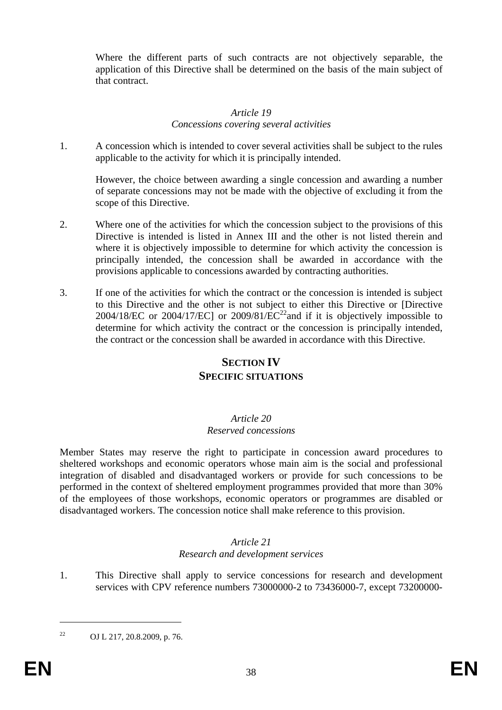Where the different parts of such contracts are not objectively separable, the application of this Directive shall be determined on the basis of the main subject of that contract.

#### *Article 19 Concessions covering several activities*

1. A concession which is intended to cover several activities shall be subject to the rules applicable to the activity for which it is principally intended.

However, the choice between awarding a single concession and awarding a number of separate concessions may not be made with the objective of excluding it from the scope of this Directive.

- 2. Where one of the activities for which the concession subject to the provisions of this Directive is intended is listed in Annex III and the other is not listed therein and where it is objectively impossible to determine for which activity the concession is principally intended, the concession shall be awarded in accordance with the provisions applicable to concessions awarded by contracting authorities.
- 3. If one of the activities for which the contract or the concession is intended is subject to this Directive and the other is not subject to either this Directive or [Directive 2004/18/EC or 2004/17/EC] or 2009/81/EC<sup>22</sup> and if it is objectively impossible to determine for which activity the contract or the concession is principally intended, the contract or the concession shall be awarded in accordance with this Directive.

# **SECTION IV SPECIFIC SITUATIONS**

#### *Article 20 Reserved concessions*

Member States may reserve the right to participate in concession award procedures to sheltered workshops and economic operators whose main aim is the social and professional integration of disabled and disadvantaged workers or provide for such concessions to be performed in the context of sheltered employment programmes provided that more than 30% of the employees of those workshops, economic operators or programmes are disabled or disadvantaged workers. The concession notice shall make reference to this provision.

#### *Article 21 Research and development services*

1. This Directive shall apply to service concessions for research and development services with CPV reference numbers 73000000-2 to 73436000-7, except 73200000-

<sup>22</sup> OJ L 217, 20.8.2009, p. 76.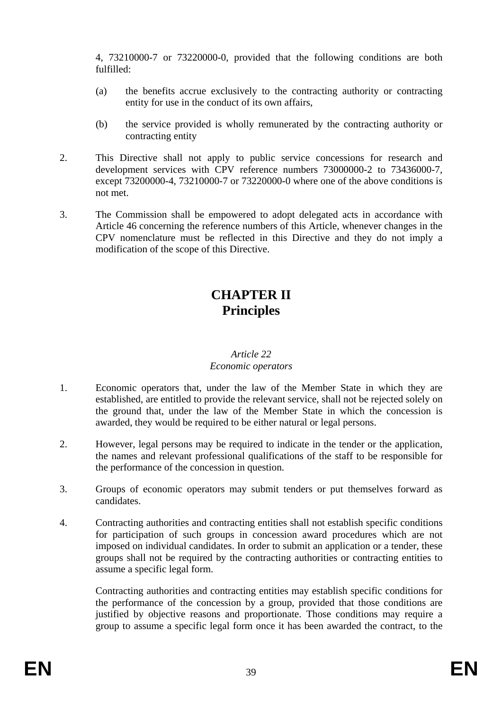4, 73210000-7 or 73220000-0, provided that the following conditions are both fulfilled:

- (a) the benefits accrue exclusively to the contracting authority or contracting entity for use in the conduct of its own affairs,
- (b) the service provided is wholly remunerated by the contracting authority or contracting entity
- 2. This Directive shall not apply to public service concessions for research and development services with CPV reference numbers 73000000-2 to 73436000-7, except 73200000-4, 73210000-7 or 73220000-0 where one of the above conditions is not met.
- 3. The Commission shall be empowered to adopt delegated acts in accordance with Article 46 concerning the reference numbers of this Article, whenever changes in the CPV nomenclature must be reflected in this Directive and they do not imply a modification of the scope of this Directive.

# **CHAPTER II Principles**

#### *Article 22 Economic operators*

- 1. Economic operators that, under the law of the Member State in which they are established, are entitled to provide the relevant service, shall not be rejected solely on the ground that, under the law of the Member State in which the concession is awarded, they would be required to be either natural or legal persons.
- 2. However, legal persons may be required to indicate in the tender or the application, the names and relevant professional qualifications of the staff to be responsible for the performance of the concession in question.
- 3. Groups of economic operators may submit tenders or put themselves forward as candidates.
- 4. Contracting authorities and contracting entities shall not establish specific conditions for participation of such groups in concession award procedures which are not imposed on individual candidates. In order to submit an application or a tender, these groups shall not be required by the contracting authorities or contracting entities to assume a specific legal form.

Contracting authorities and contracting entities may establish specific conditions for the performance of the concession by a group, provided that those conditions are justified by objective reasons and proportionate. Those conditions may require a group to assume a specific legal form once it has been awarded the contract, to the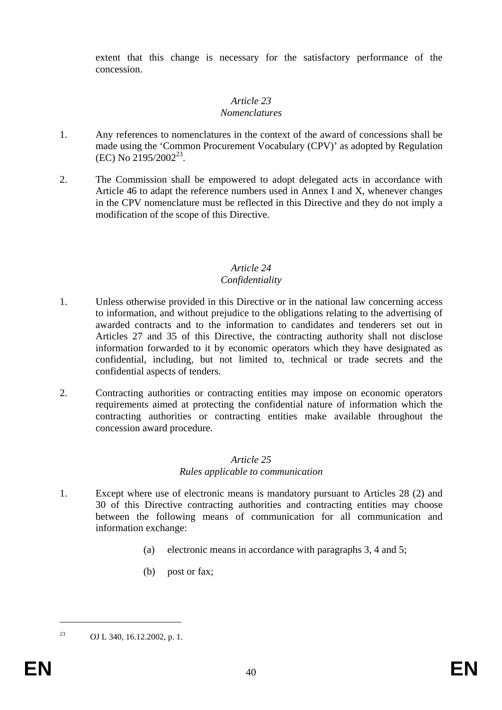extent that this change is necessary for the satisfactory performance of the concession.

## *Article 23*

## *Nomenclatures*

- 1. Any references to nomenclatures in the context of the award of concessions shall be made using the 'Common Procurement Vocabulary (CPV)' as adopted by Regulation  $(EC)$  No 2195/2002<sup>23</sup>.
- 2. The Commission shall be empowered to adopt delegated acts in accordance with Article 46 to adapt the reference numbers used in Annex I and X, whenever changes in the CPV nomenclature must be reflected in this Directive and they do not imply a modification of the scope of this Directive.

#### *Article 24 Confidentiality*

- 1. Unless otherwise provided in this Directive or in the national law concerning access to information, and without prejudice to the obligations relating to the advertising of awarded contracts and to the information to candidates and tenderers set out in Articles 27 and 35 of this Directive, the contracting authority shall not disclose information forwarded to it by economic operators which they have designated as confidential, including, but not limited to, technical or trade secrets and the confidential aspects of tenders.
- 2. Contracting authorities or contracting entities may impose on economic operators requirements aimed at protecting the confidential nature of information which the contracting authorities or contracting entities make available throughout the concession award procedure.

#### *Article 25 Rules applicable to communication*

- 1. Except where use of electronic means is mandatory pursuant to Articles 28 (2) and 30 of this Directive contracting authorities and contracting entities may choose between the following means of communication for all communication and information exchange:
	- (a) electronic means in accordance with paragraphs 3, 4 and 5;
	- (b) post or fax;

<sup>23</sup> OJ L 340, 16.12.2002, p. 1.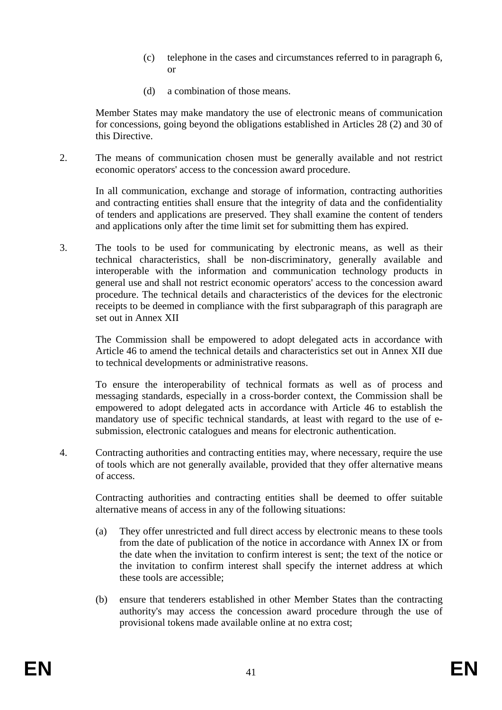- (c) telephone in the cases and circumstances referred to in paragraph 6, or
- (d) a combination of those means.

Member States may make mandatory the use of electronic means of communication for concessions, going beyond the obligations established in Articles 28 (2) and 30 of this Directive.

2. The means of communication chosen must be generally available and not restrict economic operators' access to the concession award procedure.

In all communication, exchange and storage of information, contracting authorities and contracting entities shall ensure that the integrity of data and the confidentiality of tenders and applications are preserved. They shall examine the content of tenders and applications only after the time limit set for submitting them has expired.

3. The tools to be used for communicating by electronic means, as well as their technical characteristics, shall be non-discriminatory, generally available and interoperable with the information and communication technology products in general use and shall not restrict economic operators' access to the concession award procedure. The technical details and characteristics of the devices for the electronic receipts to be deemed in compliance with the first subparagraph of this paragraph are set out in Annex XII

The Commission shall be empowered to adopt delegated acts in accordance with Article 46 to amend the technical details and characteristics set out in Annex XII due to technical developments or administrative reasons.

To ensure the interoperability of technical formats as well as of process and messaging standards, especially in a cross-border context, the Commission shall be empowered to adopt delegated acts in accordance with Article 46 to establish the mandatory use of specific technical standards, at least with regard to the use of esubmission, electronic catalogues and means for electronic authentication.

4. Contracting authorities and contracting entities may, where necessary, require the use of tools which are not generally available, provided that they offer alternative means of access.

Contracting authorities and contracting entities shall be deemed to offer suitable alternative means of access in any of the following situations:

- (a) They offer unrestricted and full direct access by electronic means to these tools from the date of publication of the notice in accordance with Annex IX or from the date when the invitation to confirm interest is sent; the text of the notice or the invitation to confirm interest shall specify the internet address at which these tools are accessible;
- (b) ensure that tenderers established in other Member States than the contracting authority's may access the concession award procedure through the use of provisional tokens made available online at no extra cost;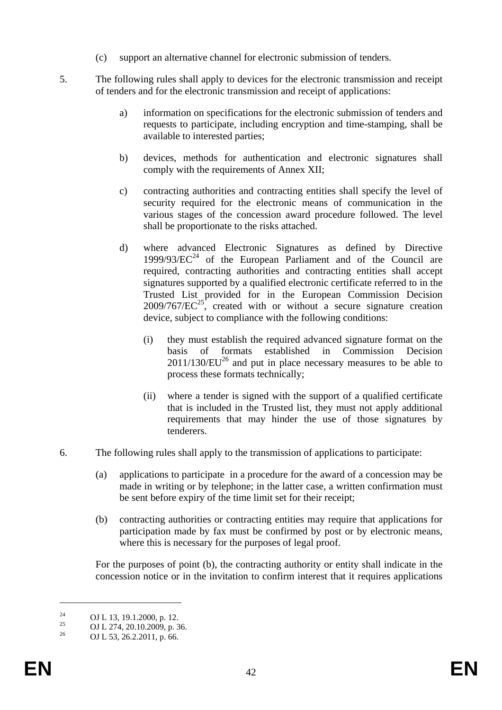- (c) support an alternative channel for electronic submission of tenders.
- 5. The following rules shall apply to devices for the electronic transmission and receipt of tenders and for the electronic transmission and receipt of applications:
	- a) information on specifications for the electronic submission of tenders and requests to participate, including encryption and time-stamping, shall be available to interested parties;
	- b) devices, methods for authentication and electronic signatures shall comply with the requirements of Annex XII;
	- c) contracting authorities and contracting entities shall specify the level of security required for the electronic means of communication in the various stages of the concession award procedure followed. The level shall be proportionate to the risks attached.
	- d) where advanced Electronic Signatures as defined by Directive  $1999/93/EC^{24}$  of the European Parliament and of the Council are required, contracting authorities and contracting entities shall accept signatures supported by a qualified electronic certificate referred to in the Trusted List provided for in the European Commission Decision  $2009/767/EC^{25}$ , created with or without a secure signature creation device, subject to compliance with the following conditions:
		- (i) they must establish the required advanced signature format on the basis of formats established in Commission Decision  $2011/130/EU<sup>26</sup>$  and put in place necessary measures to be able to process these formats technically;
		- (ii) where a tender is signed with the support of a qualified certificate that is included in the Trusted list, they must not apply additional requirements that may hinder the use of those signatures by tenderers.
- 6. The following rules shall apply to the transmission of applications to participate:
	- (a) applications to participate in a procedure for the award of a concession may be made in writing or by telephone; in the latter case, a written confirmation must be sent before expiry of the time limit set for their receipt;
	- (b) contracting authorities or contracting entities may require that applications for participation made by fax must be confirmed by post or by electronic means, where this is necessary for the purposes of legal proof.

For the purposes of point (b), the contracting authority or entity shall indicate in the concession notice or in the invitation to confirm interest that it requires applications

<sup>&</sup>lt;sup>24</sup> OJ L 13, 19.1.2000, p. 12.

<sup>&</sup>lt;sup>25</sup> OJ L 274, 20.10.2009, p. 36.

<sup>26</sup> OJ L 53, 26.2.2011, p. 66.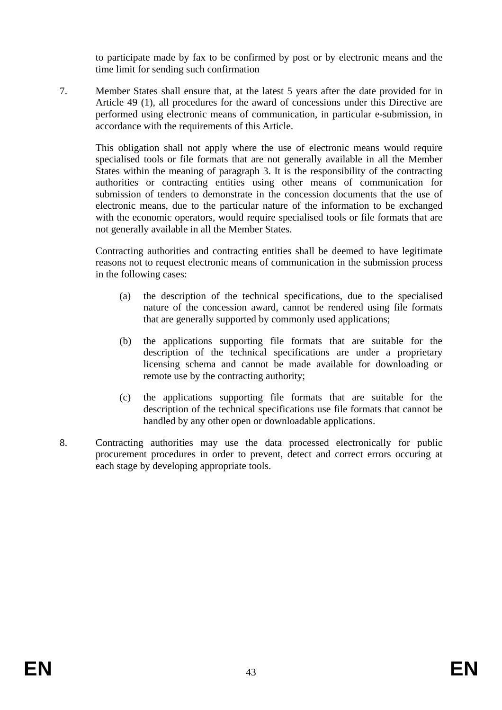to participate made by fax to be confirmed by post or by electronic means and the time limit for sending such confirmation

7. Member States shall ensure that, at the latest 5 years after the date provided for in Article 49 (1), all procedures for the award of concessions under this Directive are performed using electronic means of communication, in particular e-submission, in accordance with the requirements of this Article.

This obligation shall not apply where the use of electronic means would require specialised tools or file formats that are not generally available in all the Member States within the meaning of paragraph 3. It is the responsibility of the contracting authorities or contracting entities using other means of communication for submission of tenders to demonstrate in the concession documents that the use of electronic means, due to the particular nature of the information to be exchanged with the economic operators, would require specialised tools or file formats that are not generally available in all the Member States.

Contracting authorities and contracting entities shall be deemed to have legitimate reasons not to request electronic means of communication in the submission process in the following cases:

- (a) the description of the technical specifications, due to the specialised nature of the concession award, cannot be rendered using file formats that are generally supported by commonly used applications;
- (b) the applications supporting file formats that are suitable for the description of the technical specifications are under a proprietary licensing schema and cannot be made available for downloading or remote use by the contracting authority;
- (c) the applications supporting file formats that are suitable for the description of the technical specifications use file formats that cannot be handled by any other open or downloadable applications.
- 8. Contracting authorities may use the data processed electronically for public procurement procedures in order to prevent, detect and correct errors occuring at each stage by developing appropriate tools.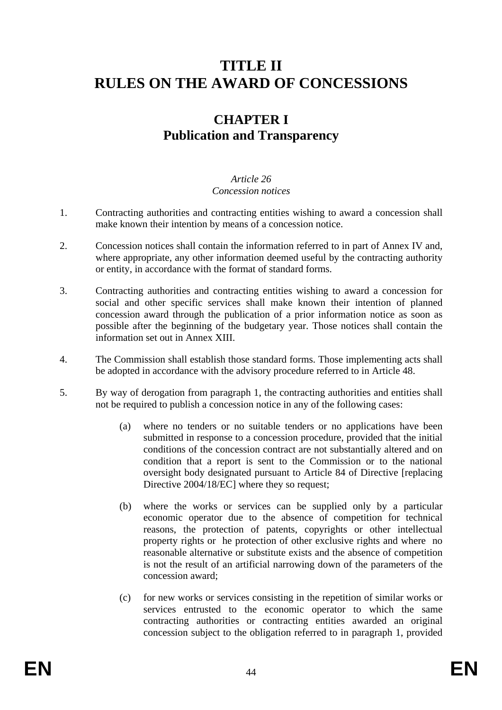# **TITLE II RULES ON THE AWARD OF CONCESSIONS**

# **CHAPTER I Publication and Transparency**

#### *Article 26 Concession notices*

- 1. Contracting authorities and contracting entities wishing to award a concession shall make known their intention by means of a concession notice.
- 2. Concession notices shall contain the information referred to in part of Annex IV and, where appropriate, any other information deemed useful by the contracting authority or entity, in accordance with the format of standard forms.
- 3. Contracting authorities and contracting entities wishing to award a concession for social and other specific services shall make known their intention of planned concession award through the publication of a prior information notice as soon as possible after the beginning of the budgetary year. Those notices shall contain the information set out in Annex XIII.
- 4. The Commission shall establish those standard forms. Those implementing acts shall be adopted in accordance with the advisory procedure referred to in Article 48.
- 5. By way of derogation from paragraph 1, the contracting authorities and entities shall not be required to publish a concession notice in any of the following cases:
	- (a) where no tenders or no suitable tenders or no applications have been submitted in response to a concession procedure, provided that the initial conditions of the concession contract are not substantially altered and on condition that a report is sent to the Commission or to the national oversight body designated pursuant to Article 84 of Directive [replacing Directive 2004/18/EC] where they so request;
	- (b) where the works or services can be supplied only by a particular economic operator due to the absence of competition for technical reasons, the protection of patents, copyrights or other intellectual property rights or he protection of other exclusive rights and where no reasonable alternative or substitute exists and the absence of competition is not the result of an artificial narrowing down of the parameters of the concession award;
	- (c) for new works or services consisting in the repetition of similar works or services entrusted to the economic operator to which the same contracting authorities or contracting entities awarded an original concession subject to the obligation referred to in paragraph 1, provided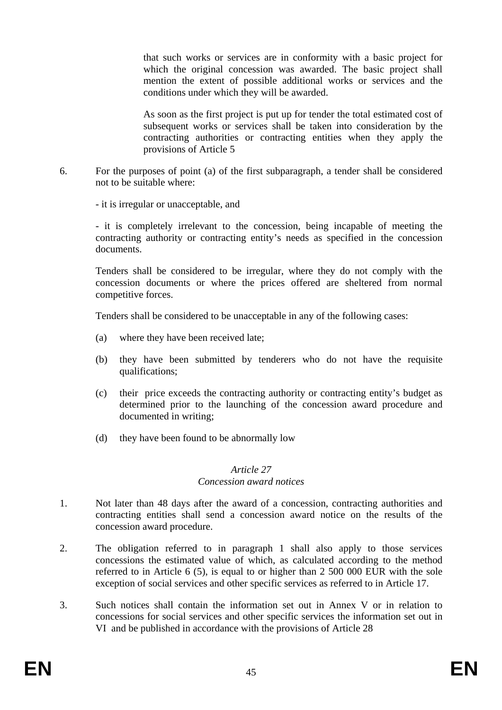that such works or services are in conformity with a basic project for which the original concession was awarded. The basic project shall mention the extent of possible additional works or services and the conditions under which they will be awarded.

As soon as the first project is put up for tender the total estimated cost of subsequent works or services shall be taken into consideration by the contracting authorities or contracting entities when they apply the provisions of Article 5

6. For the purposes of point (a) of the first subparagraph, a tender shall be considered not to be suitable where:

- it is irregular or unacceptable, and

- it is completely irrelevant to the concession, being incapable of meeting the contracting authority or contracting entity's needs as specified in the concession documents.

Tenders shall be considered to be irregular, where they do not comply with the concession documents or where the prices offered are sheltered from normal competitive forces.

Tenders shall be considered to be unacceptable in any of the following cases:

- (a) where they have been received late;
- (b) they have been submitted by tenderers who do not have the requisite qualifications;
- (c) their price exceeds the contracting authority or contracting entity's budget as determined prior to the launching of the concession award procedure and documented in writing;
- (d) they have been found to be abnormally low

#### *Article 27 Concession award notices*

- 1. Not later than 48 days after the award of a concession, contracting authorities and contracting entities shall send a concession award notice on the results of the concession award procedure.
- 2. The obligation referred to in paragraph 1 shall also apply to those services concessions the estimated value of which, as calculated according to the method referred to in Article 6 (5), is equal to or higher than 2 500 000 EUR with the sole exception of social services and other specific services as referred to in Article 17.
- 3. Such notices shall contain the information set out in Annex V or in relation to concessions for social services and other specific services the information set out in VI and be published in accordance with the provisions of Article 28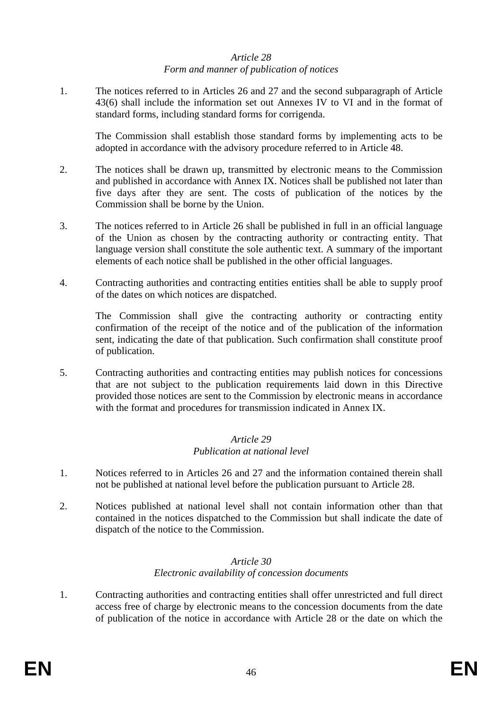#### *Article 28 Form and manner of publication of notices*

1. The notices referred to in Articles 26 and 27 and the second subparagraph of Article 43(6) shall include the information set out Annexes IV to VI and in the format of standard forms, including standard forms for corrigenda.

The Commission shall establish those standard forms by implementing acts to be adopted in accordance with the advisory procedure referred to in Article 48.

- 2. The notices shall be drawn up, transmitted by electronic means to the Commission and published in accordance with Annex IX. Notices shall be published not later than five days after they are sent. The costs of publication of the notices by the Commission shall be borne by the Union.
- 3. The notices referred to in Article 26 shall be published in full in an official language of the Union as chosen by the contracting authority or contracting entity. That language version shall constitute the sole authentic text. A summary of the important elements of each notice shall be published in the other official languages.
- 4. Contracting authorities and contracting entities entities shall be able to supply proof of the dates on which notices are dispatched.

The Commission shall give the contracting authority or contracting entity confirmation of the receipt of the notice and of the publication of the information sent, indicating the date of that publication. Such confirmation shall constitute proof of publication.

5. Contracting authorities and contracting entities may publish notices for concessions that are not subject to the publication requirements laid down in this Directive provided those notices are sent to the Commission by electronic means in accordance with the format and procedures for transmission indicated in Annex IX.

#### *Article 29 Publication at national level*

- 1. Notices referred to in Articles 26 and 27 and the information contained therein shall not be published at national level before the publication pursuant to Article 28.
- 2. Notices published at national level shall not contain information other than that contained in the notices dispatched to the Commission but shall indicate the date of dispatch of the notice to the Commission.

#### *Article 30 Electronic availability of concession documents*

1. Contracting authorities and contracting entities shall offer unrestricted and full direct access free of charge by electronic means to the concession documents from the date of publication of the notice in accordance with Article 28 or the date on which the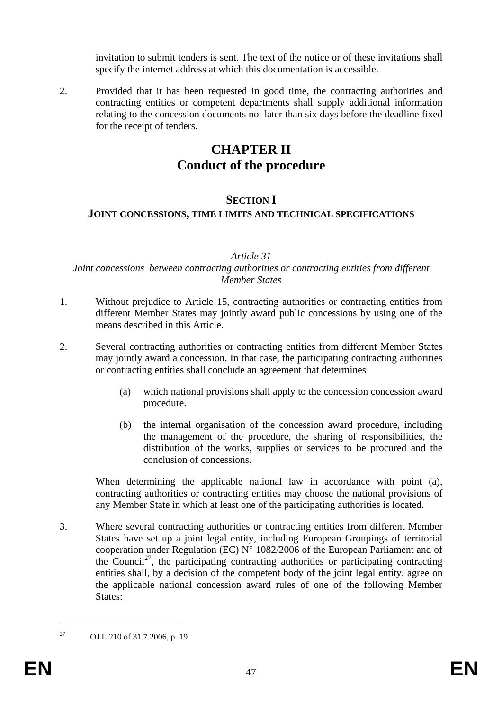invitation to submit tenders is sent. The text of the notice or of these invitations shall specify the internet address at which this documentation is accessible.

2. Provided that it has been requested in good time, the contracting authorities and contracting entities or competent departments shall supply additional information relating to the concession documents not later than six days before the deadline fixed for the receipt of tenders.

# **CHAPTER II Conduct of the procedure**

## **SECTION I**

## **JOINT CONCESSIONS, TIME LIMITS AND TECHNICAL SPECIFICATIONS**

#### *Article 31*

#### *Joint concessions between contracting authorities or contracting entities from different Member States*

- 1. Without prejudice to Article 15, contracting authorities or contracting entities from different Member States may jointly award public concessions by using one of the means described in this Article.
- 2. Several contracting authorities or contracting entities from different Member States may jointly award a concession. In that case, the participating contracting authorities or contracting entities shall conclude an agreement that determines
	- (a) which national provisions shall apply to the concession concession award procedure.
	- (b) the internal organisation of the concession award procedure, including the management of the procedure, the sharing of responsibilities, the distribution of the works, supplies or services to be procured and the conclusion of concessions.

When determining the applicable national law in accordance with point (a), contracting authorities or contracting entities may choose the national provisions of any Member State in which at least one of the participating authorities is located.

3. Where several contracting authorities or contracting entities from different Member States have set up a joint legal entity, including European Groupings of territorial cooperation under Regulation (EC)  $N^{\circ}$  1082/2006 of the European Parliament and of the Council<sup>27</sup>, the participating contracting authorities or participating contracting entities shall, by a decision of the competent body of the joint legal entity, agree on the applicable national concession award rules of one of the following Member States:

<sup>27</sup> OJ L 210 of 31.7.2006, p. 19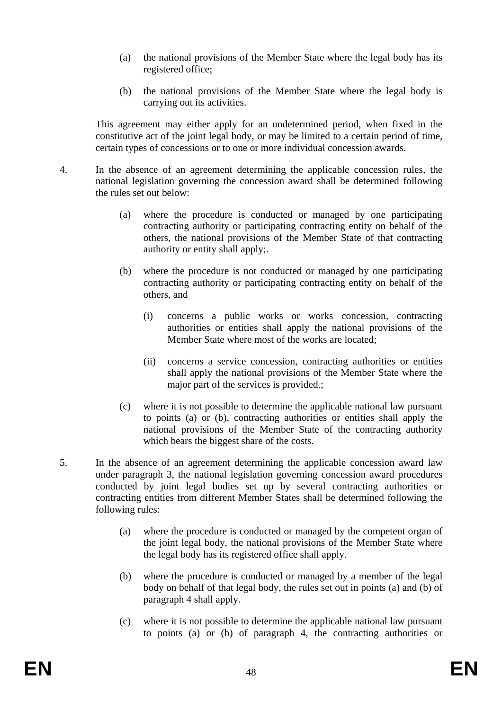- (a) the national provisions of the Member State where the legal body has its registered office;
- (b) the national provisions of the Member State where the legal body is carrying out its activities.

This agreement may either apply for an undetermined period, when fixed in the constitutive act of the joint legal body, or may be limited to a certain period of time, certain types of concessions or to one or more individual concession awards.

- 4. In the absence of an agreement determining the applicable concession rules, the national legislation governing the concession award shall be determined following the rules set out below:
	- (a) where the procedure is conducted or managed by one participating contracting authority or participating contracting entity on behalf of the others, the national provisions of the Member State of that contracting authority or entity shall apply;.
	- (b) where the procedure is not conducted or managed by one participating contracting authority or participating contracting entity on behalf of the others, and
		- (i) concerns a public works or works concession, contracting authorities or entities shall apply the national provisions of the Member State where most of the works are located;
		- (ii) concerns a service concession, contracting authorities or entities shall apply the national provisions of the Member State where the major part of the services is provided.:
	- (c) where it is not possible to determine the applicable national law pursuant to points (a) or (b), contracting authorities or entities shall apply the national provisions of the Member State of the contracting authority which bears the biggest share of the costs.
- 5. In the absence of an agreement determining the applicable concession award law under paragraph 3, the national legislation governing concession award procedures conducted by joint legal bodies set up by several contracting authorities or contracting entities from different Member States shall be determined following the following rules:
	- (a) where the procedure is conducted or managed by the competent organ of the joint legal body, the national provisions of the Member State where the legal body has its registered office shall apply.
	- (b) where the procedure is conducted or managed by a member of the legal body on behalf of that legal body, the rules set out in points (a) and (b) of paragraph 4 shall apply.
	- (c) where it is not possible to determine the applicable national law pursuant to points (a) or (b) of paragraph 4, the contracting authorities or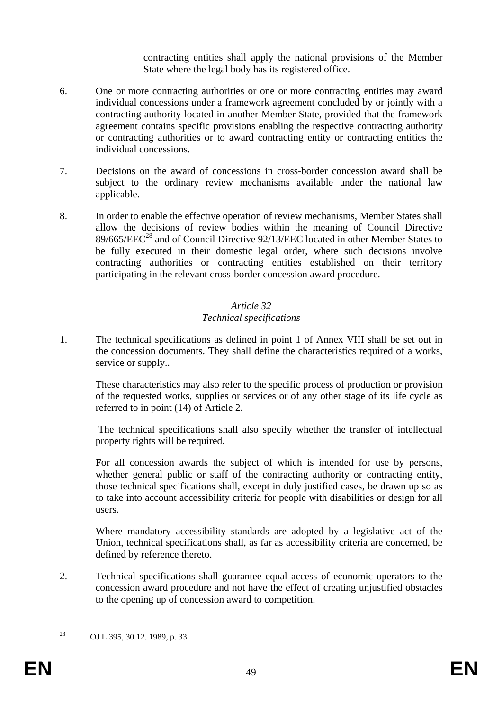contracting entities shall apply the national provisions of the Member State where the legal body has its registered office.

- 6. One or more contracting authorities or one or more contracting entities may award individual concessions under a framework agreement concluded by or jointly with a contracting authority located in another Member State, provided that the framework agreement contains specific provisions enabling the respective contracting authority or contracting authorities or to award contracting entity or contracting entities the individual concessions.
- 7. Decisions on the award of concessions in cross-border concession award shall be subject to the ordinary review mechanisms available under the national law applicable.
- 8. In order to enable the effective operation of review mechanisms, Member States shall allow the decisions of review bodies within the meaning of Council Directive 89/665/EEC<sup>28</sup> and of Council Directive 92/13/EEC located in other Member States to be fully executed in their domestic legal order, where such decisions involve contracting authorities or contracting entities established on their territory participating in the relevant cross-border concession award procedure.

# *Article 32*

## *Technical specifications*

1. The technical specifications as defined in point 1 of Annex VIII shall be set out in the concession documents. They shall define the characteristics required of a works, service or supply..

These characteristics may also refer to the specific process of production or provision of the requested works, supplies or services or of any other stage of its life cycle as referred to in point (14) of Article 2.

 The technical specifications shall also specify whether the transfer of intellectual property rights will be required.

For all concession awards the subject of which is intended for use by persons, whether general public or staff of the contracting authority or contracting entity, those technical specifications shall, except in duly justified cases, be drawn up so as to take into account accessibility criteria for people with disabilities or design for all users.

Where mandatory accessibility standards are adopted by a legislative act of the Union, technical specifications shall, as far as accessibility criteria are concerned, be defined by reference thereto.

2. Technical specifications shall guarantee equal access of economic operators to the concession award procedure and not have the effect of creating unjustified obstacles to the opening up of concession award to competition.

 $\overline{a}$ 

<sup>28</sup> OJ L 395, 30.12. 1989, p. 33.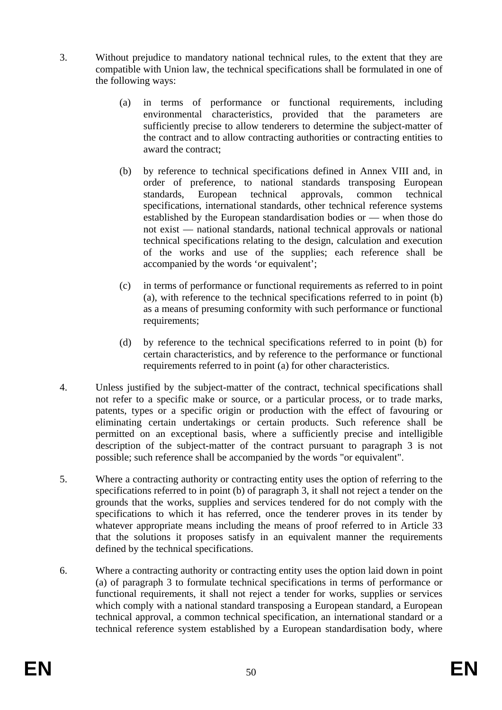- 3. Without prejudice to mandatory national technical rules, to the extent that they are compatible with Union law, the technical specifications shall be formulated in one of the following ways:
	- (a) in terms of performance or functional requirements, including environmental characteristics, provided that the parameters are sufficiently precise to allow tenderers to determine the subject-matter of the contract and to allow contracting authorities or contracting entities to award the contract;
	- (b) by reference to technical specifications defined in Annex VIII and, in order of preference, to national standards transposing European standards, European technical approvals, common technical specifications, international standards, other technical reference systems established by the European standardisation bodies or — when those do not exist — national standards, national technical approvals or national technical specifications relating to the design, calculation and execution of the works and use of the supplies; each reference shall be accompanied by the words 'or equivalent';
	- (c) in terms of performance or functional requirements as referred to in point (a), with reference to the technical specifications referred to in point (b) as a means of presuming conformity with such performance or functional requirements;
	- (d) by reference to the technical specifications referred to in point (b) for certain characteristics, and by reference to the performance or functional requirements referred to in point (a) for other characteristics.
- 4. Unless justified by the subject-matter of the contract, technical specifications shall not refer to a specific make or source, or a particular process, or to trade marks, patents, types or a specific origin or production with the effect of favouring or eliminating certain undertakings or certain products. Such reference shall be permitted on an exceptional basis, where a sufficiently precise and intelligible description of the subject-matter of the contract pursuant to paragraph 3 is not possible; such reference shall be accompanied by the words "or equivalent".
- 5. Where a contracting authority or contracting entity uses the option of referring to the specifications referred to in point (b) of paragraph 3, it shall not reject a tender on the grounds that the works, supplies and services tendered for do not comply with the specifications to which it has referred, once the tenderer proves in its tender by whatever appropriate means including the means of proof referred to in Article 33 that the solutions it proposes satisfy in an equivalent manner the requirements defined by the technical specifications.
- 6. Where a contracting authority or contracting entity uses the option laid down in point (a) of paragraph 3 to formulate technical specifications in terms of performance or functional requirements, it shall not reject a tender for works, supplies or services which comply with a national standard transposing a European standard, a European technical approval, a common technical specification, an international standard or a technical reference system established by a European standardisation body, where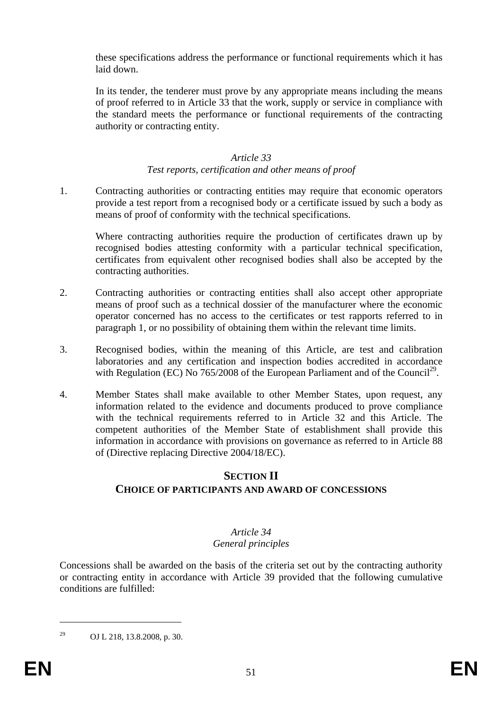these specifications address the performance or functional requirements which it has laid down.

In its tender, the tenderer must prove by any appropriate means including the means of proof referred to in Article 33 that the work, supply or service in compliance with the standard meets the performance or functional requirements of the contracting authority or contracting entity.

## *Article 33*

#### *Test reports, certification and other means of proof*

1. Contracting authorities or contracting entities may require that economic operators provide a test report from a recognised body or a certificate issued by such a body as means of proof of conformity with the technical specifications.

Where contracting authorities require the production of certificates drawn up by recognised bodies attesting conformity with a particular technical specification, certificates from equivalent other recognised bodies shall also be accepted by the contracting authorities.

- 2. Contracting authorities or contracting entities shall also accept other appropriate means of proof such as a technical dossier of the manufacturer where the economic operator concerned has no access to the certificates or test rapports referred to in paragraph 1, or no possibility of obtaining them within the relevant time limits.
- 3. Recognised bodies, within the meaning of this Article, are test and calibration laboratories and any certification and inspection bodies accredited in accordance with Regulation (EC) No  $765/2008$  of the European Parliament and of the Council<sup>29</sup>.
- 4. Member States shall make available to other Member States, upon request, any information related to the evidence and documents produced to prove compliance with the technical requirements referred to in Article 32 and this Article. The competent authorities of the Member State of establishment shall provide this information in accordance with provisions on governance as referred to in Article 88 of (Directive replacing Directive 2004/18/EC).

## **SECTION II**

## **CHOICE OF PARTICIPANTS AND AWARD OF CONCESSIONS**

# *Article 34*

## *General principles*

Concessions shall be awarded on the basis of the criteria set out by the contracting authority or contracting entity in accordance with Article 39 provided that the following cumulative conditions are fulfilled:

29 OJ L 218, 13.8.2008, p. 30.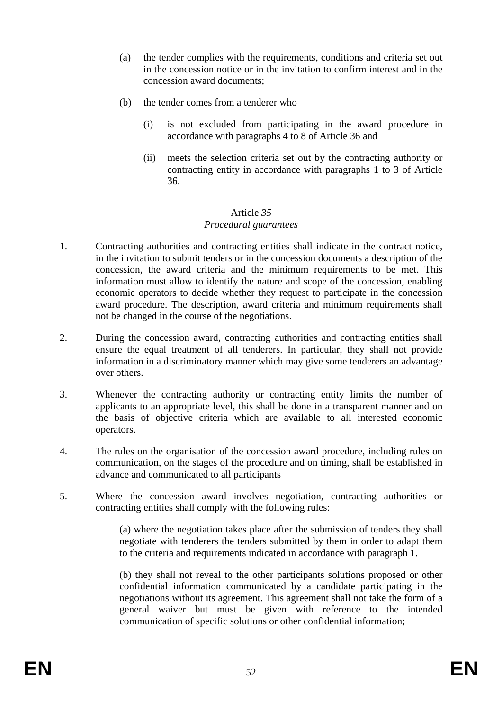- (a) the tender complies with the requirements, conditions and criteria set out in the concession notice or in the invitation to confirm interest and in the concession award documents;
- (b) the tender comes from a tenderer who
	- (i) is not excluded from participating in the award procedure in accordance with paragraphs 4 to 8 of Article 36 and
	- (ii) meets the selection criteria set out by the contracting authority or contracting entity in accordance with paragraphs 1 to 3 of Article 36.

#### Article *35 Procedural guarantees*

- 1. Contracting authorities and contracting entities shall indicate in the contract notice, in the invitation to submit tenders or in the concession documents a description of the concession, the award criteria and the minimum requirements to be met. This information must allow to identify the nature and scope of the concession, enabling economic operators to decide whether they request to participate in the concession award procedure. The description, award criteria and minimum requirements shall not be changed in the course of the negotiations.
- 2. During the concession award, contracting authorities and contracting entities shall ensure the equal treatment of all tenderers. In particular, they shall not provide information in a discriminatory manner which may give some tenderers an advantage over others.
- 3. Whenever the contracting authority or contracting entity limits the number of applicants to an appropriate level, this shall be done in a transparent manner and on the basis of objective criteria which are available to all interested economic operators.
- 4. The rules on the organisation of the concession award procedure, including rules on communication, on the stages of the procedure and on timing, shall be established in advance and communicated to all participants
- 5. Where the concession award involves negotiation, contracting authorities or contracting entities shall comply with the following rules:

(a) where the negotiation takes place after the submission of tenders they shall negotiate with tenderers the tenders submitted by them in order to adapt them to the criteria and requirements indicated in accordance with paragraph 1.

(b) they shall not reveal to the other participants solutions proposed or other confidential information communicated by a candidate participating in the negotiations without its agreement. This agreement shall not take the form of a general waiver but must be given with reference to the intended communication of specific solutions or other confidential information;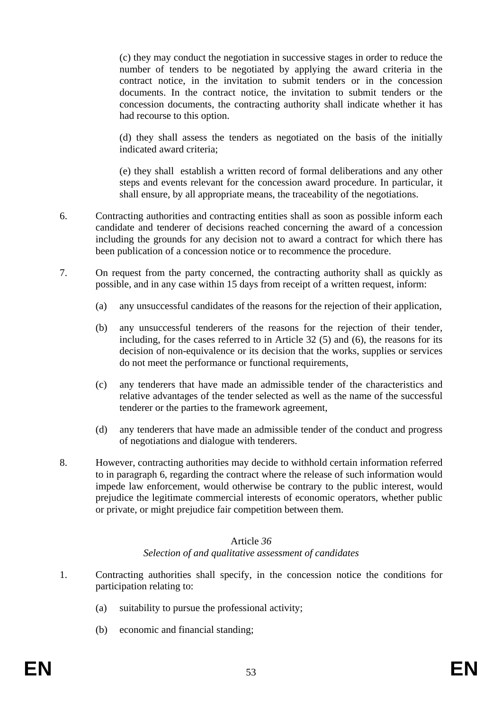(c) they may conduct the negotiation in successive stages in order to reduce the number of tenders to be negotiated by applying the award criteria in the contract notice, in the invitation to submit tenders or in the concession documents. In the contract notice, the invitation to submit tenders or the concession documents, the contracting authority shall indicate whether it has had recourse to this option.

(d) they shall assess the tenders as negotiated on the basis of the initially indicated award criteria;

(e) they shall establish a written record of formal deliberations and any other steps and events relevant for the concession award procedure. In particular, it shall ensure, by all appropriate means, the traceability of the negotiations.

- 6. Contracting authorities and contracting entities shall as soon as possible inform each candidate and tenderer of decisions reached concerning the award of a concession including the grounds for any decision not to award a contract for which there has been publication of a concession notice or to recommence the procedure.
- 7. On request from the party concerned, the contracting authority shall as quickly as possible, and in any case within 15 days from receipt of a written request, inform:
	- (a) any unsuccessful candidates of the reasons for the rejection of their application,
	- (b) any unsuccessful tenderers of the reasons for the rejection of their tender, including, for the cases referred to in Article 32 (5) and (6), the reasons for its decision of non-equivalence or its decision that the works, supplies or services do not meet the performance or functional requirements,
	- (c) any tenderers that have made an admissible tender of the characteristics and relative advantages of the tender selected as well as the name of the successful tenderer or the parties to the framework agreement,
	- (d) any tenderers that have made an admissible tender of the conduct and progress of negotiations and dialogue with tenderers.
- 8. However, contracting authorities may decide to withhold certain information referred to in paragraph 6, regarding the contract where the release of such information would impede law enforcement, would otherwise be contrary to the public interest, would prejudice the legitimate commercial interests of economic operators, whether public or private, or might prejudice fair competition between them.

#### Article *36 Selection of and qualitative assessment of candidates*

- 1. Contracting authorities shall specify, in the concession notice the conditions for participation relating to:
	- (a) suitability to pursue the professional activity;
	- (b) economic and financial standing;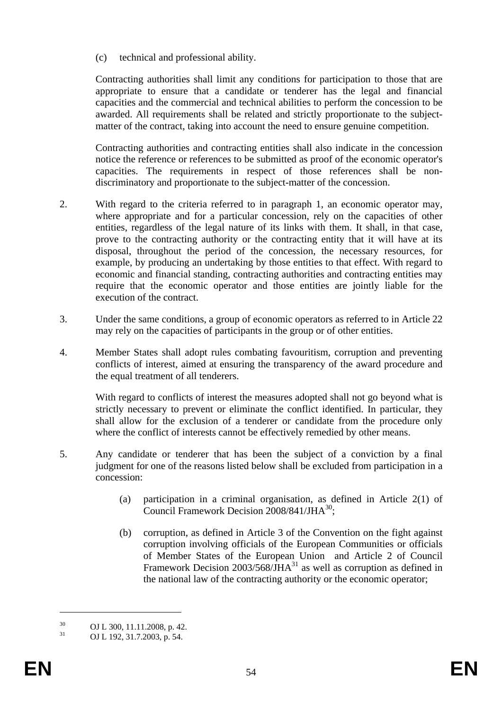(c) technical and professional ability.

Contracting authorities shall limit any conditions for participation to those that are appropriate to ensure that a candidate or tenderer has the legal and financial capacities and the commercial and technical abilities to perform the concession to be awarded. All requirements shall be related and strictly proportionate to the subjectmatter of the contract, taking into account the need to ensure genuine competition.

Contracting authorities and contracting entities shall also indicate in the concession notice the reference or references to be submitted as proof of the economic operator's capacities. The requirements in respect of those references shall be nondiscriminatory and proportionate to the subject-matter of the concession.

- 2. With regard to the criteria referred to in paragraph 1, an economic operator may, where appropriate and for a particular concession, rely on the capacities of other entities, regardless of the legal nature of its links with them. It shall, in that case, prove to the contracting authority or the contracting entity that it will have at its disposal, throughout the period of the concession, the necessary resources, for example, by producing an undertaking by those entities to that effect. With regard to economic and financial standing, contracting authorities and contracting entities may require that the economic operator and those entities are jointly liable for the execution of the contract.
- 3. Under the same conditions, a group of economic operators as referred to in Article 22 may rely on the capacities of participants in the group or of other entities.
- 4. Member States shall adopt rules combating favouritism, corruption and preventing conflicts of interest, aimed at ensuring the transparency of the award procedure and the equal treatment of all tenderers.

With regard to conflicts of interest the measures adopted shall not go beyond what is strictly necessary to prevent or eliminate the conflict identified. In particular, they shall allow for the exclusion of a tenderer or candidate from the procedure only where the conflict of interests cannot be effectively remedied by other means.

- 5. Any candidate or tenderer that has been the subject of a conviction by a final judgment for one of the reasons listed below shall be excluded from participation in a concession:
	- (a) participation in a criminal organisation, as defined in Article 2(1) of Council Framework Decision  $2008/841/JHA^{30}$ ;
	- (b) corruption, as defined in Article 3 of the Convention on the fight against corruption involving officials of the European Communities or officials of Member States of the European Union and Article 2 of Council Framework Decision  $2003/568/\text{JHA}^{31}$  as well as corruption as defined in the national law of the contracting authority or the economic operator;

<u>.</u>

 $^{30}$  OJ L 300, 11.11.2008, p. 42.<br> $^{31}$  OJ L 102, 21.7.2002, p. 54.

<sup>31</sup> OJ L 192, 31.7.2003, p. 54.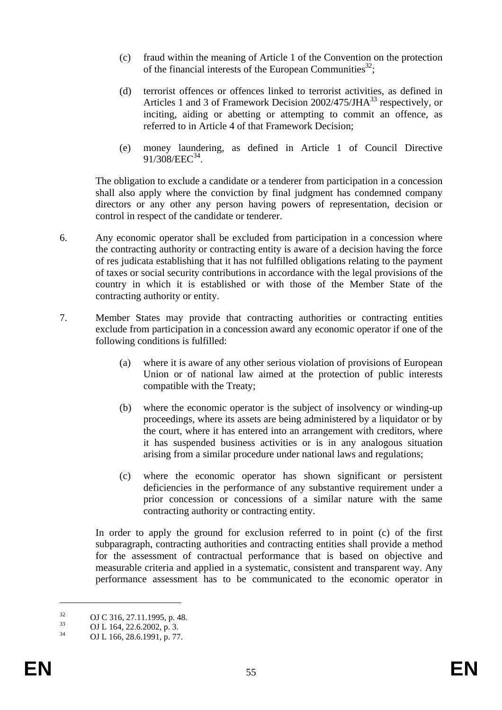- (c) fraud within the meaning of Article 1 of the Convention on the protection of the financial interests of the European Communities<sup>32</sup>;
- (d) terrorist offences or offences linked to terrorist activities, as defined in Articles 1 and 3 of Framework Decision 2002/475/JHA<sup>33</sup> respectively, or inciting, aiding or abetting or attempting to commit an offence, as referred to in Article 4 of that Framework Decision;
- (e) money laundering, as defined in Article 1 of Council Directive 91/308/EEC<sup>34</sup>.

The obligation to exclude a candidate or a tenderer from participation in a concession shall also apply where the conviction by final judgment has condemned company directors or any other any person having powers of representation, decision or control in respect of the candidate or tenderer.

- 6. Any economic operator shall be excluded from participation in a concession where the contracting authority or contracting entity is aware of a decision having the force of res judicata establishing that it has not fulfilled obligations relating to the payment of taxes or social security contributions in accordance with the legal provisions of the country in which it is established or with those of the Member State of the contracting authority or entity.
- 7. Member States may provide that contracting authorities or contracting entities exclude from participation in a concession award any economic operator if one of the following conditions is fulfilled:
	- (a) where it is aware of any other serious violation of provisions of European Union or of national law aimed at the protection of public interests compatible with the Treaty;
	- (b) where the economic operator is the subject of insolvency or winding-up proceedings, where its assets are being administered by a liquidator or by the court, where it has entered into an arrangement with creditors, where it has suspended business activities or is in any analogous situation arising from a similar procedure under national laws and regulations;
	- (c) where the economic operator has shown significant or persistent deficiencies in the performance of any substantive requirement under a prior concession or concessions of a similar nature with the same contracting authority or contracting entity.

In order to apply the ground for exclusion referred to in point (c) of the first subparagraph, contracting authorities and contracting entities shall provide a method for the assessment of contractual performance that is based on objective and measurable criteria and applied in a systematic, consistent and transparent way. Any performance assessment has to be communicated to the economic operator in

 $^{32}$  OJ C 316, 27.11.1995, p. 48.

 $\frac{33}{34}$  OJ L 164, 22.6.2002, p. 3.

OJ L 166, 28.6.1991, p. 77.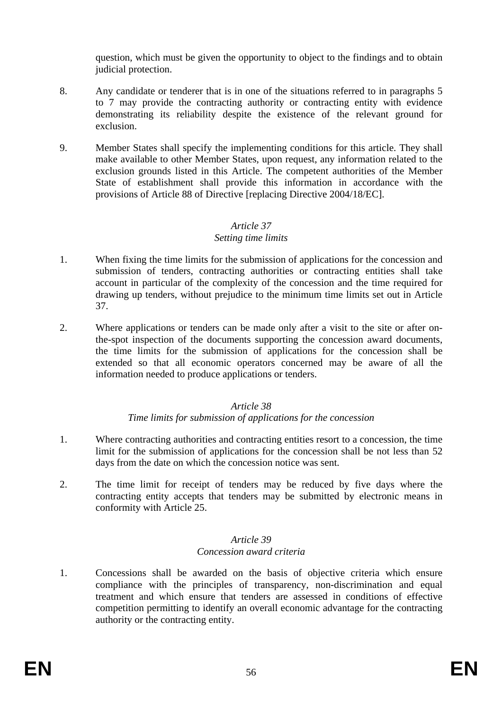question, which must be given the opportunity to object to the findings and to obtain judicial protection.

- 8. Any candidate or tenderer that is in one of the situations referred to in paragraphs 5 to 7 may provide the contracting authority or contracting entity with evidence demonstrating its reliability despite the existence of the relevant ground for exclusion.
- 9. Member States shall specify the implementing conditions for this article. They shall make available to other Member States, upon request, any information related to the exclusion grounds listed in this Article. The competent authorities of the Member State of establishment shall provide this information in accordance with the provisions of Article 88 of Directive [replacing Directive 2004/18/EC].

#### *Article 37*

#### *Setting time limits*

- 1. When fixing the time limits for the submission of applications for the concession and submission of tenders, contracting authorities or contracting entities shall take account in particular of the complexity of the concession and the time required for drawing up tenders, without prejudice to the minimum time limits set out in Article 37.
- 2. Where applications or tenders can be made only after a visit to the site or after onthe-spot inspection of the documents supporting the concession award documents, the time limits for the submission of applications for the concession shall be extended so that all economic operators concerned may be aware of all the information needed to produce applications or tenders.

#### *Article 38*

## *Time limits for submission of applications for the concession*

- 1. Where contracting authorities and contracting entities resort to a concession, the time limit for the submission of applications for the concession shall be not less than 52 days from the date on which the concession notice was sent.
- 2. The time limit for receipt of tenders may be reduced by five days where the contracting entity accepts that tenders may be submitted by electronic means in conformity with Article 25.

#### *Article 39 Concession award criteria*

1. Concessions shall be awarded on the basis of objective criteria which ensure compliance with the principles of transparency, non-discrimination and equal treatment and which ensure that tenders are assessed in conditions of effective competition permitting to identify an overall economic advantage for the contracting authority or the contracting entity.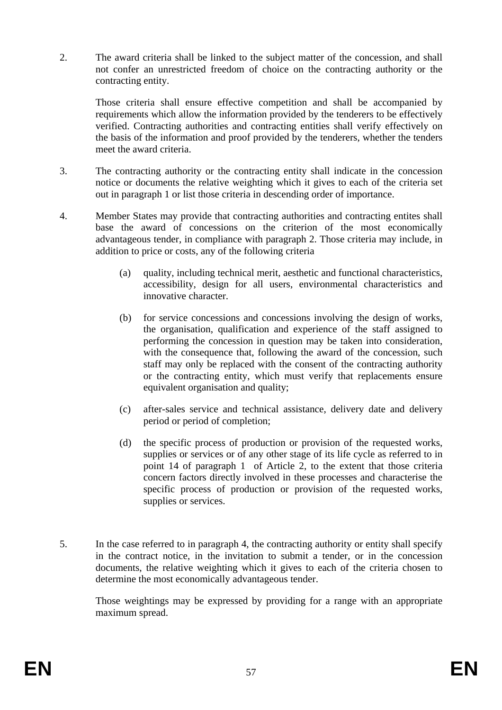2. The award criteria shall be linked to the subject matter of the concession, and shall not confer an unrestricted freedom of choice on the contracting authority or the contracting entity.

Those criteria shall ensure effective competition and shall be accompanied by requirements which allow the information provided by the tenderers to be effectively verified. Contracting authorities and contracting entities shall verify effectively on the basis of the information and proof provided by the tenderers, whether the tenders meet the award criteria.

- 3. The contracting authority or the contracting entity shall indicate in the concession notice or documents the relative weighting which it gives to each of the criteria set out in paragraph 1 or list those criteria in descending order of importance.
- 4. Member States may provide that contracting authorities and contracting entites shall base the award of concessions on the criterion of the most economically advantageous tender, in compliance with paragraph 2. Those criteria may include, in addition to price or costs, any of the following criteria
	- (a) quality, including technical merit, aesthetic and functional characteristics, accessibility, design for all users, environmental characteristics and innovative character.
	- (b) for service concessions and concessions involving the design of works, the organisation, qualification and experience of the staff assigned to performing the concession in question may be taken into consideration, with the consequence that, following the award of the concession, such staff may only be replaced with the consent of the contracting authority or the contracting entity, which must verify that replacements ensure equivalent organisation and quality;
	- (c) after-sales service and technical assistance, delivery date and delivery period or period of completion;
	- (d) the specific process of production or provision of the requested works, supplies or services or of any other stage of its life cycle as referred to in point 14 of paragraph 1 of Article 2, to the extent that those criteria concern factors directly involved in these processes and characterise the specific process of production or provision of the requested works, supplies or services.
- 5. In the case referred to in paragraph 4, the contracting authority or entity shall specify in the contract notice, in the invitation to submit a tender, or in the concession documents, the relative weighting which it gives to each of the criteria chosen to determine the most economically advantageous tender.

Those weightings may be expressed by providing for a range with an appropriate maximum spread.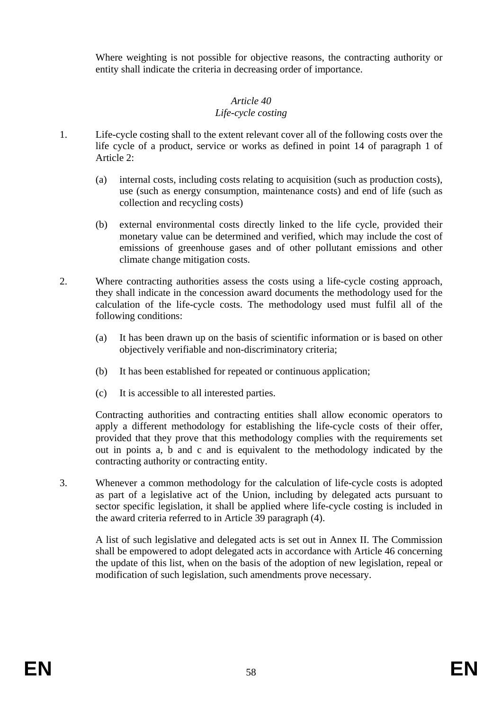Where weighting is not possible for objective reasons, the contracting authority or entity shall indicate the criteria in decreasing order of importance.

#### *Article 40 Life-cycle costing*

- 1. Life-cycle costing shall to the extent relevant cover all of the following costs over the life cycle of a product, service or works as defined in point 14 of paragraph 1 of Article 2:
	- (a) internal costs, including costs relating to acquisition (such as production costs), use (such as energy consumption, maintenance costs) and end of life (such as collection and recycling costs)
	- (b) external environmental costs directly linked to the life cycle, provided their monetary value can be determined and verified, which may include the cost of emissions of greenhouse gases and of other pollutant emissions and other climate change mitigation costs.
- 2. Where contracting authorities assess the costs using a life-cycle costing approach, they shall indicate in the concession award documents the methodology used for the calculation of the life-cycle costs. The methodology used must fulfil all of the following conditions:
	- (a) It has been drawn up on the basis of scientific information or is based on other objectively verifiable and non-discriminatory criteria;
	- (b) It has been established for repeated or continuous application;
	- (c) It is accessible to all interested parties.

Contracting authorities and contracting entities shall allow economic operators to apply a different methodology for establishing the life-cycle costs of their offer, provided that they prove that this methodology complies with the requirements set out in points a, b and c and is equivalent to the methodology indicated by the contracting authority or contracting entity.

3. Whenever a common methodology for the calculation of life-cycle costs is adopted as part of a legislative act of the Union, including by delegated acts pursuant to sector specific legislation, it shall be applied where life-cycle costing is included in the award criteria referred to in Article 39 paragraph (4).

A list of such legislative and delegated acts is set out in Annex II. The Commission shall be empowered to adopt delegated acts in accordance with Article 46 concerning the update of this list, when on the basis of the adoption of new legislation, repeal or modification of such legislation, such amendments prove necessary.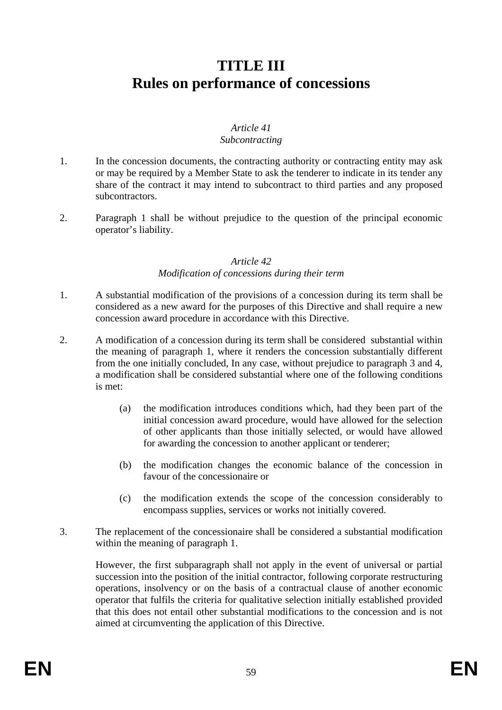# **TITLE III Rules on performance of concessions**

#### *Article 41 Subcontracting*

- 1. In the concession documents, the contracting authority or contracting entity may ask or may be required by a Member State to ask the tenderer to indicate in its tender any share of the contract it may intend to subcontract to third parties and any proposed subcontractors.
- 2. Paragraph 1 shall be without prejudice to the question of the principal economic operator's liability.

#### *Article 42 Modification of concessions during their term*

- 1. A substantial modification of the provisions of a concession during its term shall be considered as a new award for the purposes of this Directive and shall require a new concession award procedure in accordance with this Directive.
- 2. A modification of a concession during its term shall be considered substantial within the meaning of paragraph 1, where it renders the concession substantially different from the one initially concluded, In any case, without prejudice to paragraph 3 and 4, a modification shall be considered substantial where one of the following conditions is met:
	- (a) the modification introduces conditions which, had they been part of the initial concession award procedure, would have allowed for the selection of other applicants than those initially selected, or would have allowed for awarding the concession to another applicant or tenderer;
	- (b) the modification changes the economic balance of the concession in favour of the concessionaire or
	- (c) the modification extends the scope of the concession considerably to encompass supplies, services or works not initially covered.
- 3. The replacement of the concessionaire shall be considered a substantial modification within the meaning of paragraph 1.

However, the first subparagraph shall not apply in the event of universal or partial succession into the position of the initial contractor, following corporate restructuring operations, insolvency or on the basis of a contractual clause of another economic operator that fulfils the criteria for qualitative selection initially established provided that this does not entail other substantial modifications to the concession and is not aimed at circumventing the application of this Directive.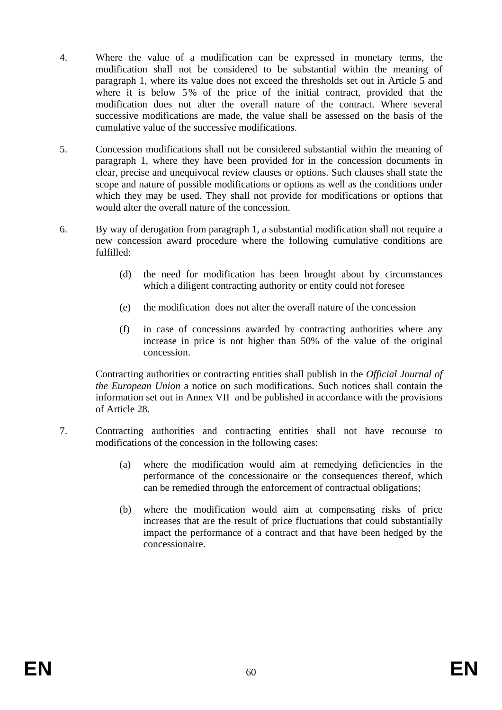- 4. Where the value of a modification can be expressed in monetary terms, the modification shall not be considered to be substantial within the meaning of paragraph 1, where its value does not exceed the thresholds set out in Article 5 and where it is below 5% of the price of the initial contract, provided that the modification does not alter the overall nature of the contract. Where several successive modifications are made, the value shall be assessed on the basis of the cumulative value of the successive modifications.
- 5. Concession modifications shall not be considered substantial within the meaning of paragraph 1, where they have been provided for in the concession documents in clear, precise and unequivocal review clauses or options. Such clauses shall state the scope and nature of possible modifications or options as well as the conditions under which they may be used. They shall not provide for modifications or options that would alter the overall nature of the concession.
- 6. By way of derogation from paragraph 1, a substantial modification shall not require a new concession award procedure where the following cumulative conditions are fulfilled:
	- (d) the need for modification has been brought about by circumstances which a diligent contracting authority or entity could not foresee
	- (e) the modification does not alter the overall nature of the concession
	- (f) in case of concessions awarded by contracting authorities where any increase in price is not higher than 50% of the value of the original concession.

Contracting authorities or contracting entities shall publish in the *Official Journal of the European Union* a notice on such modifications. Such notices shall contain the information set out in Annex VII and be published in accordance with the provisions of Article 28.

- 7. Contracting authorities and contracting entities shall not have recourse to modifications of the concession in the following cases:
	- (a) where the modification would aim at remedying deficiencies in the performance of the concessionaire or the consequences thereof, which can be remedied through the enforcement of contractual obligations;
	- (b) where the modification would aim at compensating risks of price increases that are the result of price fluctuations that could substantially impact the performance of a contract and that have been hedged by the concessionaire.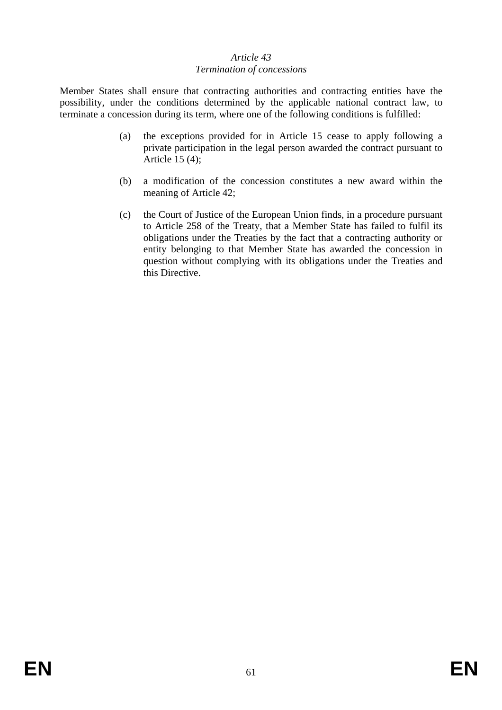## *Article 43 Termination of concessions*

Member States shall ensure that contracting authorities and contracting entities have the possibility, under the conditions determined by the applicable national contract law, to terminate a concession during its term, where one of the following conditions is fulfilled:

- (a) the exceptions provided for in Article 15 cease to apply following a private participation in the legal person awarded the contract pursuant to Article 15 (4);
- (b) a modification of the concession constitutes a new award within the meaning of Article 42;
- (c) the Court of Justice of the European Union finds, in a procedure pursuant to Article 258 of the Treaty, that a Member State has failed to fulfil its obligations under the Treaties by the fact that a contracting authority or entity belonging to that Member State has awarded the concession in question without complying with its obligations under the Treaties and this Directive.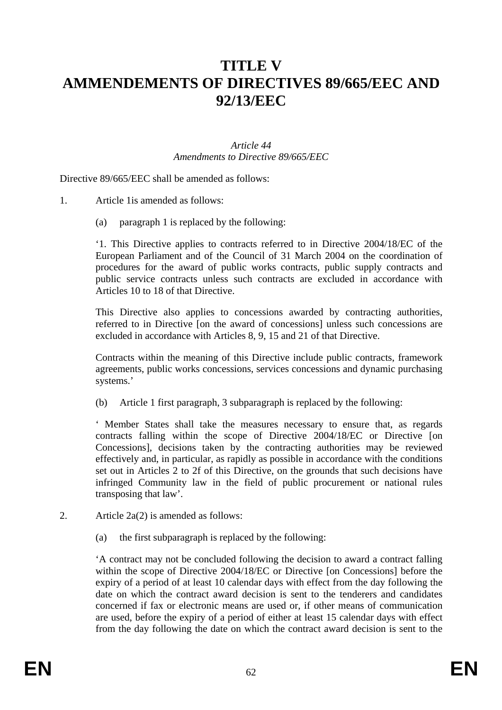# **TITLE V AMMENDEMENTS OF DIRECTIVES 89/665/EEC AND 92/13/EEC**

#### *Article 44 Amendments to Directive 89/665/EEC*

Directive 89/665/EEC shall be amended as follows:

- 1. Article 1is amended as follows:
	- (a) paragraph 1 is replaced by the following:

'1. This Directive applies to contracts referred to in Directive 2004/18/EC of the European Parliament and of the Council of 31 March 2004 on the coordination of procedures for the award of public works contracts, public supply contracts and public service contracts unless such contracts are excluded in accordance with Articles 10 to 18 of that Directive.

This Directive also applies to concessions awarded by contracting authorities, referred to in Directive [on the award of concessions] unless such concessions are excluded in accordance with Articles 8, 9, 15 and 21 of that Directive.

Contracts within the meaning of this Directive include public contracts, framework agreements, public works concessions, services concessions and dynamic purchasing systems.'

(b) Article 1 first paragraph, 3 subparagraph is replaced by the following:

' Member States shall take the measures necessary to ensure that, as regards contracts falling within the scope of Directive 2004/18/EC or Directive [on Concessions], decisions taken by the contracting authorities may be reviewed effectively and, in particular, as rapidly as possible in accordance with the conditions set out in Articles 2 to 2f of this Directive, on the grounds that such decisions have infringed Community law in the field of public procurement or national rules transposing that law'.

- 2. Article 2a(2) is amended as follows:
	- (a) the first subparagraph is replaced by the following:

'A contract may not be concluded following the decision to award a contract falling within the scope of Directive 2004/18/EC or Directive [on Concessions] before the expiry of a period of at least 10 calendar days with effect from the day following the date on which the contract award decision is sent to the tenderers and candidates concerned if fax or electronic means are used or, if other means of communication are used, before the expiry of a period of either at least 15 calendar days with effect from the day following the date on which the contract award decision is sent to the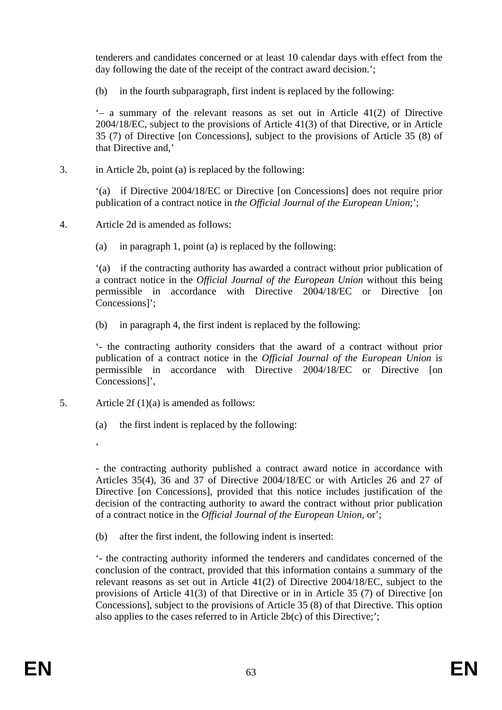tenderers and candidates concerned or at least 10 calendar days with effect from the day following the date of the receipt of the contract award decision.';

(b) in the fourth subparagraph, first indent is replaced by the following:

 $-$  a summary of the relevant reasons as set out in Article 41(2) of Directive 2004/18/EC, subject to the provisions of Article 41(3) of that Directive, or in Article 35 (7) of Directive [on Concessions], subject to the provisions of Article 35 (8) of that Directive and,'

3. in Article 2b, point (a) is replaced by the following:

'(a) if Directive 2004/18/EC or Directive [on Concessions] does not require prior publication of a contract notice in *the Official Journal of the European Union*;';

- 4. Article 2d is amended as follows:
	- (a) in paragraph 1, point (a) is replaced by the following:

'(a) if the contracting authority has awarded a contract without prior publication of a contract notice in the *Official Journal of the European Union* without this being permissible in accordance with Directive 2004/18/EC or Directive [on Concessions]';

(b) in paragraph 4, the first indent is replaced by the following:

'- the contracting authority considers that the award of a contract without prior publication of a contract notice in the *Official Journal of the European Union* is permissible in accordance with Directive 2004/18/EC or Directive [on Concessions]',

5. Article 2f (1)(a) is amended as follows:

(a) the first indent is replaced by the following:

 $\epsilon$ 

- the contracting authority published a contract award notice in accordance with Articles 35(4), 36 and 37 of Directive 2004/18/EC or with Articles 26 and 27 of Directive [on Concessions], provided that this notice includes justification of the decision of the contracting authority to award the contract without prior publication of a contract notice in the *Official Journal of the European Union*, or';

(b) after the first indent, the following indent is inserted:

'- the contracting authority informed the tenderers and candidates concerned of the conclusion of the contract, provided that this information contains a summary of the relevant reasons as set out in Article 41(2) of Directive 2004/18/EC, subject to the provisions of Article 41(3) of that Directive or in in Article 35 (7) of Directive [on Concessions], subject to the provisions of Article 35 (8) of that Directive. This option also applies to the cases referred to in Article 2b(c) of this Directive;';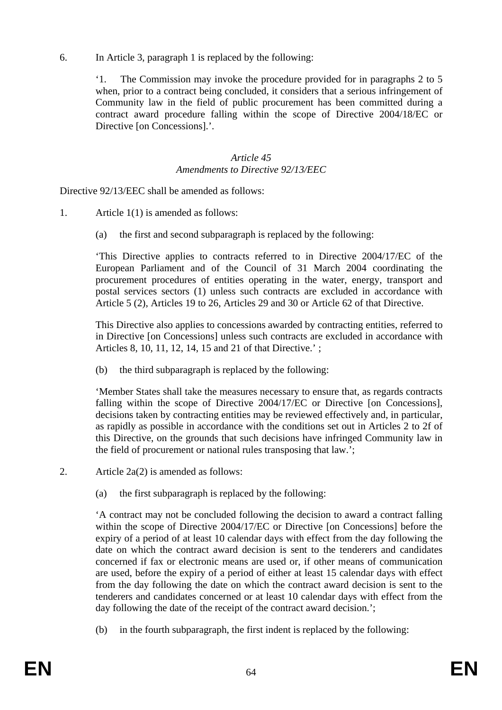6. In Article 3, paragraph 1 is replaced by the following:

'1. The Commission may invoke the procedure provided for in paragraphs 2 to 5 when, prior to a contract being concluded, it considers that a serious infringement of Community law in the field of public procurement has been committed during a contract award procedure falling within the scope of Directive 2004/18/EC or Directive [on Concessions].'.

## *Article 45 Amendments to Directive 92/13/EEC*

Directive 92/13/EEC shall be amended as follows:

- 1. Article 1(1) is amended as follows:
	- (a) the first and second subparagraph is replaced by the following:

'This Directive applies to contracts referred to in Directive 2004/17/EC of the European Parliament and of the Council of 31 March 2004 coordinating the procurement procedures of entities operating in the water, energy, transport and postal services sectors (1) unless such contracts are excluded in accordance with Article 5 (2), Articles 19 to 26, Articles 29 and 30 or Article 62 of that Directive.

This Directive also applies to concessions awarded by contracting entities, referred to in Directive [on Concessions] unless such contracts are excluded in accordance with Articles 8, 10, 11, 12, 14, 15 and 21 of that Directive.' ;

(b) the third subparagraph is replaced by the following:

'Member States shall take the measures necessary to ensure that, as regards contracts falling within the scope of Directive 2004/17/EC or Directive [on Concessions], decisions taken by contracting entities may be reviewed effectively and, in particular, as rapidly as possible in accordance with the conditions set out in Articles 2 to 2f of this Directive, on the grounds that such decisions have infringed Community law in the field of procurement or national rules transposing that law.';

- 2. Article 2a(2) is amended as follows:
	- (a) the first subparagraph is replaced by the following:

'A contract may not be concluded following the decision to award a contract falling within the scope of Directive 2004/17/EC or Directive [on Concessions] before the expiry of a period of at least 10 calendar days with effect from the day following the date on which the contract award decision is sent to the tenderers and candidates concerned if fax or electronic means are used or, if other means of communication are used, before the expiry of a period of either at least 15 calendar days with effect from the day following the date on which the contract award decision is sent to the tenderers and candidates concerned or at least 10 calendar days with effect from the day following the date of the receipt of the contract award decision.';

(b) in the fourth subparagraph, the first indent is replaced by the following: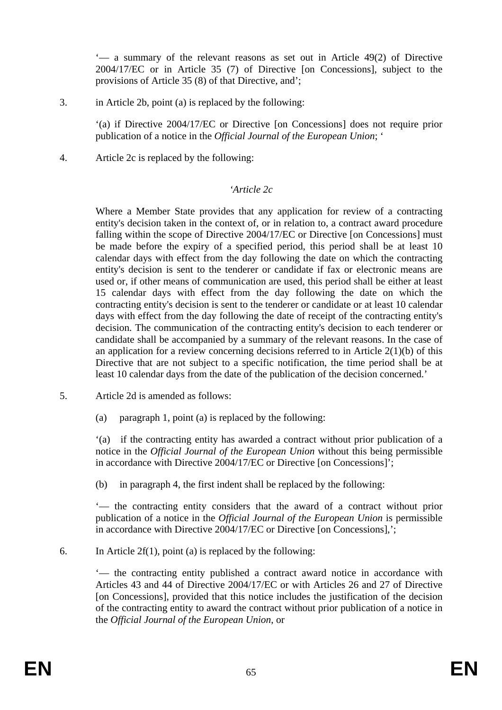'— a summary of the relevant reasons as set out in Article 49(2) of Directive 2004/17/EC or in Article 35 (7) of Directive [on Concessions], subject to the provisions of Article 35 (8) of that Directive, and';

3. in Article 2b, point (a) is replaced by the following:

'(a) if Directive 2004/17/EC or Directive [on Concessions] does not require prior publication of a notice in the *Official Journal of the European Union*; '

4. Article 2c is replaced by the following:

#### *'Article 2c*

Where a Member State provides that any application for review of a contracting entity's decision taken in the context of, or in relation to, a contract award procedure falling within the scope of Directive 2004/17/EC or Directive [on Concessions] must be made before the expiry of a specified period, this period shall be at least 10 calendar days with effect from the day following the date on which the contracting entity's decision is sent to the tenderer or candidate if fax or electronic means are used or, if other means of communication are used, this period shall be either at least 15 calendar days with effect from the day following the date on which the contracting entity's decision is sent to the tenderer or candidate or at least 10 calendar days with effect from the day following the date of receipt of the contracting entity's decision. The communication of the contracting entity's decision to each tenderer or candidate shall be accompanied by a summary of the relevant reasons. In the case of an application for a review concerning decisions referred to in Article  $2(1)(b)$  of this Directive that are not subject to a specific notification, the time period shall be at least 10 calendar days from the date of the publication of the decision concerned.'

- 5. Article 2d is amended as follows:
	- (a) paragraph 1, point (a) is replaced by the following:

'(a) if the contracting entity has awarded a contract without prior publication of a notice in the *Official Journal of the European Union* without this being permissible in accordance with Directive 2004/17/EC or Directive [on Concessions]';

(b) in paragraph 4, the first indent shall be replaced by the following:

'— the contracting entity considers that the award of a contract without prior publication of a notice in the *Official Journal of the European Union* is permissible in accordance with Directive 2004/17/EC or Directive [on Concessions],';

6. In Article  $2f(1)$ , point (a) is replaced by the following:

'— the contracting entity published a contract award notice in accordance with Articles 43 and 44 of Directive 2004/17/EC or with Articles 26 and 27 of Directive [on Concessions], provided that this notice includes the justification of the decision of the contracting entity to award the contract without prior publication of a notice in the *Official Journal of the European Union*, or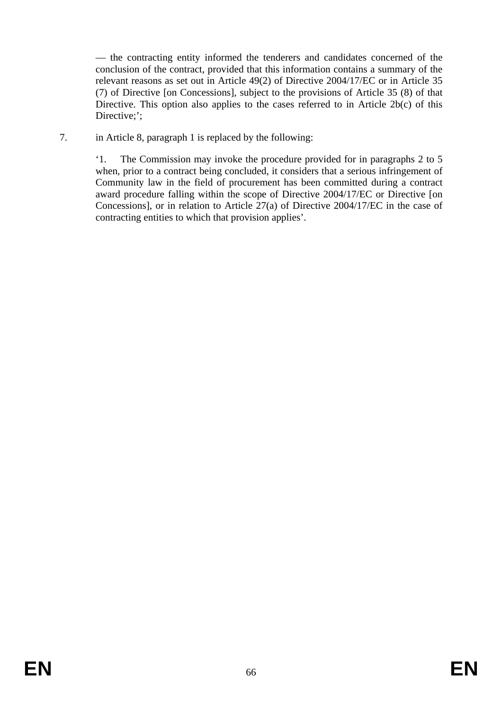— the contracting entity informed the tenderers and candidates concerned of the conclusion of the contract, provided that this information contains a summary of the relevant reasons as set out in Article 49(2) of Directive 2004/17/EC or in Article 35 (7) of Directive [on Concessions], subject to the provisions of Article 35 (8) of that Directive. This option also applies to the cases referred to in Article 2b(c) of this Directive:':

7. in Article 8, paragraph 1 is replaced by the following:

'1. The Commission may invoke the procedure provided for in paragraphs 2 to 5 when, prior to a contract being concluded, it considers that a serious infringement of Community law in the field of procurement has been committed during a contract award procedure falling within the scope of Directive 2004/17/EC or Directive [on Concessions], or in relation to Article 27(a) of Directive 2004/17/EC in the case of contracting entities to which that provision applies'.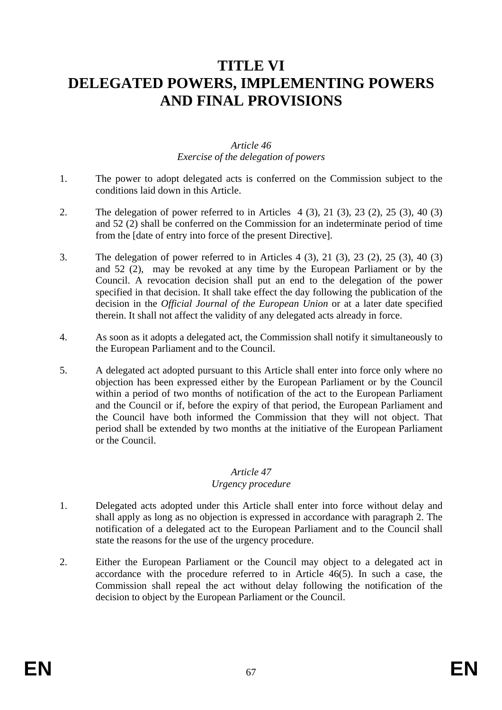# **TITLE VI DELEGATED POWERS, IMPLEMENTING POWERS AND FINAL PROVISIONS**

## *Article 46 Exercise of the delegation of powers*

- 1. The power to adopt delegated acts is conferred on the Commission subject to the conditions laid down in this Article.
- 2. The delegation of power referred to in Articles 4 (3), 21 (3), 23 (2), 25 (3), 40 (3) and 52 (2) shall be conferred on the Commission for an indeterminate period of time from the [date of entry into force of the present Directive].
- 3. The delegation of power referred to in Articles 4 (3), 21 (3), 23 (2), 25 (3), 40 (3) and 52 (2), may be revoked at any time by the European Parliament or by the Council. A revocation decision shall put an end to the delegation of the power specified in that decision. It shall take effect the day following the publication of the decision in the *Official Journal of the European Union* or at a later date specified therein. It shall not affect the validity of any delegated acts already in force.
- 4. As soon as it adopts a delegated act, the Commission shall notify it simultaneously to the European Parliament and to the Council.
- 5. A delegated act adopted pursuant to this Article shall enter into force only where no objection has been expressed either by the European Parliament or by the Council within a period of two months of notification of the act to the European Parliament and the Council or if, before the expiry of that period, the European Parliament and the Council have both informed the Commission that they will not object. That period shall be extended by two months at the initiative of the European Parliament or the Council.

#### *Article 47*

#### *Urgency procedure*

- 1. Delegated acts adopted under this Article shall enter into force without delay and shall apply as long as no objection is expressed in accordance with paragraph 2. The notification of a delegated act to the European Parliament and to the Council shall state the reasons for the use of the urgency procedure.
- 2. Either the European Parliament or the Council may object to a delegated act in accordance with the procedure referred to in Article 46(5). In such a case, the Commission shall repeal the act without delay following the notification of the decision to object by the European Parliament or the Council.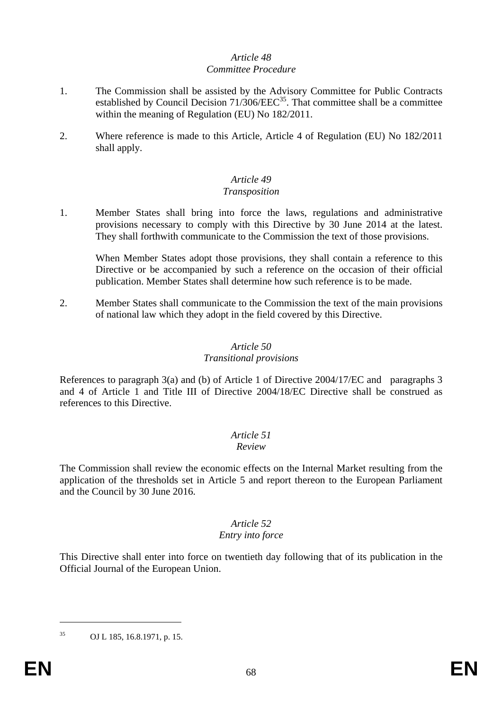#### *Article 48 Committee Procedure*

- 1. The Commission shall be assisted by the Advisory Committee for Public Contracts established by Council Decision 71/306/EEC<sup>35</sup>. That committee shall be a committee within the meaning of Regulation (EU) No 182/2011.
- 2. Where reference is made to this Article, Article 4 of Regulation (EU) No 182/2011 shall apply.

## *Article 49*

#### *Transposition*

1. Member States shall bring into force the laws, regulations and administrative provisions necessary to comply with this Directive by 30 June 2014 at the latest. They shall forthwith communicate to the Commission the text of those provisions.

When Member States adopt those provisions, they shall contain a reference to this Directive or be accompanied by such a reference on the occasion of their official publication. Member States shall determine how such reference is to be made.

2. Member States shall communicate to the Commission the text of the main provisions of national law which they adopt in the field covered by this Directive.

# *Article 50*

#### *Transitional provisions*

References to paragraph 3(a) and (b) of Article 1 of Directive 2004/17/EC and paragraphs 3 and 4 of Article 1 and Title III of Directive 2004/18/EC Directive shall be construed as references to this Directive.

# *Article 51*

## *Review*

The Commission shall review the economic effects on the Internal Market resulting from the application of the thresholds set in Article 5 and report thereon to the European Parliament and the Council by 30 June 2016.

## *Article 52*

## *Entry into force*

This Directive shall enter into force on twentieth day following that of its publication in the Official Journal of the European Union.

<sup>35</sup> OJ L 185, 16.8.1971, p. 15.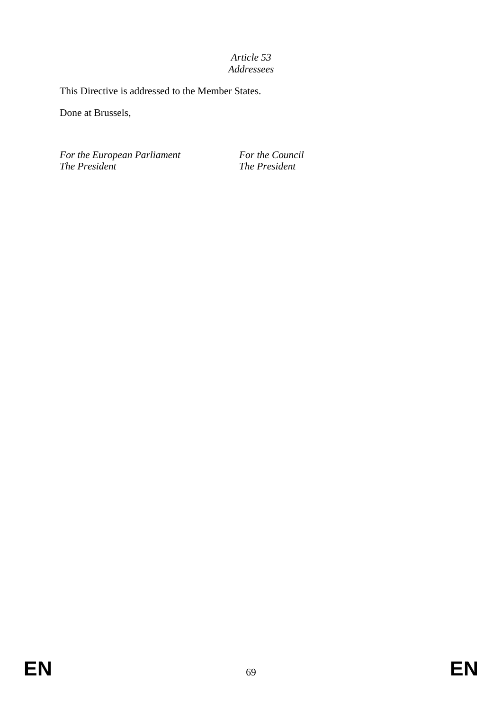## *Article 53 Addressees*

This Directive is addressed to the Member States.

Done at Brussels,

*For the European Parliament For the Council The President The President*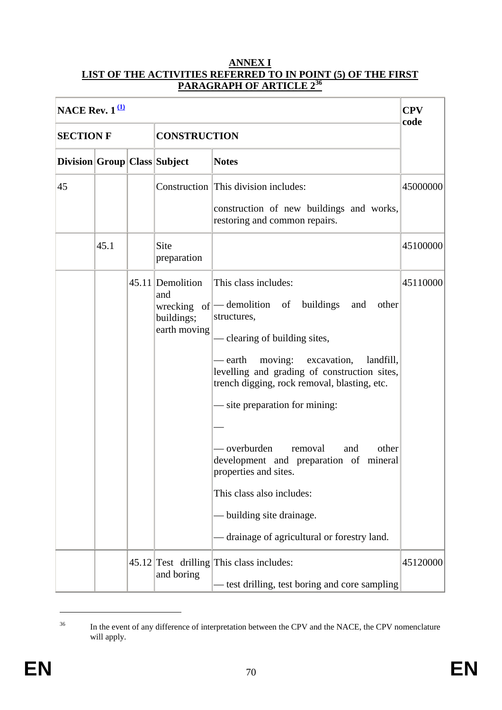#### **ANNEX I LIST OF THE ACTIVITIES REFERRED TO IN POINT (5) OF THE FIRST PARAGRAPH OF ARTICLE 2<sup>36</sup>**

| NACE Rev. $1^{\underline{11}}$ |      |  |                                                       |                                                                                                                                                                                                                                                                                                                                                                                                                                                                                                                                     |          |  |  |
|--------------------------------|------|--|-------------------------------------------------------|-------------------------------------------------------------------------------------------------------------------------------------------------------------------------------------------------------------------------------------------------------------------------------------------------------------------------------------------------------------------------------------------------------------------------------------------------------------------------------------------------------------------------------------|----------|--|--|
| <b>SECTION F</b>               |      |  | <b>CONSTRUCTION</b>                                   | code                                                                                                                                                                                                                                                                                                                                                                                                                                                                                                                                |          |  |  |
| Division Group Class Subject   |      |  |                                                       | <b>Notes</b>                                                                                                                                                                                                                                                                                                                                                                                                                                                                                                                        |          |  |  |
| 45                             |      |  |                                                       | Construction This division includes:                                                                                                                                                                                                                                                                                                                                                                                                                                                                                                | 45000000 |  |  |
|                                |      |  |                                                       | construction of new buildings and works,<br>restoring and common repairs.                                                                                                                                                                                                                                                                                                                                                                                                                                                           |          |  |  |
|                                | 45.1 |  | Site<br>preparation                                   |                                                                                                                                                                                                                                                                                                                                                                                                                                                                                                                                     | 45100000 |  |  |
|                                |      |  | 45.11 Demolition<br>and<br>buildings;<br>earth moving | This class includes:<br>wrecking of  - demolition of buildings<br>and<br>other<br>structures,<br>- clearing of building sites,<br>moving: excavation,<br>– earth<br>landfill,<br>levelling and grading of construction sites,<br>trench digging, rock removal, blasting, etc.<br>— site preparation for mining:<br>- overburden<br>removal<br>other<br>and<br>development and preparation of mineral<br>properties and sites.<br>This class also includes:<br>building site drainage.<br>drainage of agricultural or forestry land. | 45110000 |  |  |
|                                |      |  | and boring                                            | $45.12$ Test drilling This class includes:<br>test drilling, test boring and core sampling                                                                                                                                                                                                                                                                                                                                                                                                                                          | 45120000 |  |  |

<sup>&</sup>lt;sup>36</sup> In the event of any difference of interpretation between the CPV and the NACE, the CPV nomenclature will apply.

<u>.</u>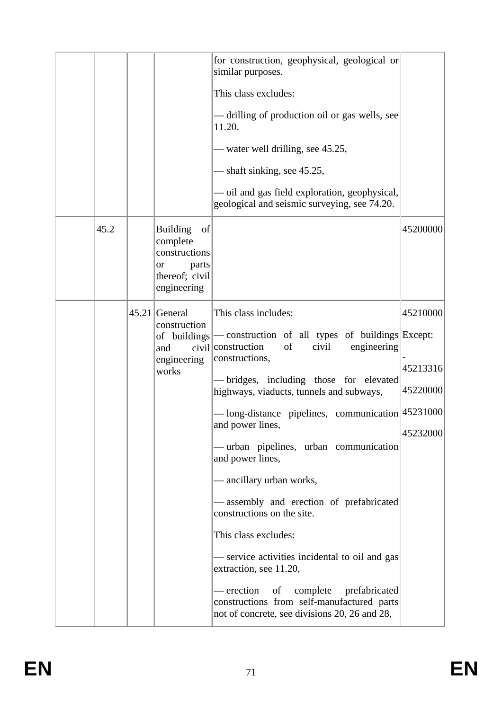|      |                                                                                                    | for construction, geophysical, geological or<br>similar purposes.<br>This class excludes:<br>— drilling of production oil or gas wells, see<br>11.20.<br>— water well drilling, see 45.25,<br>- shaft sinking, see 45.25,<br>- oil and gas field exploration, geophysical,<br>geological and seismic surveying, see 74.20.                                                                                                                                                                                                                                                                                                                                                                                                                               |                                              |
|------|----------------------------------------------------------------------------------------------------|----------------------------------------------------------------------------------------------------------------------------------------------------------------------------------------------------------------------------------------------------------------------------------------------------------------------------------------------------------------------------------------------------------------------------------------------------------------------------------------------------------------------------------------------------------------------------------------------------------------------------------------------------------------------------------------------------------------------------------------------------------|----------------------------------------------|
| 45.2 | <b>Building</b><br>of<br>complete<br>constructions<br>parts<br>or<br>thereof; civil<br>engineering |                                                                                                                                                                                                                                                                                                                                                                                                                                                                                                                                                                                                                                                                                                                                                          | 45200000                                     |
|      | $45.21$ General<br>construction<br>and<br>engineering<br>works                                     | This class includes:<br>of buildings - construction of all types of buildings Except:<br>civil construction<br>civil<br>engineering<br>of<br>constructions,<br>— bridges, including those for elevated<br>highways, viaducts, tunnels and subways,<br>- long-distance pipelines, communication 45231000<br>and power lines,<br>— urban pipelines, urban communication<br>and power lines,<br>— ancillary urban works,<br>- assembly and erection of prefabricated<br>constructions on the site.<br>This class excludes:<br>— service activities incidental to oil and gas<br>extraction, see 11.20,<br>complete prefabricated<br>- erection<br>$\circ$ of<br>constructions from self-manufactured parts<br>not of concrete, see divisions 20, 26 and 28, | 45210000<br>45213316<br>45220000<br>45232000 |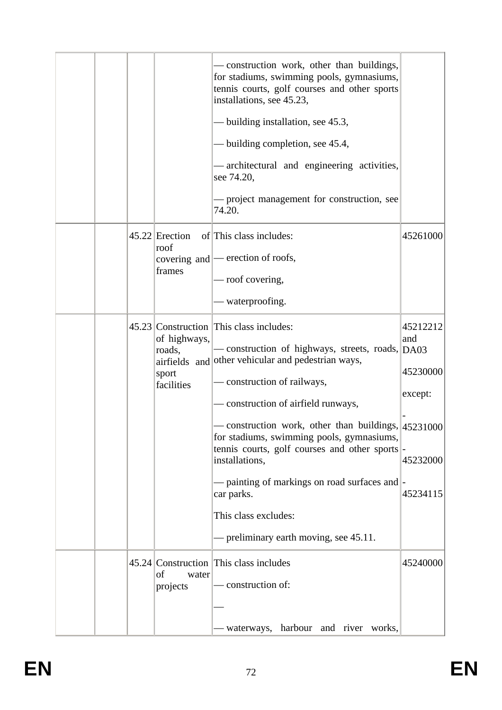|  |                                               | - construction work, other than buildings,<br>for stadiums, swimming pools, gymnasiums,<br>tennis courts, golf courses and other sports<br>installations, see 45.23,<br>- building installation, see 45.3,<br>- building completion, see 45.4,<br>- architectural and engineering activities,<br>see 74.20,<br>— project management for construction, see<br>74.20.                                                                                                                                                                    |                                                                |
|--|-----------------------------------------------|----------------------------------------------------------------------------------------------------------------------------------------------------------------------------------------------------------------------------------------------------------------------------------------------------------------------------------------------------------------------------------------------------------------------------------------------------------------------------------------------------------------------------------------|----------------------------------------------------------------|
|  | $45.22$ Erection<br>roof<br>frames            | of This class includes:<br>covering and  - erection of roofs,<br>— roof covering,<br>- waterproofing.                                                                                                                                                                                                                                                                                                                                                                                                                                  | 45261000                                                       |
|  | of highways,<br>roads,<br>sport<br>facilities | 45.23 Construction This class includes:<br>- construction of highways, streets, roads, DA03<br>airfields and other vehicular and pedestrian ways,<br>construction of railways,<br>- construction of airfield runways,<br>$-$ construction work, other than buildings, $ 45231000\rangle$<br>for stadiums, swimming pools, gymnasiums,<br>tennis courts, golf courses and other sports<br>installations,<br>- painting of markings on road surfaces and<br>car parks.<br>This class excludes:<br>— preliminary earth moving, see 45.11. | 45212212<br>and<br>45230000<br>except:<br>45232000<br>45234115 |
|  | of<br>water<br>projects                       | 45.24 Construction This class includes<br>- construction of:<br>waterways, harbour and river works,                                                                                                                                                                                                                                                                                                                                                                                                                                    | 45240000                                                       |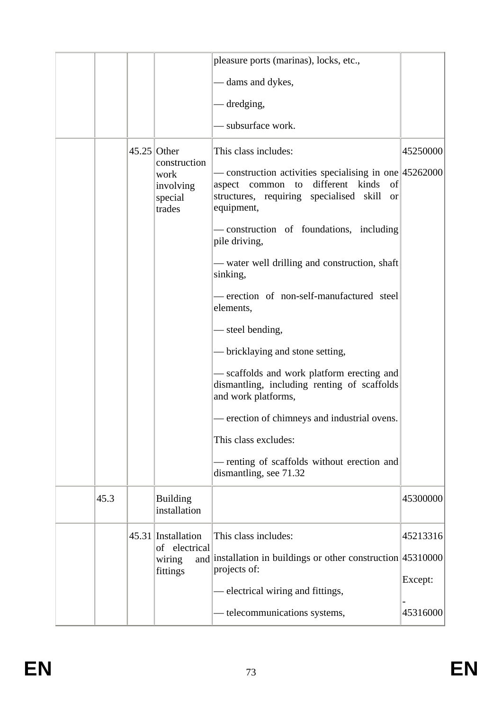|      |               |                                            | pleasure ports (marinas), locks, etc.,                                                                                                                                     |          |
|------|---------------|--------------------------------------------|----------------------------------------------------------------------------------------------------------------------------------------------------------------------------|----------|
|      |               |                                            | — dams and dykes,                                                                                                                                                          |          |
|      |               |                                            | - dredging,                                                                                                                                                                |          |
|      |               |                                            | - subsurface work.                                                                                                                                                         |          |
|      | $45.25$ Other | construction                               | This class includes:                                                                                                                                                       | 45250000 |
|      |               | work<br>involving<br>special<br>trades     | - construction activities specialising in one 45262000<br>aspect common to different kinds<br>of<br>structures, requiring specialised skill<br><sub>or</sub><br>equipment, |          |
|      |               |                                            | - construction of foundations, including<br>pile driving,                                                                                                                  |          |
|      |               |                                            | — water well drilling and construction, shaft<br>sinking,                                                                                                                  |          |
|      |               |                                            | - erection of non-self-manufactured steel<br>elements,                                                                                                                     |          |
|      |               |                                            | - steel bending,                                                                                                                                                           |          |
|      |               |                                            | - bricklaying and stone setting,                                                                                                                                           |          |
|      |               |                                            | - scaffolds and work platform erecting and<br>dismantling, including renting of scaffolds<br>and work platforms,                                                           |          |
|      |               |                                            | - erection of chimneys and industrial ovens.                                                                                                                               |          |
|      |               |                                            | This class excludes:                                                                                                                                                       |          |
|      |               |                                            | - renting of scaffolds without erection and<br>dismantling, see 71.32                                                                                                      |          |
| 45.3 |               | <b>Building</b><br>installation            |                                                                                                                                                                            | 45300000 |
|      |               | 45.31 Installation                         | This class includes:                                                                                                                                                       | 45213316 |
|      |               | of electrical<br>and<br>wiring<br>fittings | installation in buildings or other construction 45310000<br>projects of:                                                                                                   |          |
|      |               |                                            | electrical wiring and fittings,                                                                                                                                            | Except:  |
|      |               |                                            | - telecommunications systems,                                                                                                                                              | 45316000 |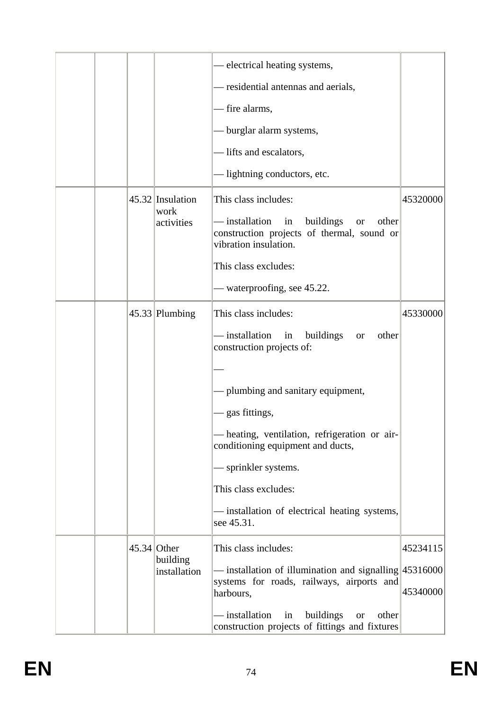|  |  |                                        |                                                                                                                                | - electrical heating systems,                                                                             |          |
|--|--|----------------------------------------|--------------------------------------------------------------------------------------------------------------------------------|-----------------------------------------------------------------------------------------------------------|----------|
|  |  |                                        |                                                                                                                                | - residential antennas and aerials,                                                                       |          |
|  |  |                                        |                                                                                                                                | - fire alarms,                                                                                            |          |
|  |  |                                        |                                                                                                                                | - burglar alarm systems,                                                                                  |          |
|  |  |                                        |                                                                                                                                | - lifts and escalators,                                                                                   |          |
|  |  |                                        |                                                                                                                                | - lightning conductors, etc.                                                                              |          |
|  |  | 45.32 Insulation<br>work<br>activities | This class includes:                                                                                                           | 45320000                                                                                                  |          |
|  |  |                                        | - installation<br>in<br>buildings<br>other<br><b>or</b><br>construction projects of thermal, sound or<br>vibration insulation. |                                                                                                           |          |
|  |  |                                        |                                                                                                                                | This class excludes:                                                                                      |          |
|  |  |                                        |                                                                                                                                | - waterproofing, see 45.22.                                                                               |          |
|  |  |                                        | $45.33$ Plumbing                                                                                                               | This class includes:                                                                                      | 45330000 |
|  |  |                                        |                                                                                                                                | — installation<br>buildings<br>other<br>in<br><b>or</b><br>construction projects of:                      |          |
|  |  |                                        |                                                                                                                                |                                                                                                           |          |
|  |  |                                        |                                                                                                                                | - plumbing and sanitary equipment,                                                                        |          |
|  |  |                                        |                                                                                                                                | gas fittings,                                                                                             |          |
|  |  |                                        |                                                                                                                                | - heating, ventilation, refrigeration or air-<br>conditioning equipment and ducts,                        |          |
|  |  |                                        |                                                                                                                                | sprinkler systems.                                                                                        |          |
|  |  |                                        |                                                                                                                                | This class excludes:                                                                                      |          |
|  |  |                                        |                                                                                                                                | installation of electrical heating systems,<br>see 45.31.                                                 |          |
|  |  |                                        | $45.34$ Other                                                                                                                  | This class includes:                                                                                      | 45234115 |
|  |  | building<br>installation               | installation of illumination and signalling 45316000                                                                           |                                                                                                           |          |
|  |  |                                        |                                                                                                                                | systems for roads, railways, airports and<br>harbours,                                                    | 45340000 |
|  |  |                                        |                                                                                                                                | – installation<br>buildings<br>in<br>other<br><b>or</b><br>construction projects of fittings and fixtures |          |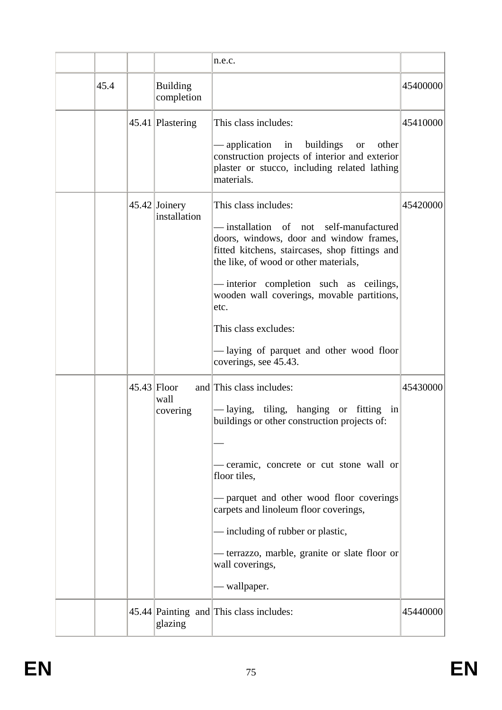|  |                                   |                                                                                        | n.e.c.                                                                                                                                                                                               |          |
|--|-----------------------------------|----------------------------------------------------------------------------------------|------------------------------------------------------------------------------------------------------------------------------------------------------------------------------------------------------|----------|
|  | 45.4                              | <b>Building</b><br>completion                                                          |                                                                                                                                                                                                      | 45400000 |
|  |                                   | 45.41 Plastering                                                                       | This class includes:                                                                                                                                                                                 | 45410000 |
|  |                                   |                                                                                        | - application in buildings<br>other<br>or or<br>construction projects of interior and exterior<br>plaster or stucco, including related lathing<br>materials.                                         |          |
|  |                                   | $45.42$ Joinery<br>installation                                                        | This class includes:<br>-installation of not self-manufactured<br>doors, windows, door and window frames,<br>fitted kitchens, staircases, shop fittings and<br>the like, of wood or other materials, | 45420000 |
|  |                                   |                                                                                        | - interior completion such as ceilings,<br>wooden wall coverings, movable partitions,<br>etc.                                                                                                        |          |
|  |                                   |                                                                                        | This class excludes:                                                                                                                                                                                 |          |
|  |                                   |                                                                                        | -laying of parquet and other wood floor<br>coverings, see 45.43.                                                                                                                                     |          |
|  | $45.43$ Floor<br>wall<br>covering |                                                                                        | and This class includes:                                                                                                                                                                             | 45430000 |
|  |                                   | -laying, tiling, hanging or fitting in<br>buildings or other construction projects of: |                                                                                                                                                                                                      |          |
|  |                                   |                                                                                        |                                                                                                                                                                                                      |          |
|  |                                   |                                                                                        | - ceramic, concrete or cut stone wall or<br>floor tiles,                                                                                                                                             |          |
|  |                                   |                                                                                        | - parquet and other wood floor coverings<br>carpets and linoleum floor coverings,                                                                                                                    |          |
|  |                                   |                                                                                        | — including of rubber or plastic,                                                                                                                                                                    |          |
|  |                                   |                                                                                        | — terrazzo, marble, granite or slate floor or<br>wall coverings,                                                                                                                                     |          |
|  |                                   |                                                                                        | - wallpaper.                                                                                                                                                                                         |          |
|  |                                   | glazing                                                                                | 45.44 Painting and This class includes:                                                                                                                                                              | 45440000 |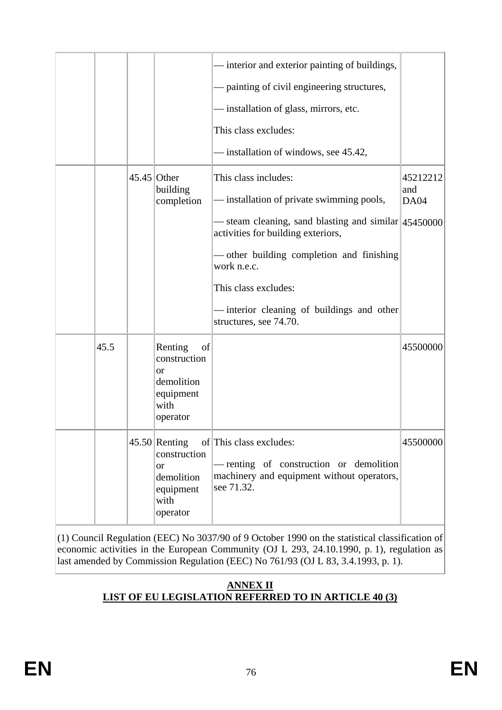|      |                                                                                      | - interior and exterior painting of buildings,                                                                                 |             |
|------|--------------------------------------------------------------------------------------|--------------------------------------------------------------------------------------------------------------------------------|-------------|
|      |                                                                                      | - painting of civil engineering structures,                                                                                    |             |
|      |                                                                                      | - installation of glass, mirrors, etc.                                                                                         |             |
|      |                                                                                      | This class excludes:                                                                                                           |             |
|      |                                                                                      | - installation of windows, see 45.42,                                                                                          |             |
|      | $45.45$ Other                                                                        | This class includes:                                                                                                           | 45212212    |
|      | building<br>completion                                                               | installation of private swimming pools,                                                                                        | and<br>DA04 |
|      |                                                                                      | - steam cleaning, sand blasting and similar 45450000<br>activities for building exteriors,                                     |             |
|      |                                                                                      | - other building completion and finishing<br>work n.e.c.                                                                       |             |
|      |                                                                                      | This class excludes:                                                                                                           |             |
|      |                                                                                      | - interior cleaning of buildings and other<br>structures, see 74.70.                                                           |             |
| 45.5 | Renting<br>of<br>construction<br>or<br>demolition<br>equipment<br>with<br>operator   |                                                                                                                                | 45500000    |
|      | $45.50$ Renting<br>construction<br>or<br>demolition<br>equipment<br>with<br>operator | of This class excludes:<br>- renting of construction or demolition<br>machinery and equipment without operators,<br>see 71.32. | 45500000    |

(1) Council Regulation (EEC) No 3037/90 of 9 October 1990 on the statistical classification of economic activities in the European Community (OJ L 293, 24.10.1990, p. 1), regulation as last amended by Commission Regulation (EEC) No 761/93 (OJ L 83, 3.4.1993, p. 1).

# **ANNEX II LIST OF EU LEGISLATION REFERRED TO IN ARTICLE 40 (3)**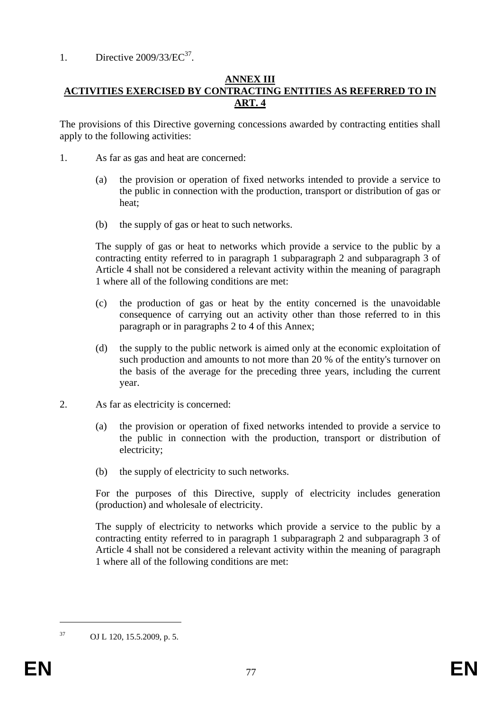# 1. Directive  $2009/33/EC^{37}$ .

# **ANNEX III ACTIVITIES EXERCISED BY CONTRACTING ENTITIES AS REFERRED TO IN ART. 4**

The provisions of this Directive governing concessions awarded by contracting entities shall apply to the following activities:

- 1. As far as gas and heat are concerned:
	- (a) the provision or operation of fixed networks intended to provide a service to the public in connection with the production, transport or distribution of gas or heat;
	- (b) the supply of gas or heat to such networks.

The supply of gas or heat to networks which provide a service to the public by a contracting entity referred to in paragraph 1 subparagraph 2 and subparagraph 3 of Article 4 shall not be considered a relevant activity within the meaning of paragraph 1 where all of the following conditions are met:

- (c) the production of gas or heat by the entity concerned is the unavoidable consequence of carrying out an activity other than those referred to in this paragraph or in paragraphs 2 to 4 of this Annex;
- (d) the supply to the public network is aimed only at the economic exploitation of such production and amounts to not more than 20 % of the entity's turnover on the basis of the average for the preceding three years, including the current year.
- 2. As far as electricity is concerned:
	- (a) the provision or operation of fixed networks intended to provide a service to the public in connection with the production, transport or distribution of electricity;
	- (b) the supply of electricity to such networks.

For the purposes of this Directive, supply of electricity includes generation (production) and wholesale of electricity.

The supply of electricity to networks which provide a service to the public by a contracting entity referred to in paragraph 1 subparagraph 2 and subparagraph 3 of Article 4 shall not be considered a relevant activity within the meaning of paragraph 1 where all of the following conditions are met:

1

<sup>37</sup> OJ L 120, 15.5.2009, p. 5.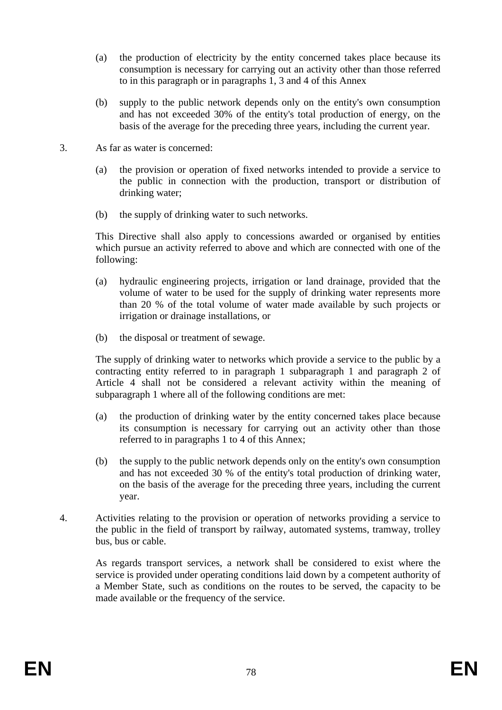- (a) the production of electricity by the entity concerned takes place because its consumption is necessary for carrying out an activity other than those referred to in this paragraph or in paragraphs 1, 3 and 4 of this Annex
- (b) supply to the public network depends only on the entity's own consumption and has not exceeded 30% of the entity's total production of energy, on the basis of the average for the preceding three years, including the current year.
- 3. As far as water is concerned:
	- (a) the provision or operation of fixed networks intended to provide a service to the public in connection with the production, transport or distribution of drinking water;
	- (b) the supply of drinking water to such networks.

This Directive shall also apply to concessions awarded or organised by entities which pursue an activity referred to above and which are connected with one of the following:

- (a) hydraulic engineering projects, irrigation or land drainage, provided that the volume of water to be used for the supply of drinking water represents more than 20 % of the total volume of water made available by such projects or irrigation or drainage installations, or
- (b) the disposal or treatment of sewage.

The supply of drinking water to networks which provide a service to the public by a contracting entity referred to in paragraph 1 subparagraph 1 and paragraph 2 of Article 4 shall not be considered a relevant activity within the meaning of subparagraph 1 where all of the following conditions are met:

- (a) the production of drinking water by the entity concerned takes place because its consumption is necessary for carrying out an activity other than those referred to in paragraphs 1 to 4 of this Annex;
- (b) the supply to the public network depends only on the entity's own consumption and has not exceeded 30 % of the entity's total production of drinking water, on the basis of the average for the preceding three years, including the current year.
- 4. Activities relating to the provision or operation of networks providing a service to the public in the field of transport by railway, automated systems, tramway, trolley bus, bus or cable.

As regards transport services, a network shall be considered to exist where the service is provided under operating conditions laid down by a competent authority of a Member State, such as conditions on the routes to be served, the capacity to be made available or the frequency of the service.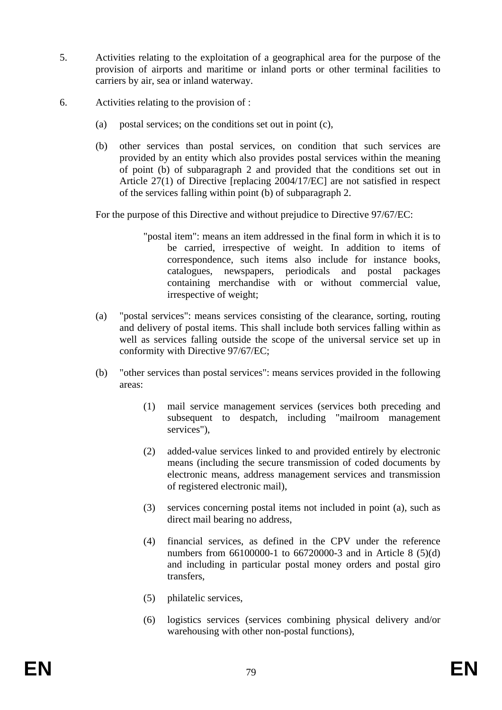- 5. Activities relating to the exploitation of a geographical area for the purpose of the provision of airports and maritime or inland ports or other terminal facilities to carriers by air, sea or inland waterway.
- 6. Activities relating to the provision of :
	- (a) postal services; on the conditions set out in point (c),
	- (b) other services than postal services, on condition that such services are provided by an entity which also provides postal services within the meaning of point (b) of subparagraph 2 and provided that the conditions set out in Article 27(1) of Directive [replacing 2004/17/EC] are not satisfied in respect of the services falling within point (b) of subparagraph 2.

For the purpose of this Directive and without prejudice to Directive 97/67/EC:

- "postal item": means an item addressed in the final form in which it is to be carried, irrespective of weight. In addition to items of correspondence, such items also include for instance books, catalogues, newspapers, periodicals and postal packages containing merchandise with or without commercial value, irrespective of weight;
- (a) "postal services": means services consisting of the clearance, sorting, routing and delivery of postal items. This shall include both services falling within as well as services falling outside the scope of the universal service set up in conformity with Directive 97/67/EC;
- (b) "other services than postal services": means services provided in the following areas:
	- (1) mail service management services (services both preceding and subsequent to despatch, including "mailroom management services"),
	- (2) added-value services linked to and provided entirely by electronic means (including the secure transmission of coded documents by electronic means, address management services and transmission of registered electronic mail),
	- (3) services concerning postal items not included in point (a), such as direct mail bearing no address,
	- (4) financial services, as defined in the CPV under the reference numbers from 66100000-1 to 66720000-3 and in Article 8 (5)(d) and including in particular postal money orders and postal giro transfers,
	- (5) philatelic services,
	- (6) logistics services (services combining physical delivery and/or warehousing with other non-postal functions),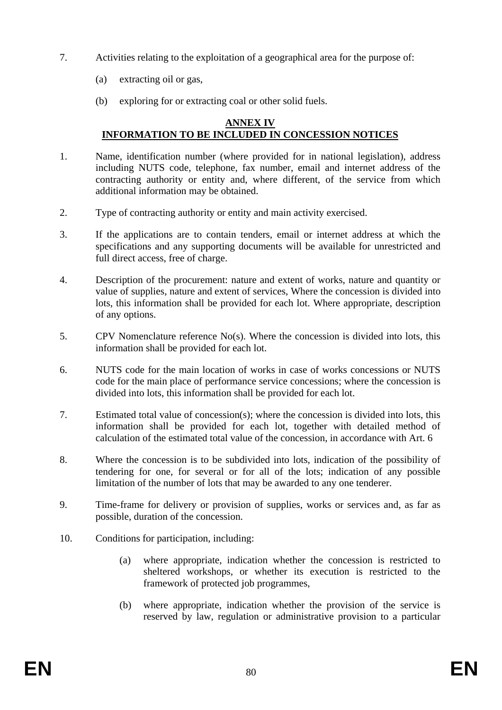- 7. Activities relating to the exploitation of a geographical area for the purpose of:
	- (a) extracting oil or gas,
	- (b) exploring for or extracting coal or other solid fuels.

#### **ANNEX IV INFORMATION TO BE INCLUDED IN CONCESSION NOTICES**

- 1. Name, identification number (where provided for in national legislation), address including NUTS code, telephone, fax number, email and internet address of the contracting authority or entity and, where different, of the service from which additional information may be obtained.
- 2. Type of contracting authority or entity and main activity exercised.
- 3. If the applications are to contain tenders, email or internet address at which the specifications and any supporting documents will be available for unrestricted and full direct access, free of charge.
- 4. Description of the procurement: nature and extent of works, nature and quantity or value of supplies, nature and extent of services, Where the concession is divided into lots, this information shall be provided for each lot. Where appropriate, description of any options.
- 5. CPV Nomenclature reference No(s). Where the concession is divided into lots, this information shall be provided for each lot.
- 6. NUTS code for the main location of works in case of works concessions or NUTS code for the main place of performance service concessions; where the concession is divided into lots, this information shall be provided for each lot.
- 7. Estimated total value of concession(s); where the concession is divided into lots, this information shall be provided for each lot, together with detailed method of calculation of the estimated total value of the concession, in accordance with Art. 6
- 8. Where the concession is to be subdivided into lots, indication of the possibility of tendering for one, for several or for all of the lots; indication of any possible limitation of the number of lots that may be awarded to any one tenderer.
- 9. Time-frame for delivery or provision of supplies, works or services and, as far as possible, duration of the concession.
- 10. Conditions for participation, including:
	- (a) where appropriate, indication whether the concession is restricted to sheltered workshops, or whether its execution is restricted to the framework of protected job programmes,
	- (b) where appropriate, indication whether the provision of the service is reserved by law, regulation or administrative provision to a particular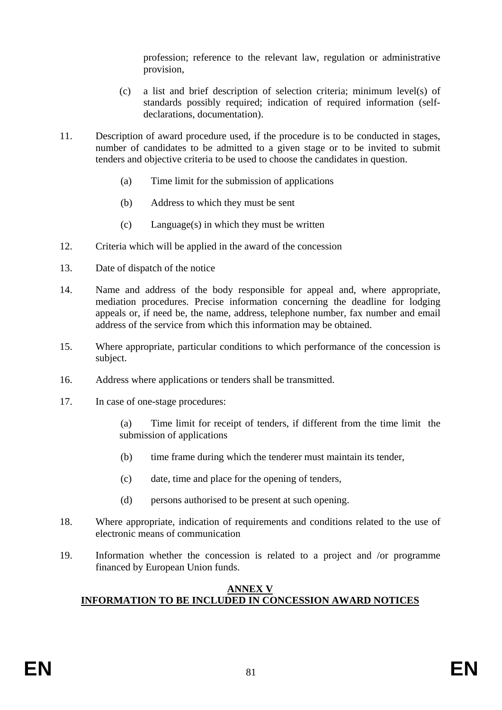profession; reference to the relevant law, regulation or administrative provision,

- (c) a list and brief description of selection criteria; minimum level(s) of standards possibly required; indication of required information (selfdeclarations, documentation).
- 11. Description of award procedure used, if the procedure is to be conducted in stages, number of candidates to be admitted to a given stage or to be invited to submit tenders and objective criteria to be used to choose the candidates in question.
	- (a) Time limit for the submission of applications
	- (b) Address to which they must be sent
	- (c) Language(s) in which they must be written
- 12. Criteria which will be applied in the award of the concession
- 13. Date of dispatch of the notice
- 14. Name and address of the body responsible for appeal and, where appropriate, mediation procedures. Precise information concerning the deadline for lodging appeals or, if need be, the name, address, telephone number, fax number and email address of the service from which this information may be obtained.
- 15. Where appropriate, particular conditions to which performance of the concession is subject.
- 16. Address where applications or tenders shall be transmitted.
- 17. In case of one-stage procedures:

(a) Time limit for receipt of tenders, if different from the time limit the submission of applications

- (b) time frame during which the tenderer must maintain its tender,
- (c) date, time and place for the opening of tenders,
- (d) persons authorised to be present at such opening.
- 18. Where appropriate, indication of requirements and conditions related to the use of electronic means of communication
- 19. Information whether the concession is related to a project and /or programme financed by European Union funds.

# **ANNEX V INFORMATION TO BE INCLUDED IN CONCESSION AWARD NOTICES**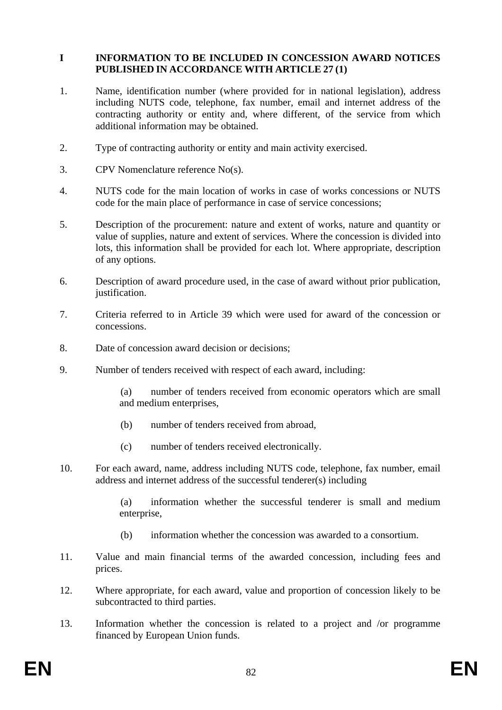# **I INFORMATION TO BE INCLUDED IN CONCESSION AWARD NOTICES PUBLISHED IN ACCORDANCE WITH ARTICLE 27 (1)**

- 1. Name, identification number (where provided for in national legislation), address including NUTS code, telephone, fax number, email and internet address of the contracting authority or entity and, where different, of the service from which additional information may be obtained.
- 2. Type of contracting authority or entity and main activity exercised.
- 3. CPV Nomenclature reference No(s).
- 4. NUTS code for the main location of works in case of works concessions or NUTS code for the main place of performance in case of service concessions;
- 5. Description of the procurement: nature and extent of works, nature and quantity or value of supplies, nature and extent of services. Where the concession is divided into lots, this information shall be provided for each lot. Where appropriate, description of any options.
- 6. Description of award procedure used, in the case of award without prior publication, justification.
- 7. Criteria referred to in Article 39 which were used for award of the concession or concessions.
- 8. Date of concession award decision or decisions;
- 9. Number of tenders received with respect of each award, including:

(a) number of tenders received from economic operators which are small and medium enterprises,

- (b) number of tenders received from abroad,
- (c) number of tenders received electronically.
- 10. For each award, name, address including NUTS code, telephone, fax number, email address and internet address of the successful tenderer(s) including

(a) information whether the successful tenderer is small and medium enterprise,

- (b) information whether the concession was awarded to a consortium.
- 11. Value and main financial terms of the awarded concession, including fees and prices.
- 12. Where appropriate, for each award, value and proportion of concession likely to be subcontracted to third parties.
- 13. Information whether the concession is related to a project and /or programme financed by European Union funds.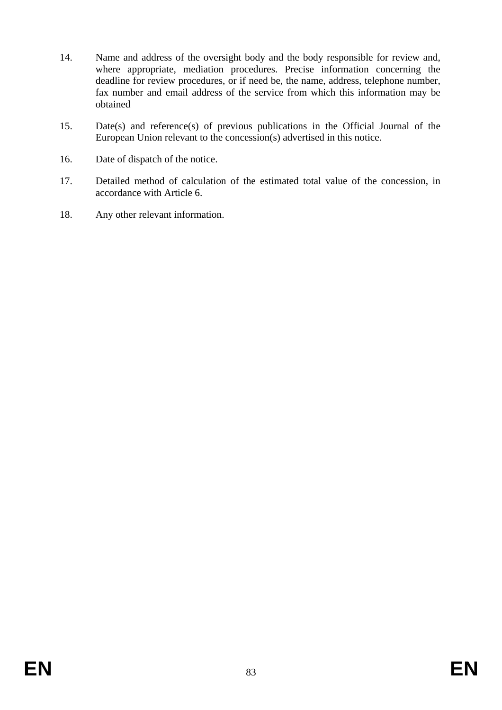- 14. Name and address of the oversight body and the body responsible for review and, where appropriate, mediation procedures. Precise information concerning the deadline for review procedures, or if need be, the name, address, telephone number, fax number and email address of the service from which this information may be obtained
- 15. Date(s) and reference(s) of previous publications in the Official Journal of the European Union relevant to the concession(s) advertised in this notice.
- 16. Date of dispatch of the notice.
- 17. Detailed method of calculation of the estimated total value of the concession, in accordance with Article 6.
- 18. Any other relevant information.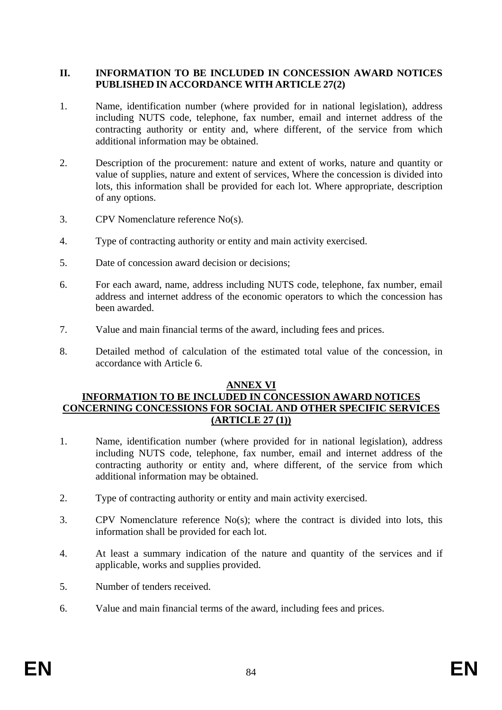# **II. INFORMATION TO BE INCLUDED IN CONCESSION AWARD NOTICES PUBLISHED IN ACCORDANCE WITH ARTICLE 27(2)**

- 1. Name, identification number (where provided for in national legislation), address including NUTS code, telephone, fax number, email and internet address of the contracting authority or entity and, where different, of the service from which additional information may be obtained.
- 2. Description of the procurement: nature and extent of works, nature and quantity or value of supplies, nature and extent of services, Where the concession is divided into lots, this information shall be provided for each lot. Where appropriate, description of any options.
- 3. CPV Nomenclature reference No(s).
- 4. Type of contracting authority or entity and main activity exercised.
- 5. Date of concession award decision or decisions;
- 6. For each award, name, address including NUTS code, telephone, fax number, email address and internet address of the economic operators to which the concession has been awarded.
- 7. Value and main financial terms of the award, including fees and prices.
- 8. Detailed method of calculation of the estimated total value of the concession, in accordance with Article 6.

### **ANNEX VI**

# **INFORMATION TO BE INCLUDED IN CONCESSION AWARD NOTICES CONCERNING CONCESSIONS FOR SOCIAL AND OTHER SPECIFIC SERVICES (ARTICLE 27 (1))**

- 1. Name, identification number (where provided for in national legislation), address including NUTS code, telephone, fax number, email and internet address of the contracting authority or entity and, where different, of the service from which additional information may be obtained.
- 2. Type of contracting authority or entity and main activity exercised.
- 3. CPV Nomenclature reference No(s); where the contract is divided into lots, this information shall be provided for each lot.
- 4. At least a summary indication of the nature and quantity of the services and if applicable, works and supplies provided.
- 5. Number of tenders received.
- 6. Value and main financial terms of the award, including fees and prices.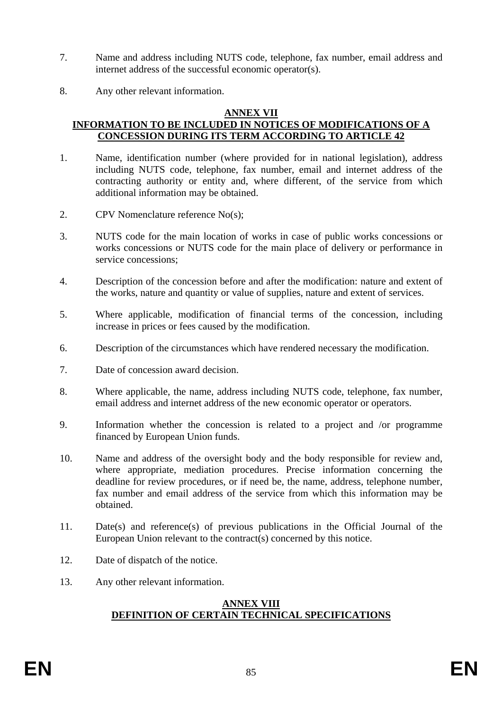- 7. Name and address including NUTS code, telephone, fax number, email address and internet address of the successful economic operator(s).
- 8. Any other relevant information.

# **ANNEX VII**

# **INFORMATION TO BE INCLUDED IN NOTICES OF MODIFICATIONS OF A CONCESSION DURING ITS TERM ACCORDING TO ARTICLE 42**

- 1. Name, identification number (where provided for in national legislation), address including NUTS code, telephone, fax number, email and internet address of the contracting authority or entity and, where different, of the service from which additional information may be obtained.
- 2. CPV Nomenclature reference No(s);
- 3. NUTS code for the main location of works in case of public works concessions or works concessions or NUTS code for the main place of delivery or performance in service concessions;
- 4. Description of the concession before and after the modification: nature and extent of the works, nature and quantity or value of supplies, nature and extent of services.
- 5. Where applicable, modification of financial terms of the concession, including increase in prices or fees caused by the modification.
- 6. Description of the circumstances which have rendered necessary the modification.
- 7. Date of concession award decision.
- 8. Where applicable, the name, address including NUTS code, telephone, fax number, email address and internet address of the new economic operator or operators.
- 9. Information whether the concession is related to a project and /or programme financed by European Union funds.
- 10. Name and address of the oversight body and the body responsible for review and, where appropriate, mediation procedures. Precise information concerning the deadline for review procedures, or if need be, the name, address, telephone number, fax number and email address of the service from which this information may be obtained.
- 11. Date(s) and reference(s) of previous publications in the Official Journal of the European Union relevant to the contract(s) concerned by this notice.
- 12. Date of dispatch of the notice.
- 13. Any other relevant information.

### **ANNEX VIII DEFINITION OF CERTAIN TECHNICAL SPECIFICATIONS**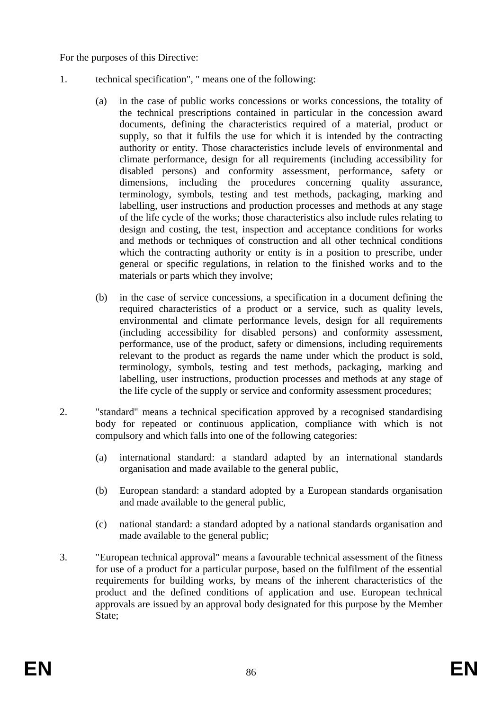For the purposes of this Directive:

- 1. technical specification", " means one of the following:
	- (a) in the case of public works concessions or works concessions, the totality of the technical prescriptions contained in particular in the concession award documents, defining the characteristics required of a material, product or supply, so that it fulfils the use for which it is intended by the contracting authority or entity. Those characteristics include levels of environmental and climate performance, design for all requirements (including accessibility for disabled persons) and conformity assessment, performance, safety or dimensions, including the procedures concerning quality assurance, terminology, symbols, testing and test methods, packaging, marking and labelling, user instructions and production processes and methods at any stage of the life cycle of the works; those characteristics also include rules relating to design and costing, the test, inspection and acceptance conditions for works and methods or techniques of construction and all other technical conditions which the contracting authority or entity is in a position to prescribe, under general or specific regulations, in relation to the finished works and to the materials or parts which they involve;
	- (b) in the case of service concessions, a specification in a document defining the required characteristics of a product or a service, such as quality levels, environmental and climate performance levels, design for all requirements (including accessibility for disabled persons) and conformity assessment, performance, use of the product, safety or dimensions, including requirements relevant to the product as regards the name under which the product is sold, terminology, symbols, testing and test methods, packaging, marking and labelling, user instructions, production processes and methods at any stage of the life cycle of the supply or service and conformity assessment procedures;
- 2. "standard" means a technical specification approved by a recognised standardising body for repeated or continuous application, compliance with which is not compulsory and which falls into one of the following categories:
	- (a) international standard: a standard adapted by an international standards organisation and made available to the general public,
	- (b) European standard: a standard adopted by a European standards organisation and made available to the general public,
	- (c) national standard: a standard adopted by a national standards organisation and made available to the general public;
- 3. "European technical approval" means a favourable technical assessment of the fitness for use of a product for a particular purpose, based on the fulfilment of the essential requirements for building works, by means of the inherent characteristics of the product and the defined conditions of application and use. European technical approvals are issued by an approval body designated for this purpose by the Member State: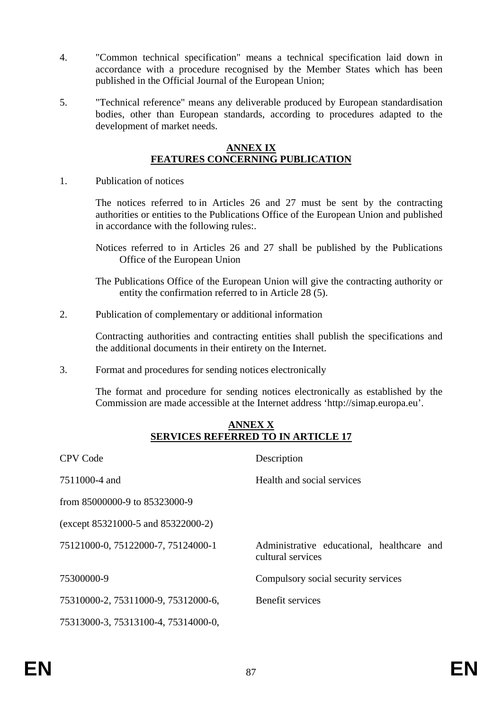- 4. "Common technical specification" means a technical specification laid down in accordance with a procedure recognised by the Member States which has been published in the Official Journal of the European Union;
- 5. "Technical reference" means any deliverable produced by European standardisation bodies, other than European standards, according to procedures adapted to the development of market needs.

#### **ANNEX IX FEATURES CONCERNING PUBLICATION**

1. Publication of notices

The notices referred to in Articles 26 and 27 must be sent by the contracting authorities or entities to the Publications Office of the European Union and published in accordance with the following rules:.

Notices referred to in Articles 26 and 27 shall be published by the Publications Office of the European Union

The Publications Office of the European Union will give the contracting authority or entity the confirmation referred to in Article 28 (5).

2. Publication of complementary or additional information

Contracting authorities and contracting entities shall publish the specifications and the additional documents in their entirety on the Internet.

3. Format and procedures for sending notices electronically

The format and procedure for sending notices electronically as established by the Commission are made accessible at the Internet address 'http://simap.europa.eu'.

### **ANNEX X SERVICES REFERRED TO IN ARTICLE 17**

| <b>CPV Code</b>                     | Description                                                     |
|-------------------------------------|-----------------------------------------------------------------|
| 7511000-4 and                       | Health and social services                                      |
| from 85000000-9 to 85323000-9       |                                                                 |
| (except 85321000-5 and 85322000-2)  |                                                                 |
| 75121000-0, 75122000-7, 75124000-1  | Administrative educational, healthcare and<br>cultural services |
| 75300000-9                          | Compulsory social security services                             |
| 75310000-2, 75311000-9, 75312000-6, | Benefit services                                                |
| 75313000-3, 75313100-4, 75314000-0, |                                                                 |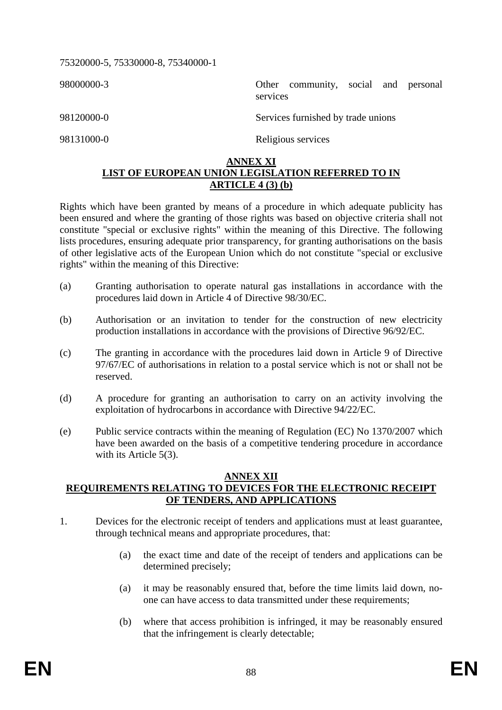75320000-5, 75330000-8, 75340000-1

98000000-3 Other community, social and personal services

98120000-0 Services furnished by trade unions

98131000-0 Religious services

# **ANNEX XI LIST OF EUROPEAN UNION LEGISLATION REFERRED TO IN ARTICLE 4 (3) (b)**

Rights which have been granted by means of a procedure in which adequate publicity has been ensured and where the granting of those rights was based on objective criteria shall not constitute "special or exclusive rights" within the meaning of this Directive. The following lists procedures, ensuring adequate prior transparency, for granting authorisations on the basis of other legislative acts of the European Union which do not constitute "special or exclusive rights" within the meaning of this Directive:

- (a) Granting authorisation to operate natural gas installations in accordance with the procedures laid down in Article 4 of Directive 98/30/EC.
- (b) Authorisation or an invitation to tender for the construction of new electricity production installations in accordance with the provisions of Directive 96/92/EC.
- (c) The granting in accordance with the procedures laid down in Article 9 of Directive 97/67/EC of authorisations in relation to a postal service which is not or shall not be reserved.
- (d) A procedure for granting an authorisation to carry on an activity involving the exploitation of hydrocarbons in accordance with Directive 94/22/EC.
- (e) Public service contracts within the meaning of Regulation (EC) No 1370/2007 which have been awarded on the basis of a competitive tendering procedure in accordance with its Article 5(3).

### **ANNEX XII REQUIREMENTS RELATING TO DEVICES FOR THE ELECTRONIC RECEIPT OF TENDERS, AND APPLICATIONS**

- 1. Devices for the electronic receipt of tenders and applications must at least guarantee, through technical means and appropriate procedures, that:
	- (a) the exact time and date of the receipt of tenders and applications can be determined precisely;
	- (a) it may be reasonably ensured that, before the time limits laid down, noone can have access to data transmitted under these requirements;
	- (b) where that access prohibition is infringed, it may be reasonably ensured that the infringement is clearly detectable;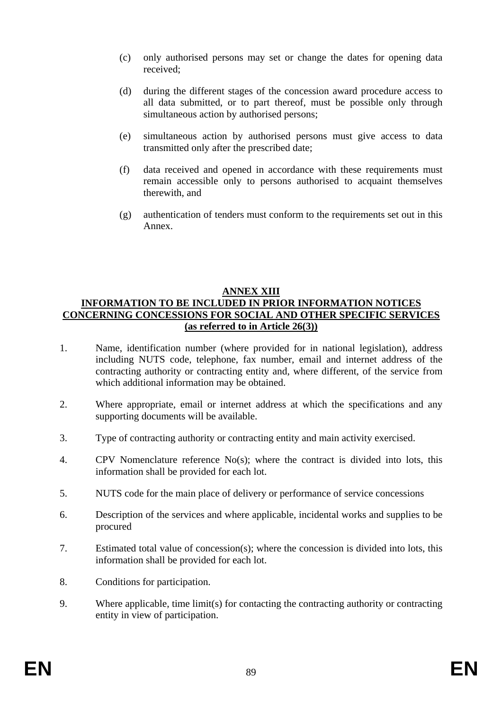- (c) only authorised persons may set or change the dates for opening data received;
- (d) during the different stages of the concession award procedure access to all data submitted, or to part thereof, must be possible only through simultaneous action by authorised persons;
- (e) simultaneous action by authorised persons must give access to data transmitted only after the prescribed date;
- (f) data received and opened in accordance with these requirements must remain accessible only to persons authorised to acquaint themselves therewith, and
- (g) authentication of tenders must conform to the requirements set out in this Annex.

# **ANNEX XIII INFORMATION TO BE INCLUDED IN PRIOR INFORMATION NOTICES CONCERNING CONCESSIONS FOR SOCIAL AND OTHER SPECIFIC SERVICES (as referred to in Article 26(3))**

- 1. Name, identification number (where provided for in national legislation), address including NUTS code, telephone, fax number, email and internet address of the contracting authority or contracting entity and, where different, of the service from which additional information may be obtained.
- 2. Where appropriate, email or internet address at which the specifications and any supporting documents will be available.
- 3. Type of contracting authority or contracting entity and main activity exercised.
- 4. CPV Nomenclature reference No(s); where the contract is divided into lots, this information shall be provided for each lot.
- 5. NUTS code for the main place of delivery or performance of service concessions
- 6. Description of the services and where applicable, incidental works and supplies to be procured
- 7. Estimated total value of concession(s); where the concession is divided into lots, this information shall be provided for each lot.
- 8. Conditions for participation.
- 9. Where applicable, time limit(s) for contacting the contracting authority or contracting entity in view of participation.